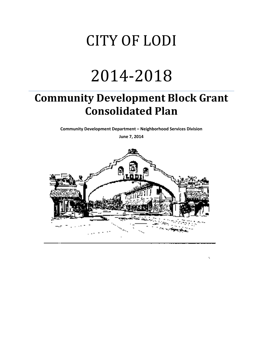## CITY OF LODI

# 2014‐2018

## **Community Development Block Grant Consolidated Plan**

**Community Development Department – Neighborhood Services Division**

**June 7, 2014**

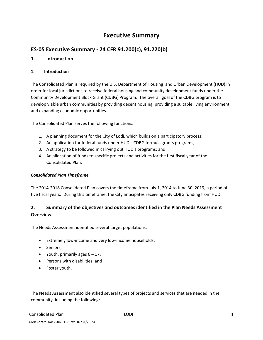## **Executive Summary**

## **ES‐05 Executive Summary ‐ 24 CFR 91.200(c), 91.220(b)**

#### **1. Introduction**

#### **1. Introduction**

The Consolidated Plan is required by the U.S. Department of Housing and Urban Development (HUD) in order for local jurisdictions to receive federal housing and community development funds under the Community Development Block Grant (CDBG) Program. The overall goal of the CDBG program is to develop viable urban communities by providing decent housing, providing a suitable living environment, and expanding economic opportunities.

The Consolidated Plan serves the following functions:

- 1. A planning document for the City of Lodi, which builds on a participatory process;
- 2. An application for federal funds under HUD's CDBG formula grants programs;
- 3. A strategy to be followed in carrying out HUD's programs; and
- 4. An allocation of funds to specific projects and activities for the first fiscal year of the Consolidated Plan.

#### *Consolidated Plan Timeframe*

The 2014‐2018 Consolidated Plan covers the timeframe from July 1, 2014 to June 30, 2019, a period of five fiscal years. During this timeframe, the City anticipates receiving only CDBG funding from HUD.

## **2. Summary of the objectives and outcomes identified in the Plan Needs Assessment Overview**

The Needs Assessment identified several target populations:

- Extremely low-income and very low-income households;
- Seniors;
- Youth, primarily ages  $6 17$ ;
- Persons with disabilities; and
- Foster youth.

The Needs Assessment also identified several types of projects and services that are needed in the community, including the following: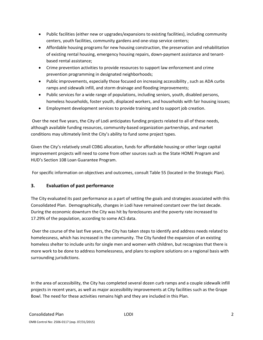- Public facilities (either new or upgrades/expansions to existing facilities), including community centers, youth facilities, community gardens and one‐stop service centers;
- Affordable housing programs for new housing construction, the preservation and rehabilitation of existing rental housing, emergency housing repairs, down‐payment assistance and tenant‐ based rental assistance;
- Crime prevention activities to provide resources to support law enforcement and crime prevention programming in designated neighborhoods;
- Public improvements, especially those focused on increasing accessibility, such as ADA curbs ramps and sidewalk infill, and storm drainage and flooding improvements;
- Public services for a wide range of populations, including seniors, youth, disabled persons, homeless households, foster youth, displaced workers, and households with fair housing issues;
- Employment development services to provide training and to support job creation.

Over the next five years, the City of Lodi anticipates funding projects related to all of these needs, although available funding resources, community‐based organization partnerships, and market conditions may ultimately limit the City's ability to fund some project types.

Given the City's relatively small CDBG allocation, funds for affordable housing or other large capital improvement projects will need to come from other sources such as the State HOME Program and HUD's Section 108 Loan Guarantee Program.

For specific information on objectives and outcomes, consult Table 55 (located in the Strategic Plan).

#### **3. Evaluation of past performance**

The City evaluated its past performance as a part of setting the goals and strategies associated with this Consolidated Plan. Demographically, changes in Lodi have remained constant over the last decade. During the economic downturn the City was hit by foreclosures and the poverty rate increased to 17.29% of the population, according to some ACS data.

Over the course of the last five years, the City has taken steps to identify and address needs related to homelessness, which has increased in the community. The City funded the expansion of an existing homeless shelter to include units for single men and women with children, but recognizes that there is more work to be done to address homelessness, and plans to explore solutions on a regional basis with surrounding jurisdictions.

In the area of accessibility, the City has completed several dozen curb ramps and a couple sidewalk infill projects in recent years, as well as major accessibility improvements at City facilities such as the Grape Bowl. The need for these activities remains high and they are included in this Plan.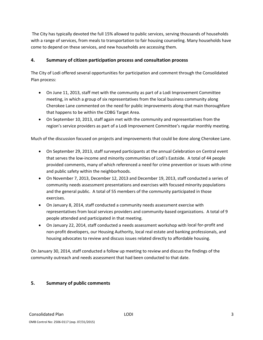The City has typically devoted the full 15% allowed to public services, serving thousands of households with a range of services, from meals to transportation to fair housing counseling. Many households have come to depend on these services, and new households are accessing them.

#### **4. Summary of citizen participation process and consultation process**

The City of Lodi offered several opportunities for participation and comment through the Consolidated Plan process:

- On June 11, 2013, staff met with the community as part of a Lodi Improvement Committee meeting, in which a group of six representatives from the local business community along Cherokee Lane commented on the need for public improvements along that main thoroughfare that happens to be within the CDBG Target Area.
- On September 10, 2013, staff again met with the community and representatives from the region's service providers as part of a Lodi Improvement Committee's regular monthly meeting.

Much of the discussion focused on projects and improvements that could be done along Cherokee Lane.

- On September 29, 2013, staff surveyed participants at the annual Celebration on Central event that serves the low‐income and minority communities of Lodi's Eastside. A total of 44 people provided comments, many of which referenced a need for crime prevention or issues with crime and public safety within the neighborhoods.
- On November 7, 2013, December 12, 2013 and December 19, 2013, staff conducted a series of community needs assessment presentations and exercises with focused minority populations and the general public. A total of 55 members of the community participated in those exercises.
- On January 8, 2014, staff conducted a community needs assessment exercise with representatives from local services providers and community-based organizations. A total of 9 people attended and participated in that meeting.
- On January 22, 2014, staff conducted a needs assessment workshop with local for‐profit and non‐profit developers, our Housing Authority, local real estate and banking professionals, and housing advocates to review and discuss issues related directly to affordable housing.

On January 30, 2014, staff conducted a follow up meeting to review and discuss the findings of the community outreach and needs assessment that had been conducted to that date.

#### **5. Summary of public comments**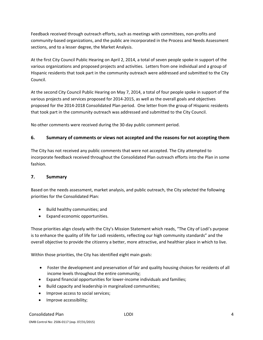Feedback received through outreach efforts, such as meetings with committees, non-profits and community-based organizations, and the public are incorporated in the Process and Needs Assessment sections, and to a lesser degree, the Market Analysis.

At the first City Council Public Hearing on April 2, 2014, a total of seven people spoke in support of the various organizations and proposed projects and activities. Letters from one individual and a group of Hispanic residents that took part in the community outreach were addressed and submitted to the City Council.

At the second City Council Public Hearing on May 7, 2014, a total of four people spoke in support of the various projects and services proposed for 2014‐2015, as well as the overall goals and objectives proposed for the 2014‐2018 Consolidated Plan period. One letter from the group of Hispanic residents that took part in the community outreach was addressed and submitted to the City Council.

No other comments were received during the 30‐day public comment period.

#### **6. Summary of comments or views not accepted and the reasons for not accepting them**

The City has not received any public comments that were not accepted. The City attempted to incorporate feedback received throughout the Consolidated Plan outreach efforts into the Plan in some fashion.

#### **7. Summary**

Based on the needs assessment, market analysis, and public outreach, the City selected the following priorities for the Consolidated Plan:

- Build healthy communities; and
- Expand economic opportunities.

Those priorities align closely with the City's Mission Statement which reads, "The City of Lodi's purpose is to enhance the quality of life for Lodi residents, reflecting our high community standards" and the overall objective to provide the citizenry a better, more attractive, and healthier place in which to live.

Within those priorities, the City has identified eight main goals:

- Foster the development and preservation of fair and quality housing choices for residents of all income levels throughout the entire community;
- Expand financial opportunities for lower-income individuals and families;
- Build capacity and leadership in marginalized communities;
- Improve access to social services;
- Improve accessibility;

#### Consolidated Plan 2002 12:00 12:00 12:00 12:00 12:00 12:00 12:00 12:00 12:00 12:00 12:00 12:00 12:00 12:00 12:00 12:00 12:00 12:00 12:00 12:00 12:00 12:00 12:00 12:00 12:00 12:00 12:00 12:00 12:00 12:00 12:00 12:00 12:00 1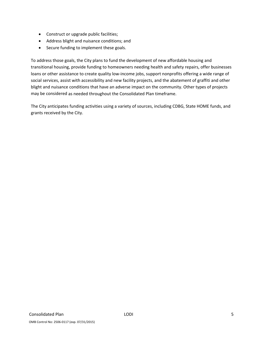- Construct or upgrade public facilities;
- Address blight and nuisance conditions; and
- Secure funding to implement these goals.

To address those goals, the City plans to fund the development of new affordable housing and transitional housing, provide funding to homeowners needing health and safety repairs, offer businesses loans or other assistance to create quality low-income jobs, support nonprofits offering a wide range of social services, assist with accessibility and new facility projects, and the abatement of graffiti and other blight and nuisance conditions that have an adverse impact on the community. Other types of projects may be considered as needed throughout the Consolidated Plan timeframe.

The City anticipates funding activities using a variety of sources, including CDBG, State HOME funds, and grants received by the City.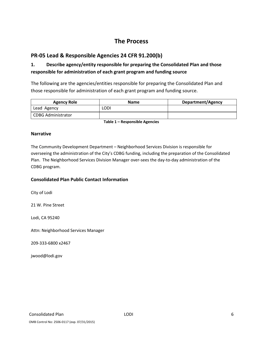## **The Process**

## **PR‐05 Lead & Responsible Agencies 24 CFR 91.200(b)**

## **1. Describe agency/entity responsible for preparing the Consolidated Plan and those responsible for administration of each grant program and funding source**

The following are the agencies/entities responsible for preparing the Consolidated Plan and those responsible for administration of each grant program and funding source.

| <b>Agency Role</b>        | <b>Name</b> | <b>Department/Agency</b> |
|---------------------------|-------------|--------------------------|
| Lead Agency               | LODI        |                          |
| <b>CDBG Administrator</b> |             |                          |

**Table 1 – Responsible Agencies**

#### **Narrative**

The Community Development Department – Neighborhood Services Division is responsible for overseeing the administration of the City's CDBG funding, including the preparation of the Consolidated Plan. The Neighborhood Services Division Manager over‐sees the day‐to‐day administration of the CDBG program.

#### **Consolidated Plan Public Contact Information**

City of Lodi

21 W. Pine Street

Lodi, CA 95240

Attn: Neighborhood Services Manager

209‐333‐6800 x2467

jwood@lodi.gov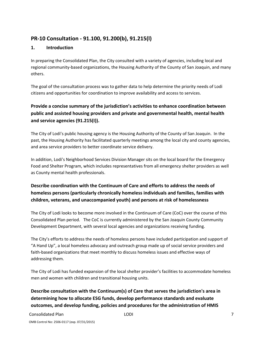## **PR‐10 Consultation ‐ 91.100, 91.200(b), 91.215(l)**

#### **1. Introduction**

In preparing the Consolidated Plan, the City consulted with a variety of agencies, including local and regional community‐based organizations, the Housing Authority of the County of San Joaquin, and many others.

The goal of the consultation process was to gather data to help determine the priority needs of Lodi citizens and opportunities for coordination to improve availability and access to services.

## **Provide a concise summary of the jurisdiction's activities to enhance coordination between public and assisted housing providers and private and governmental health, mental health and service agencies (91.215(I)).**

The City of Lodi's public housing agency is the Housing Authority of the County of San Joaquin. In the past, the Housing Authority has facilitated quarterly meetings among the local city and county agencies, and area service providers to better coordinate service delivery.

In addition, Lodi's Neighborhood Services Division Manager sits on the local board for the Emergency Food and Shelter Program, which includes representatives from all emergency shelter providers as well as County mental health professionals.

## **Describe coordination with the Continuum of Care and efforts to address the needs of homeless persons (particularly chronically homeless individuals and families, families with children, veterans, and unaccompanied youth) and persons at risk of homelessness**

The City of Lodi looks to become more involved in the Continuum of Care (CoC) over the course of this Consolidated Plan period. The CoC is currently administered by the San Joaquin County Community Development Department, with several local agencies and organizations receiving funding.

The City's efforts to address the needs of homeless persons have included participation and support of "A Hand Up", a local homeless advocacy and outreach group made up of social service providers and faith-based organizations that meet monthly to discuss homeless issues and effective ways of addressing them.

The City of Lodi has funded expansion of the local shelter provider's facilities to accommodate homeless men and women with children and transitional housing units.

**Describe consultation with the Continuum(s) of Care that serves the jurisdiction's area in determining how to allocate ESG funds, develop performance standards and evaluate outcomes, and develop funding, policies and procedures for the administration of HMIS**

#### Consolidated Plan LODI 7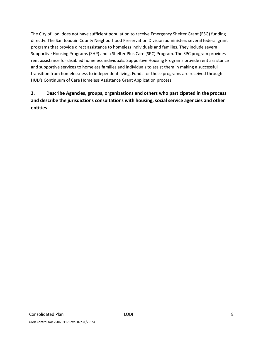The City of Lodi does not have sufficient population to receive Emergency Shelter Grant (ESG) funding directly. The San Joaquin County Neighborhood Preservation Division administers several federal grant programs that provide direct assistance to homeless individuals and families. They include several Supportive Housing Programs (SHP) and a Shelter Plus Care (SPC) Program. The SPC program provides rent assistance for disabled homeless individuals. Supportive Housing Programs provide rent assistance and supportive services to homeless families and individuals to assist them in making a successful transition from homelessness to independent living. Funds for these programs are received through HUD's Continuum of Care Homeless Assistance Grant Application process.

## **2. Describe Agencies, groups, organizations and others who participated in the process and describe the jurisdictions consultations with housing, social service agencies and other entities**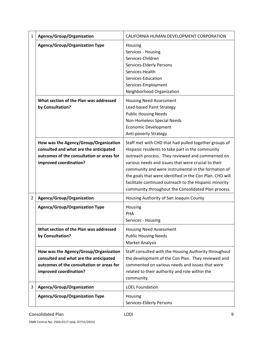| $\mathbf{1}$   | Agency/Group/Organization                                                                                                                              | CALIFORNIA HUMAN DEVELOPMENT CORPORATION                                                                                                                                                                                                                                                                                                                                                                                                                 |  |  |  |
|----------------|--------------------------------------------------------------------------------------------------------------------------------------------------------|----------------------------------------------------------------------------------------------------------------------------------------------------------------------------------------------------------------------------------------------------------------------------------------------------------------------------------------------------------------------------------------------------------------------------------------------------------|--|--|--|
|                | <b>Agency/Group/Organization Type</b>                                                                                                                  | Housing<br>Services - Housing<br>Services-Children<br><b>Services-Elderly Persons</b><br>Services-Health<br>Services-Education<br>Services-Employment<br>Neighborhood Organization                                                                                                                                                                                                                                                                       |  |  |  |
|                | What section of the Plan was addressed<br>by Consultation?                                                                                             | <b>Housing Need Assessment</b><br>Lead-based Paint Strategy<br><b>Public Housing Needs</b><br>Non-Homeless Special Needs<br><b>Economic Development</b><br>Anti-poverty Strategy                                                                                                                                                                                                                                                                         |  |  |  |
|                | How was the Agency/Group/Organization<br>consulted and what are the anticipated<br>outcomes of the consultation or areas for<br>improved coordination? | Staff met with CHD that had pulled together groups of<br>Hispanic residents to take part in the community<br>outreach process. They reviewed and commented on<br>various needs and issues that were crucial to their<br>community and were instrumental in the formation of<br>the goals that were identified in the Con Plan. CHD will<br>facilitate continued outreach to the Hispanic minority<br>community throughout the Consolidated Plan process. |  |  |  |
| $\overline{2}$ | Agency/Group/Organization                                                                                                                              | Housing Authority of San Joaquin County                                                                                                                                                                                                                                                                                                                                                                                                                  |  |  |  |
|                | <b>Agency/Group/Organization Type</b>                                                                                                                  | Housing<br><b>PHA</b><br>Services - Housing                                                                                                                                                                                                                                                                                                                                                                                                              |  |  |  |
|                | What section of the Plan was addressed<br>by Consultation?                                                                                             | <b>Housing Need Assessment</b><br><b>Public Housing Needs</b><br><b>Market Analysis</b>                                                                                                                                                                                                                                                                                                                                                                  |  |  |  |
|                | How was the Agency/Group/Organization<br>consulted and what are the anticipated<br>outcomes of the consultation or areas for<br>improved coordination? | Staff consulted with the Housing Authority throughout<br>the development of the Con Plan. They reviewed and<br>commented on various needs and issues that were<br>related to their authority and role within the<br>community.                                                                                                                                                                                                                           |  |  |  |
| 3              | Agency/Group/Organization                                                                                                                              | <b>LOEL Foundation</b>                                                                                                                                                                                                                                                                                                                                                                                                                                   |  |  |  |
|                | Agency/Group/Organization Type                                                                                                                         | Housing<br>Services-Elderly Persons                                                                                                                                                                                                                                                                                                                                                                                                                      |  |  |  |

OMB Control No: 2506‐0117 (exp. 07/31/2015)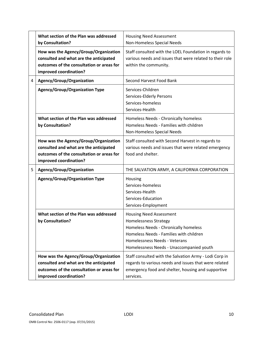|   | What section of the Plan was addressed<br>by Consultation?                                                                                             | <b>Housing Need Assessment</b><br>Non-Homeless Special Needs                                                                                                                                                                    |
|---|--------------------------------------------------------------------------------------------------------------------------------------------------------|---------------------------------------------------------------------------------------------------------------------------------------------------------------------------------------------------------------------------------|
|   | How was the Agency/Group/Organization<br>consulted and what are the anticipated<br>outcomes of the consultation or areas for<br>improved coordination? | Staff consulted with the LOEL Foundation in regards to<br>various needs and issues that were related to their role<br>within the community.                                                                                     |
| 4 | Agency/Group/Organization                                                                                                                              | Second Harvest Food Bank                                                                                                                                                                                                        |
|   | <b>Agency/Group/Organization Type</b>                                                                                                                  | Services-Children<br>Services-Elderly Persons<br>Services-homeless<br>Services-Health                                                                                                                                           |
|   | What section of the Plan was addressed<br>by Consultation?                                                                                             | Homeless Needs - Chronically homeless<br>Homeless Needs - Families with children<br>Non-Homeless Special Needs                                                                                                                  |
|   | How was the Agency/Group/Organization<br>consulted and what are the anticipated<br>outcomes of the consultation or areas for<br>improved coordination? | Staff consulted with Second Harvest in regards to<br>various needs and issues that were related emergency<br>food and shelter.                                                                                                  |
| 5 | Agency/Group/Organization                                                                                                                              | THE SALVATION ARMY, A CALIFORNIA CORPORATION                                                                                                                                                                                    |
|   | <b>Agency/Group/Organization Type</b>                                                                                                                  | Housing<br>Services-homeless<br>Services-Health<br>Services-Education<br>Services-Employment                                                                                                                                    |
|   | What section of the Plan was addressed<br>by Consultation?                                                                                             | <b>Housing Need Assessment</b><br><b>Homelessness Strategy</b><br>Homeless Needs - Chronically homeless<br>Homeless Needs - Families with children<br>Homelessness Needs - Veterans<br>Homelessness Needs - Unaccompanied youth |
|   | How was the Agency/Group/Organization<br>consulted and what are the anticipated<br>outcomes of the consultation or areas for<br>improved coordination? | Staff consulted with the Salvation Army - Lodi Corp in<br>regards to various needs and issues that were related<br>emergency food and shelter, housing and supportive<br>services.                                              |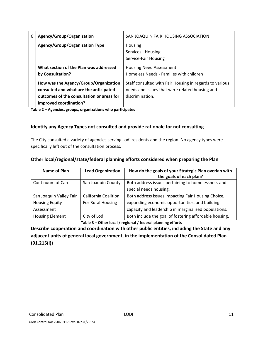| 6 | Agency/Group/Organization                                                                                                    | SAN JOAQUIN FAIR HOUSING ASSOCIATION                                                                                         |  |  |
|---|------------------------------------------------------------------------------------------------------------------------------|------------------------------------------------------------------------------------------------------------------------------|--|--|
|   | <b>Agency/Group/Organization Type</b>                                                                                        | Housing                                                                                                                      |  |  |
|   |                                                                                                                              | Services - Housing                                                                                                           |  |  |
|   |                                                                                                                              | Service-Fair Housing                                                                                                         |  |  |
|   | What section of the Plan was addressed                                                                                       | <b>Housing Need Assessment</b>                                                                                               |  |  |
|   | by Consultation?                                                                                                             | Homeless Needs - Families with children                                                                                      |  |  |
|   | How was the Agency/Group/Organization<br>consulted and what are the anticipated<br>outcomes of the consultation or areas for | Staff consulted with Fair Housing in regards to various<br>needs and issues that were related housing and<br>discrimination. |  |  |
|   | improved coordination?                                                                                                       |                                                                                                                              |  |  |

**Table 2 – Agencies, groups, organizations who participated**

#### **Identify any Agency Types not consulted and provide rationale for not consulting**

The City consulted a variety of agencies serving Lodi residents and the region. No agency types were specifically left out of the consultation process.

| Name of Plan            | <b>Lead Organization</b> | How do the goals of your Strategic Plan overlap with<br>the goals of each plan? |
|-------------------------|--------------------------|---------------------------------------------------------------------------------|
| Continuum of Care       | San Joaquin County       | Both address issues pertaining to homelessness and                              |
|                         |                          | special needs housing.                                                          |
| San Joaquin Valley Fair | California Coalition     | Both address issues impacting Fair Housing Choice,                              |
| <b>Housing Equity</b>   | For Rural Housing        | expanding economic opportunities, and building                                  |
| Assessment              |                          | capacity and leadership in marginalized populations.                            |
| <b>Housing Element</b>  | City of Lodi             | Both include the goal of fostering affordable housing.                          |

**Table 3 – Other local / regional / federal planning efforts**

**Describe cooperation and coordination with other public entities, including the State and any adjacent units of general local government, in the implementation of the Consolidated Plan (91.215(l))**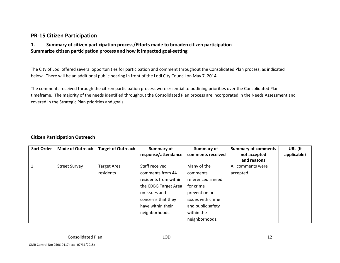## **PR‐15 Citizen Participation**

#### **1. Summary of citizen participation process/Efforts made to broaden citizen participation Summarize citizen participation process and how it impacted goal‐setting**

The City of Lodi offered several opportunities for participation and comment throughout the Consolidated Plan process, as indicated below. There will be an additional public hearing in front of the Lodi City Council on May 7, 2014.

The comments received through the citizen participation process were essential to outlining priorities over the Consolidated Plan timeframe. The majority of the needs identified throughout the Consolidated Plan process are incorporated in the Needs Assessment and covered in the Strategic Plan priorities and goals.

#### **Citizen Participation Outreach**

| <b>Sort Order</b> | <b>Mode of Outreach</b> | <b>Target of Outreach</b> | <b>Summary of</b>     | <b>Summary of</b> | <b>Summary of comments</b> | URL (If     |
|-------------------|-------------------------|---------------------------|-----------------------|-------------------|----------------------------|-------------|
|                   |                         |                           | response/attendance   | comments received | not accepted               | applicable) |
|                   |                         |                           |                       |                   | and reasons                |             |
|                   | <b>Street Survey</b>    | <b>Target Area</b>        | Staff received        | Many of the       | All comments were          |             |
|                   |                         | residents                 | comments from 44      | comments          | accepted.                  |             |
|                   |                         |                           | residents from within | referenced a need |                            |             |
|                   |                         |                           | the CDBG Target Area  | for crime         |                            |             |
|                   |                         |                           | on issues and         | prevention or     |                            |             |
|                   |                         |                           | concerns that they    | issues with crime |                            |             |
|                   |                         |                           | have within their     | and public safety |                            |             |
|                   |                         |                           | neighborhoods.        | within the        |                            |             |
|                   |                         |                           |                       | neighborhoods.    |                            |             |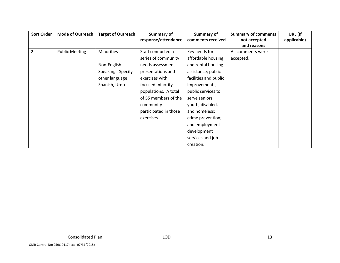| <b>Sort Order</b> | <b>Mode of Outreach</b> | <b>Target of Outreach</b> | Summary of                               | <b>Summary of</b>     | <b>Summary of comments</b> | URL (If     |
|-------------------|-------------------------|---------------------------|------------------------------------------|-----------------------|----------------------------|-------------|
|                   |                         |                           | response/attendance<br>comments received |                       | not accepted               | applicable) |
|                   |                         |                           |                                          |                       | and reasons                |             |
| 2                 | <b>Public Meeting</b>   | <b>Minorities</b>         | Staff conducted a                        | Key needs for         | All comments were          |             |
|                   |                         |                           | series of community                      | affordable housing    | accepted.                  |             |
|                   |                         | Non-English               | needs assessment                         | and rental housing    |                            |             |
|                   |                         | Speaking - Specify        | presentations and                        | assistance; public    |                            |             |
|                   |                         | other language:           | exercises with                           | facilities and public |                            |             |
|                   |                         | Spanish, Urdu             | focused minority                         | improvements;         |                            |             |
|                   |                         |                           | populations. A total                     | public services to    |                            |             |
|                   |                         |                           | of 55 members of the                     | serve seniors,        |                            |             |
|                   |                         |                           | community                                | youth, disabled,      |                            |             |
|                   |                         |                           | participated in those                    | and homeless;         |                            |             |
|                   |                         |                           | exercises.                               | crime prevention;     |                            |             |
|                   |                         |                           |                                          | and employment        |                            |             |
|                   |                         |                           |                                          | development           |                            |             |
|                   |                         |                           |                                          | services and job      |                            |             |
|                   |                         |                           |                                          | creation.             |                            |             |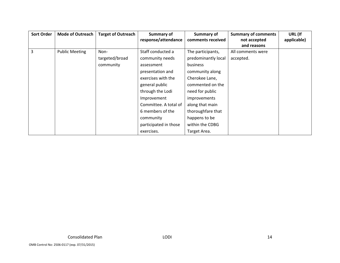| <b>Sort Order</b> | <b>Mode of Outreach</b> | <b>Target of Outreach</b> | Summary of            | <b>Summary of</b>   | <b>Summary of comments</b> | URL (If     |
|-------------------|-------------------------|---------------------------|-----------------------|---------------------|----------------------------|-------------|
|                   |                         |                           | response/attendance   | comments received   | not accepted               | applicable) |
|                   |                         |                           |                       |                     | and reasons                |             |
| $\overline{3}$    | <b>Public Meeting</b>   | Non-                      | Staff conducted a     | The participants,   | All comments were          |             |
|                   |                         | targeted/broad            | community needs       | predominantly local | accepted.                  |             |
|                   |                         | community                 | assessment            | <b>business</b>     |                            |             |
|                   |                         |                           | presentation and      | community along     |                            |             |
|                   |                         |                           | exercises with the    | Cherokee Lane,      |                            |             |
|                   |                         |                           | general public        | commented on the    |                            |             |
|                   |                         |                           | through the Lodi      | need for public     |                            |             |
|                   |                         |                           | Improvement           | <i>improvements</i> |                            |             |
|                   |                         |                           | Committee. A total of | along that main     |                            |             |
|                   |                         |                           | 6 members of the      | thoroughfare that   |                            |             |
|                   |                         |                           | community             | happens to be       |                            |             |
|                   |                         |                           | participated in those | within the CDBG     |                            |             |
|                   |                         |                           | exercises.            | Target Area.        |                            |             |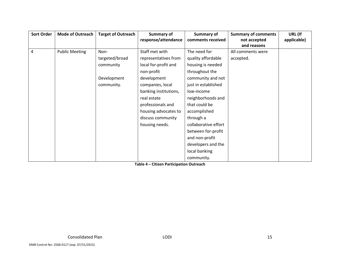| <b>Sort Order</b> | <b>Mode of Outreach</b> | <b>Target of Outreach</b> | <b>Summary of</b>     | <b>Summary of</b>    | <b>Summary of comments</b> | URL (If     |
|-------------------|-------------------------|---------------------------|-----------------------|----------------------|----------------------------|-------------|
|                   |                         |                           | response/attendance   | comments received    | not accepted               | applicable) |
|                   |                         |                           |                       |                      | and reasons                |             |
| 4                 | <b>Public Meeting</b>   | Non-                      | Staff met with        | The need for         | All comments were          |             |
|                   |                         | targeted/broad            | representatives from  | quality affordable   | accepted.                  |             |
|                   |                         | community                 | local for-profit and  | housing is needed    |                            |             |
|                   |                         |                           | non-profit            | throughout the       |                            |             |
|                   |                         | Development               | development           | community and not    |                            |             |
|                   |                         | community.                | companies, local      | just in established  |                            |             |
|                   |                         |                           | banking institutions, | low-income           |                            |             |
|                   |                         |                           | real estate           | neighborhoods and    |                            |             |
|                   |                         |                           | professionals and     | that could be        |                            |             |
|                   |                         |                           | housing advocates to  | accomplished         |                            |             |
|                   |                         |                           | discuss community     | through a            |                            |             |
|                   |                         |                           | housing needs.        | collaborative effort |                            |             |
|                   |                         |                           |                       | between for-profit   |                            |             |
|                   |                         |                           |                       | and non-profit       |                            |             |
|                   |                         |                           |                       | developers and the   |                            |             |
|                   |                         |                           |                       | local banking        |                            |             |
|                   |                         |                           |                       | community.           |                            |             |

**Table 4 – Citizen Participation Outreach**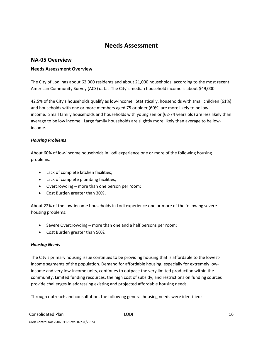## **Needs Assessment**

#### **NA‐05 Overview**

#### **Needs Assessment Overview**

The City of Lodi has about 62,000 residents and about 21,000 households, according to the most recent American Community Survey (ACS) data. The City's median household income is about \$49,000.

42.5% of the City's households qualify as low‐income. Statistically, households with small children (61%) and households with one or more members aged 75 or older (60%) are more likely to be low‐ income. Small family households and households with young senior (62‐74 years old) are less likely than average to be low income. Large family households are slightly more likely than average to be lowincome.

#### *Housing Problems*

About 60% of low‐income households in Lodi experience one or more of the following housing problems:

- Lack of complete kitchen facilities;
- Lack of complete plumbing facilities;
- Overcrowding more than one person per room;
- Cost Burden greater than 30% .

About 22% of the low‐income households in Lodi experience one or more of the following severe housing problems:

- Severe Overcrowding more than one and a half persons per room;
- Cost Burden greater than 50%.

#### *Housing Needs*

The City's primary housing issue continues to be providing housing that is affordable to the lowestincome segments of the population. Demand for affordable housing, especially for extremely low‐ income and very low‐income units, continues to outpace the very limited production within the community. Limited funding resources, the high cost of subsidy, and restrictions on funding sources provide challenges in addressing existing and projected affordable housing needs.

Through outreach and consultation, the following general housing needs were identified: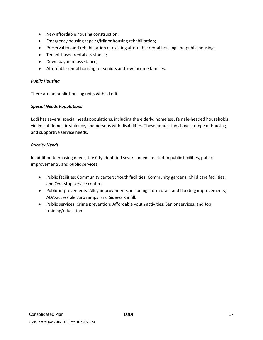- New affordable housing construction;
- Emergency housing repairs/Minor housing rehabilitation;
- Preservation and rehabilitation of existing affordable rental housing and public housing;
- Tenant-based rental assistance;
- Down payment assistance;
- Affordable rental housing for seniors and low-income families.

#### *Public Housing*

There are no public housing units within Lodi.

#### *Special Needs Populations*

Lodi has several special needs populations, including the elderly, homeless, female‐headed households, victims of domestic violence, and persons with disabilities. These populations have a range of housing and supportive service needs.

#### *Priority Needs*

In addition to housing needs, the City identified several needs related to public facilities, public improvements, and public services:

- Public facilities: Community centers; Youth facilities; Community gardens; Child care facilities; and One‐stop service centers.
- Public improvements: Alley improvements, including storm drain and flooding improvements; ADA‐accessible curb ramps; and Sidewalk infill.
- Public services: Crime prevention; Affordable youth activities; Senior services; and Job training/education.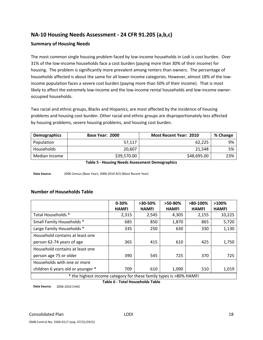## **NA‐10 Housing Needs Assessment ‐ 24 CFR 91.205 (a,b,c)**

#### **Summary of Housing Needs**

The most common single housing problem faced by low-income households in Lodi is cost burden. Over 31% of the low‐income households face a cost burden (paying more than 30% of their income) for housing. The problem is significantly more prevalent among renters than owners. The percentage of households affected is about the same for all lower-income categories. However, almost 18% of the lowincome population faces a severe cost burden (paying more than 50% of their income). That is most likely to affect the extremely low-income and the low-income rental households and low-income owneroccupied households.

Two racial and ethnic groups, Blacks and Hispanics, are most affected by the incidence of housing problems and housing cost burden. Other racial and ethnic groups are disproportionately less affected by housing problems, severe housing problems, and housing cost burden.

| Demographics  | Base Year: 2000 | <b>Most Recent Year: 2010</b> | % Change |
|---------------|-----------------|-------------------------------|----------|
| Population    | 57,117          | 62.225                        | 9%       |
| Households    | 20.607          | 21.548                        | 5%       |
| Median Income | \$39,570.00     | \$48,695.00                   | 23%      |

**Table 5 ‐ Housing Needs Assessment Demographics**

**Data Source:** 2000 Census (Base Year), 2006‐2010 ACS (Most Recent Year)

#### **Number of Households Table**

|                                                                    | $0 - 30%$    | $>30-50\%$   | $>50-80\%$   | $>80-100%$   | $>100\%$     |  |
|--------------------------------------------------------------------|--------------|--------------|--------------|--------------|--------------|--|
|                                                                    | <b>HAMFI</b> | <b>HAMFI</b> | <b>HAMFI</b> | <b>HAMFI</b> | <b>HAMFI</b> |  |
| Total Households *                                                 | 2,315        | 2,545        | 4,305        | 2,155        | 10,225       |  |
| Small Family Households *                                          | 685          | 850          | 1,870        | 865          | 5,720        |  |
| Large Family Households *                                          | 335          | 250          | 630          | 330          | 1,130        |  |
| Household contains at least one                                    |              |              |              |              |              |  |
| person 62-74 years of age                                          | 365          | 415          | 610          | 425          | 1,750        |  |
| Household contains at least one                                    |              |              |              |              |              |  |
| person age 75 or older                                             | 390          | 545          | 725          | 370          | 725          |  |
| Households with one or more                                        |              |              |              |              |              |  |
| children 6 years old or younger *                                  | 709          | 610          | 1,090        | 510          | 1,019        |  |
| * the highest income category for these family types is >80% HAMFI |              |              |              |              |              |  |

**Table 6 ‐ Total Households Table**

**Data Source:** 2006‐2010 CHAS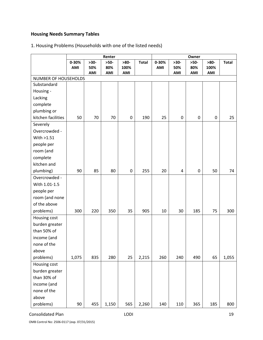## **Housing Needs Summary Tables**

## 1. Housing Problems (Households with one of the listed needs)

|                                     |           | Renter |        |                  |              |       | Owner            |           |        |              |  |
|-------------------------------------|-----------|--------|--------|------------------|--------------|-------|------------------|-----------|--------|--------------|--|
|                                     | $0 - 30%$ | $>30-$ | $>50-$ | $>80-$           | <b>Total</b> | 0-30% | $>30-$           | $>50-$    | $>80-$ | <b>Total</b> |  |
|                                     | AMI       | 50%    | 80%    | 100%             |              | AMI   | 50%              | 80%       | 100%   |              |  |
|                                     |           | AMI    | AMI    | AMI              |              |       | AMI              | AMI       | AMI    |              |  |
| NUMBER OF HOUSEHOLDS<br>Substandard |           |        |        |                  |              |       |                  |           |        |              |  |
| Housing -                           |           |        |        |                  |              |       |                  |           |        |              |  |
| Lacking                             |           |        |        |                  |              |       |                  |           |        |              |  |
| complete                            |           |        |        |                  |              |       |                  |           |        |              |  |
| plumbing or                         |           |        |        |                  |              |       |                  |           |        |              |  |
| kitchen facilities                  | 50        | 70     | 70     | $\boldsymbol{0}$ | 190          | 25    | $\boldsymbol{0}$ | $\pmb{0}$ | 0      | 25           |  |
| Severely                            |           |        |        |                  |              |       |                  |           |        |              |  |
| Overcrowded -                       |           |        |        |                  |              |       |                  |           |        |              |  |
| With >1.51                          |           |        |        |                  |              |       |                  |           |        |              |  |
| people per                          |           |        |        |                  |              |       |                  |           |        |              |  |
| room (and                           |           |        |        |                  |              |       |                  |           |        |              |  |
| complete                            |           |        |        |                  |              |       |                  |           |        |              |  |
| kitchen and                         |           |        |        |                  |              |       |                  |           |        |              |  |
| plumbing)                           | 90        | 85     | 80     | $\pmb{0}$        | 255          | 20    | 4                | $\pmb{0}$ | 50     | 74           |  |
| Overcrowded -                       |           |        |        |                  |              |       |                  |           |        |              |  |
| With 1.01-1.5                       |           |        |        |                  |              |       |                  |           |        |              |  |
| people per                          |           |        |        |                  |              |       |                  |           |        |              |  |
| room (and none                      |           |        |        |                  |              |       |                  |           |        |              |  |
| of the above                        |           |        |        |                  |              |       |                  |           |        |              |  |
| problems)                           | 300       | 220    | 350    | 35               | 905          | 10    | 30               | 185       | 75     | 300          |  |
| Housing cost                        |           |        |        |                  |              |       |                  |           |        |              |  |
| burden greater                      |           |        |        |                  |              |       |                  |           |        |              |  |
| than 50% of                         |           |        |        |                  |              |       |                  |           |        |              |  |
| income (and                         |           |        |        |                  |              |       |                  |           |        |              |  |
| none of the                         |           |        |        |                  |              |       |                  |           |        |              |  |
| above                               |           |        |        |                  |              |       |                  |           |        |              |  |
| problems)                           | 1,075     | 835    | 280    | 25               | 2,215        | 260   | 240              | 490       | 65     | 1,055        |  |
| Housing cost                        |           |        |        |                  |              |       |                  |           |        |              |  |
| burden greater                      |           |        |        |                  |              |       |                  |           |        |              |  |
| than 30% of                         |           |        |        |                  |              |       |                  |           |        |              |  |
| income (and                         |           |        |        |                  |              |       |                  |           |        |              |  |
| none of the                         |           |        |        |                  |              |       |                  |           |        |              |  |
| above                               |           |        |        |                  |              |       |                  |           |        |              |  |
| problems)                           | 90        | 455    | 1,150  | 565              | 2,260        | 140   | 110              | 365       | 185    | 800          |  |

Consolidated Plan 19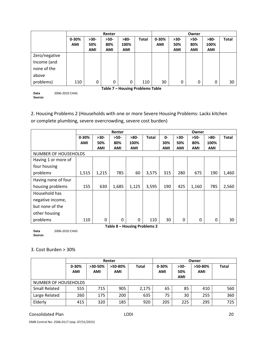|                                  |            | Renter     |            |            |              | Owner      |            |            |            |              |
|----------------------------------|------------|------------|------------|------------|--------------|------------|------------|------------|------------|--------------|
|                                  | $0 - 30%$  | $>30-$     | $>50-$     | $>80-$     | <b>Total</b> | $0 - 30%$  | $>30-$     | $>50-$     | $>80-$     | <b>Total</b> |
|                                  | <b>AMI</b> | 50%        | 80%        | 100%       |              | <b>AMI</b> | 50%        | 80%        | 100%       |              |
|                                  |            | <b>AMI</b> | <b>AMI</b> | <b>AMI</b> |              |            | <b>AMI</b> | <b>AMI</b> | <b>AMI</b> |              |
| Zero/negative                    |            |            |            |            |              |            |            |            |            |              |
| Income (and                      |            |            |            |            |              |            |            |            |            |              |
| none of the                      |            |            |            |            |              |            |            |            |            |              |
| above                            |            |            |            |            |              |            |            |            |            |              |
| problems)                        | 110        | 0          | 0          | 0          | 110          | 30         | 0          | 0          | $\Omega$   | 30           |
| Table 7 - Housing Problems Table |            |            |            |            |              |            |            |            |            |              |

**Data Source:** 2006‐2010 CHAS

2. Housing Problems 2 (Households with one or more Severe Housing Problems: Lacks kitchen

or complete plumbing, severe overcrowding, severe cost burden)

|                             |            | Renter   |          |                              |              |     |            | Owner  |        |              |
|-----------------------------|------------|----------|----------|------------------------------|--------------|-----|------------|--------|--------|--------------|
|                             | $0 - 30%$  | $>30-$   | $>50-$   | $>80-$                       | <b>Total</b> | 0-  | $>30-$     | $>50-$ | $>80-$ | <b>Total</b> |
|                             | <b>AMI</b> | 50%      | 80%      | 100%                         |              | 30% | 50%        | 80%    | 100%   |              |
|                             |            | AMI      | AMI      | AMI                          |              | AMI | <b>AMI</b> | AMI    | AMI    |              |
| <b>NUMBER OF HOUSEHOLDS</b> |            |          |          |                              |              |     |            |        |        |              |
| Having 1 or more of         |            |          |          |                              |              |     |            |        |        |              |
| four housing                |            |          |          |                              |              |     |            |        |        |              |
| problems                    | 1,515      | 1,215    | 785      | 60                           | 3,575        | 315 | 280        | 675    | 190    | 1,460        |
| Having none of four         |            |          |          |                              |              |     |            |        |        |              |
| housing problems            | 155        | 630      | 1,685    | 1,125                        | 3,595        | 190 | 425        | 1,160  | 785    | 2,560        |
| Household has               |            |          |          |                              |              |     |            |        |        |              |
| negative income,            |            |          |          |                              |              |     |            |        |        |              |
| but none of the             |            |          |          |                              |              |     |            |        |        |              |
| other housing               |            |          |          |                              |              |     |            |        |        |              |
| problems                    | 110        | $\Omega$ | $\Omega$ | $\Omega$                     | 110          | 30  | 0          | 0      | 0      | 30           |
|                             |            |          |          | Table 8 - Housing Problems 2 |              |     |            |        |        |              |

**Data Source:** 2006‐2010 CHAS

## 3. Cost Burden > 30%

|                      |                         |                         | Renter           |              | Owner                   |                             |                       |              |
|----------------------|-------------------------|-------------------------|------------------|--------------|-------------------------|-----------------------------|-----------------------|--------------|
|                      | $0 - 30%$<br><b>AMI</b> | $>30-50%$<br><b>AMI</b> | $>50-80%$<br>AMI | <b>Total</b> | $0 - 30%$<br><b>AMI</b> | $>30-$<br>50%<br><b>AMI</b> | >50-80%<br><b>AMI</b> | <b>Total</b> |
| NUMBER OF HOUSEHOLDS |                         |                         |                  |              |                         |                             |                       |              |
| <b>Small Related</b> | 555                     | 715                     | 905              | 2,175        | 65                      | 85                          | 410                   | 560          |
| Large Related        | 260                     | 175                     | 200              | 635          | 75                      | 30                          | 255                   | 360          |
| Elderly              | 415                     | 320                     | 185              | 920          | 205                     | 225                         | 295                   | 725          |

#### Consolidated Plan 20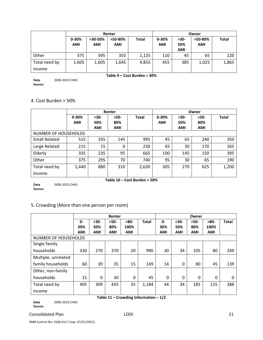|               |                         |                         | Renter           |                             | Owner            |               |                       |              |
|---------------|-------------------------|-------------------------|------------------|-----------------------------|------------------|---------------|-----------------------|--------------|
|               | $0 - 30%$<br><b>AMI</b> | $>30-50%$<br><b>AMI</b> | $>50-80%$<br>AMI | Total                       | $0 - 30%$<br>AMI | $>30-$<br>50% | >50-80%<br><b>AMI</b> | <b>Total</b> |
|               |                         |                         |                  |                             |                  | <b>AMI</b>    |                       |              |
| Other         | 375                     | 395                     | 355              | 1,125                       | 110              | 45            | 65                    | 220          |
| Total need by | 1,605                   | 1,605                   | 1,645            | 4,855                       | 455              | 385           | 1,025                 | 1,865        |
| income        |                         |                         |                  |                             |                  |               |                       |              |
|               |                         |                         |                  | Table 9 – Cost Burden > 30% |                  |               |                       |              |

**Data Source:** 2006‐2010 CHAS

#### 4. Cost Burden > 50%

|                      |            |            | Renter     |              | Owner      |            |            |              |  |
|----------------------|------------|------------|------------|--------------|------------|------------|------------|--------------|--|
|                      | $0 - 30%$  | $>30-$     | $>50-$     | <b>Total</b> | $0 - 30%$  | $>30-$     | $>50-$     | <b>Total</b> |  |
|                      | <b>AMI</b> | 50%        | 80%        |              | <b>AMI</b> | 50%        | 80%        |              |  |
|                      |            | <b>AMI</b> | <b>AMI</b> |              |            | <b>AMI</b> | <b>AMI</b> |              |  |
| NUMBER OF HOUSEHOLDS |            |            |            |              |            |            |            |              |  |
| <b>Small Related</b> | 515        | 335        | 145        | 995          | 45         | 65         | 240        | 350          |  |
| Large Related        | 215        | 15         | $\Omega$   | 230          | 65         | 30         | 170        | 265          |  |
| Elderly              | 335        | 235        | 95         | 665          | 100        | 145        | 150        | 395          |  |
| Other                | 375        | 295        | 70         | 740          | 95         | 30         | 65         | 190          |  |
| Total need by        | 1,440      | 880        | 310        | 2,630        | 305        | 270        | 625        | 1,200        |  |
| income               |            |            |            |              |            |            |            |              |  |

**Data Source:** 2006‐2010 CHAS

#### **Table 10 – Cost Burden > 50%**

#### 5. Crowding (More than one person per room)

|                     |                             | Renter     |            |            |              |            | Owner      |            |            |              |
|---------------------|-----------------------------|------------|------------|------------|--------------|------------|------------|------------|------------|--------------|
|                     | 0-                          | $>30-$     | $>50-$     | $>80-$     | <b>Total</b> | 0-         | $>30-$     | $>50-$     | $>80-$     | <b>Total</b> |
|                     | 30%                         | 50%        | 80%        | 100%       |              | 30%        | 50%        | 80%        | 100%       |              |
|                     | <b>AMI</b>                  | <b>AMI</b> | <b>AMI</b> | <b>AMI</b> |              | <b>AMI</b> | <b>AMI</b> | <b>AMI</b> | <b>AMI</b> |              |
|                     | <b>NUMBER OF HOUSEHOLDS</b> |            |            |            |              |            |            |            |            |              |
| Single family       |                             |            |            |            |              |            |            |            |            |              |
| households          | 330                         | 270        | 370        | 20         | 990          | 30         | 34         | 105        | 80         | 249          |
| Multiple, unrelated |                             |            |            |            |              |            |            |            |            |              |
| family households   | 60                          | 39         | 35         | 15         | 149          | 14         | $\Omega$   | 80         | 45         | 139          |
| Other, non-family   |                             |            |            |            |              |            |            |            |            |              |
| households          | 15                          | 0          | 30         | 0          | 45           | $\Omega$   | $\Omega$   | $\Omega$   | $\Omega$   | 0            |
| Total need by       | 405                         | 309        | 435        | 35         | 1,184        | 44         | 34         | 185        | 125        | 388          |
| income              |                             |            |            |            |              |            |            |            |            |              |

**Table 11 – Crowding Information – 1/2**

**Data Source:** 2006‐2010 CHAS

#### Consolidated Plan 21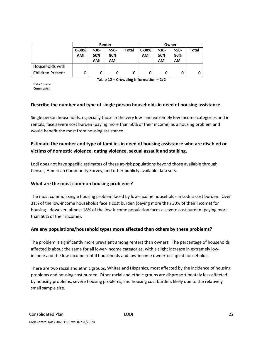|                  | Renter     |        |      |       | Owner     |        |      |       |  |
|------------------|------------|--------|------|-------|-----------|--------|------|-------|--|
|                  | $0 - 30%$  | $>30-$ | >50- | Total | $0 - 30%$ | $>30-$ | >50- | Total |  |
|                  | <b>AMI</b> | 50%    | 80%  |       | AMI       | 50%    | 80%  |       |  |
|                  |            | AMI    | AMI  |       |           | AMI    | AMI  |       |  |
| Households with  |            |        |      |       |           |        |      |       |  |
| Children Present |            | 0      | 0    | 0     | 0         |        | 0    | 0     |  |

**Table 12 – Crowding Information – 2/2**

**Data Source Comments:**

#### **Describe the number and type of single person households in need of housing assistance.**

Single person households, especially those in the very low‐ and extremely low‐income categories and in rentals, face severe cost burden (paying more than 50% of their income) as a housing problem and would benefit the most from housing assistance.

## **Estimate the number and type of families in need of housing assistance who are disabled or victims of domestic violence, dating violence, sexual assault and stalking.**

Lodi does not have specific estimates of these at-risk populations beyond those available through Census, American Community Survey, and other publicly available data sets.

#### **What are the most common housing problems?**

The most common single housing problem faced by low-income households in Lodi is cost burden. Over 31% of the low‐income households face a cost burden (paying more than 30% of their income) for housing. However, almost 18% of the low-income population faces a severe cost burden (paying more than 50% of their income).

#### **Are any populations/household types more affected than others by these problems?**

The problem is significantly more prevalent among renters than owners. The percentage of households affected is about the same for all lower-income categories, with a slight increase in extremely lowincome and the low‐income rental households and low‐income owner‐occupied households.

There are two racial and ethnic groups, Whites and Hispanics, most affected by the incidence of housing problems and housing cost burden. Other racial and ethnic groups are disproportionately less affected by housing problems, severe housing problems, and housing cost burden, likely due to the relatively small sample size.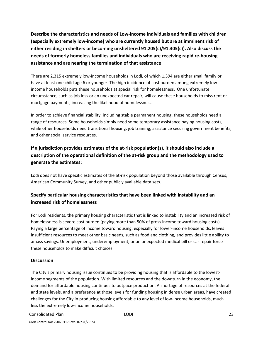**Describe the characteristics and needs of Low‐income individuals and families with children (especially extremely low‐income) who are currently housed but are at imminent risk of either residing in shelters or becoming unsheltered 91.205(c)/91.305(c)). Also discuss the needs of formerly homeless families and individuals who are receiving rapid re‐housing assistance and are nearing the termination of that assistance**

There are 2,315 extremely low‐income households in Lodi, of which 1,394 are either small family or have at least one child age 6 or younger. The high incidence of cost burden among extremely lowincome households puts these households at special risk for homelessness. One unfortunate circumstance, such as job loss or an unexpected car repair, will cause these households to miss rent or mortgage payments, increasing the likelihood of homelessness.

In order to achieve financial stability, including stable permanent housing, these households need a range of resources. Some households simply need some temporary assistance paying housing costs, while other households need transitional housing, job training, assistance securing government benefits, and other social service resources.

## **If a jurisdiction provides estimates of the at‐risk population(s), it should also include a description of the operational definition of the at‐risk group and the methodology used to generate the estimates:**

Lodi does not have specific estimates of the at-risk population beyond those available through Census, American Community Survey, and other publicly available data sets.

## **Specify particular housing characteristics that have been linked with instability and an increased risk of homelessness**

For Lodi residents, the primary housing characteristic that is linked to instability and an increased risk of homelessness is severe cost burden (paying more than 50% of gross income toward housing costs). Paying a large percentage of income toward housing, especially for lower-income households, leaves insufficient resources to meet other basic needs, such as food and clothing, and provides little ability to amass savings. Unemployment, underemployment, or an unexpected medical bill or car repair force these households to make difficult choices.

#### **Discussion**

The City's primary housing issue continues to be providing housing that is affordable to the lowest‐ income segments of the population. With limited resources and the downturn in the economy, the demand for affordable housing continues to outpace production. A shortage of resources at the federal and state levels, and a preference at those levels for funding housing in dense urban areas, have created challenges for the City in producing housing affordable to any level of low‐income households, much less the extremely low‐income households.

#### Consolidated Plan LODI 23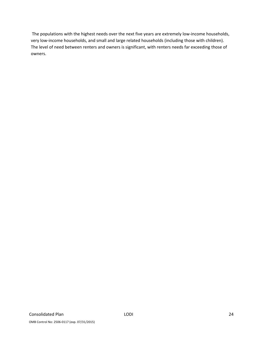The populations with the highest needs over the next five years are extremely low-income households, very low-income households, and small and large related households (including those with children). The level of need between renters and owners is significant, with renters needs far exceeding those of owners.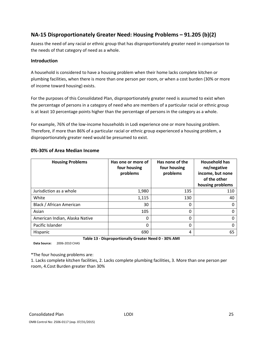## **NA‐15 Disproportionately Greater Need: Housing Problems – 91.205 (b)(2)**

Assess the need of any racial or ethnic group that has disproportionately greater need in comparison to the needs of that category of need as a whole.

#### **Introduction**

A household is considered to have a housing problem when their home lacks complete kitchen or plumbing facilities, when there is more than one person per room, or when a cost burden (30% or more of income toward housing) exists.

For the purposes of this Consolidated Plan, disproportionately greater need is assumed to exist when the percentage of persons in a category of need who are members of a particular racial or ethnic group is at least 10 percentage points higher than the percentage of persons in the category as a whole.

For example, 76% of the low-income households in Lodi experience one or more housing problem. Therefore, if more than 86% of a particular racial or ethnic group experienced a housing problem, a disproportionately greater need would be presumed to exist.

| <b>Housing Problems</b>        | Has one or more of<br>four housing<br>problems | Has none of the<br>four housing<br>problems | <b>Household has</b><br>no/negative<br>income, but none<br>of the other<br>housing problems |
|--------------------------------|------------------------------------------------|---------------------------------------------|---------------------------------------------------------------------------------------------|
| Jurisdiction as a whole        | 1,980                                          | 135                                         | 110                                                                                         |
| White                          | 1,115                                          | 130                                         | 40                                                                                          |
| Black / African American       | 30                                             | 0                                           |                                                                                             |
| Asian                          | 105                                            | 0                                           |                                                                                             |
| American Indian, Alaska Native | 0                                              | 0                                           |                                                                                             |
| Pacific Islander               | 0                                              | $\Omega$                                    |                                                                                             |
| Hispanic                       | 690                                            | 4                                           | 65                                                                                          |

#### **0%‐30% of Area Median Income**

**Table 13 ‐ Disproportionally Greater Need 0 ‐ 30% AMI**

**Data Source:** 2006‐2010 CHAS

\*The four housing problems are:

1. Lacks complete kitchen facilities, 2. Lacks complete plumbing facilities, 3. More than one person per room, 4.Cost Burden greater than 30%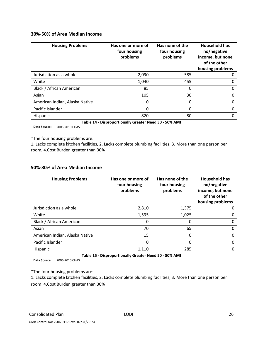#### **30%‐50% of Area Median Income**

| <b>Housing Problems</b>        | Has one or more of<br>four housing<br>problems | Has none of the<br>four housing<br>problems | <b>Household has</b><br>no/negative<br>income, but none<br>of the other<br>housing problems |
|--------------------------------|------------------------------------------------|---------------------------------------------|---------------------------------------------------------------------------------------------|
| Jurisdiction as a whole        | 2,090                                          | 585                                         |                                                                                             |
| White                          | 1,040                                          | 455                                         | O                                                                                           |
| Black / African American       | 85                                             | 0                                           | 0                                                                                           |
| Asian                          | 105                                            | 30                                          | 0                                                                                           |
| American Indian, Alaska Native | 0                                              | 0                                           | 0                                                                                           |
| Pacific Islander               | 0                                              | 0                                           | 0                                                                                           |
| Hispanic                       | 820                                            | 80                                          |                                                                                             |

**Table 14 ‐ Disproportionally Greater Need 30 ‐ 50% AMI**

**Data Source:** 2006‐2010 CHAS

\*The four housing problems are:

1. Lacks complete kitchen facilities, 2. Lacks complete plumbing facilities, 3. More than one person per room, 4.Cost Burden greater than 30%

#### **50%‐80% of Area Median Income**

| <b>Housing Problems</b>        | Has one or more of<br>four housing<br>problems | Has none of the<br>four housing<br>problems | <b>Household has</b><br>no/negative<br>income, but none<br>of the other<br>housing problems |
|--------------------------------|------------------------------------------------|---------------------------------------------|---------------------------------------------------------------------------------------------|
| Jurisdiction as a whole        | 2,810                                          | 1,375                                       |                                                                                             |
| White                          | 1,595                                          | 1,025                                       |                                                                                             |
| Black / African American       | 0                                              | $\mathbf{0}$                                |                                                                                             |
| Asian                          | 70                                             | 65                                          |                                                                                             |
| American Indian, Alaska Native | 15                                             | $\mathbf{0}$                                |                                                                                             |
| Pacific Islander               | 0                                              | $\mathbf{0}$                                |                                                                                             |
| Hispanic                       | 1,110                                          | 285                                         |                                                                                             |

**Table 15 ‐ Disproportionally Greater Need 50 ‐ 80% AMI**

**Data Source:** 2006‐2010 CHAS

\*The four housing problems are:

1. Lacks complete kitchen facilities, 2. Lacks complete plumbing facilities, 3. More than one person per room, 4.Cost Burden greater than 30%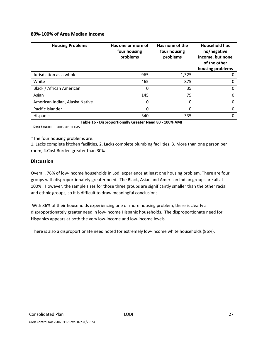#### **80%‐100% of Area Median Income**

| <b>Housing Problems</b>        | Has one or more of<br>four housing<br>problems | Has none of the<br>four housing<br>problems | <b>Household has</b><br>no/negative<br>income, but none<br>of the other<br>housing problems |
|--------------------------------|------------------------------------------------|---------------------------------------------|---------------------------------------------------------------------------------------------|
| Jurisdiction as a whole        | 965                                            | 1,325                                       | O                                                                                           |
| White                          | 465                                            | 875                                         | 0                                                                                           |
| Black / African American       | 0                                              | 35                                          | 0                                                                                           |
| Asian                          | 145                                            | 75                                          | 0                                                                                           |
| American Indian, Alaska Native | 0                                              | 0                                           | 0                                                                                           |
| Pacific Islander               | 0                                              | 0                                           | O                                                                                           |
| Hispanic                       | 340                                            | 335                                         |                                                                                             |

**Table 16 ‐ Disproportionally Greater Need 80 ‐ 100% AMI**

**Data Source:** 2006‐2010 CHAS

\*The four housing problems are:

1. Lacks complete kitchen facilities, 2. Lacks complete plumbing facilities, 3. More than one person per room, 4.Cost Burden greater than 30%

#### **Discussion**

Overall, 76% of low‐income households in Lodi experience at least one housing problem. There are four groups with disproportionately greater need. The Black, Asian and American Indian groups are all at 100%. However, the sample sizes for those three groups are significantly smaller than the other racial and ethnic groups, so it is difficult to draw meaningful conclusions.

With 86% of their households experiencing one or more housing problem, there is clearly a disproportionately greater need in low‐income Hispanic households. The disproportionate need for Hispanics appears at both the very low-income and low-income levels.

There is also a disproportionate need noted for extremely low‐income white households (86%).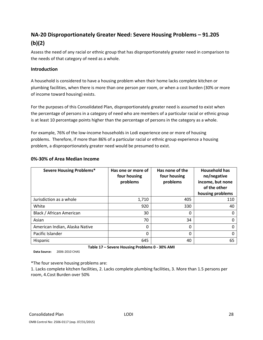## **NA‐20 Disproportionately Greater Need: Severe Housing Problems – 91.205 (b)(2)**

Assess the need of any racial or ethnic group that has disproportionately greater need in comparison to the needs of that category of need as a whole.

#### **Introduction**

A household is considered to have a housing problem when their home lacks complete kitchen or plumbing facilities, when there is more than one person per room, or when a cost burden (30% or more of income toward housing) exists.

For the purposes of this Consolidated Plan, disproportionately greater need is assumed to exist when the percentage of persons in a category of need who are members of a particular racial or ethnic group is at least 10 percentage points higher than the percentage of persons in the category as a whole.

For example, 76% of the low-income households in Lodi experience one or more of housing problems. Therefore, if more than 86% of a particular racial or ethnic group experience a housing problem, a disproportionately greater need would be presumed to exist.

| <b>Severe Housing Problems*</b> | Has one or more of<br>four housing<br>problems | Has none of the<br>four housing<br>problems | <b>Household has</b><br>no/negative<br>income, but none<br>of the other<br>housing problems |  |
|---------------------------------|------------------------------------------------|---------------------------------------------|---------------------------------------------------------------------------------------------|--|
| Jurisdiction as a whole         | 1,710                                          | 405                                         | 110                                                                                         |  |
| White                           | 920                                            | 330                                         | 40                                                                                          |  |
| Black / African American        | 30                                             | 0                                           |                                                                                             |  |
| Asian                           | 70                                             | 34                                          |                                                                                             |  |
| American Indian, Alaska Native  | 0                                              | 0                                           |                                                                                             |  |
| Pacific Islander                | 0                                              | $\Omega$                                    |                                                                                             |  |
| Hispanic                        | 645                                            | 40                                          | 65                                                                                          |  |

#### **0%‐30% of Area Median Income**

**Data Source:** 2006‐2010 CHAS

**Table 17 – Severe Housing Problems 0 ‐ 30% AMI**

\*The four severe housing problems are:

1. Lacks complete kitchen facilities, 2. Lacks complete plumbing facilities, 3. More than 1.5 persons per room, 4.Cost Burden over 50%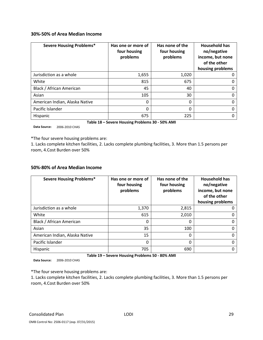#### **30%‐50% of Area Median Income**

| <b>Severe Housing Problems*</b> | Has one or more of<br>four housing<br>problems | Has none of the<br>four housing<br>problems | <b>Household has</b><br>no/negative<br>income, but none<br>of the other<br>housing problems |  |
|---------------------------------|------------------------------------------------|---------------------------------------------|---------------------------------------------------------------------------------------------|--|
| Jurisdiction as a whole         | 1,655                                          | 1,020                                       |                                                                                             |  |
| White                           | 815                                            | 675                                         | O                                                                                           |  |
| Black / African American        | 45                                             | 40                                          | 0                                                                                           |  |
| Asian                           | 105                                            | 30                                          | 0                                                                                           |  |
| American Indian, Alaska Native  | 0                                              | 0                                           | 0                                                                                           |  |
| Pacific Islander                | 0                                              | 0                                           | 0                                                                                           |  |
| Hispanic                        | 675                                            | 225                                         |                                                                                             |  |

**Table 18 – Severe Housing Problems 30 ‐ 50% AMI**

**Data Source:** 2006‐2010 CHAS

\*The four severe housing problems are:

1. Lacks complete kitchen facilities, 2. Lacks complete plumbing facilities, 3. More than 1.5 persons per room, 4.Cost Burden over 50%

#### **50%‐80% of Area Median Income**

| <b>Severe Housing Problems*</b> | Has one or more of<br>four housing<br>problems | Has none of the<br>four housing<br>problems | <b>Household has</b><br>no/negative<br>income, but none<br>of the other<br>housing problems |  |
|---------------------------------|------------------------------------------------|---------------------------------------------|---------------------------------------------------------------------------------------------|--|
| Jurisdiction as a whole         | 1,370                                          | 2,815                                       |                                                                                             |  |
| White                           | 615                                            | 2,010                                       |                                                                                             |  |
| Black / African American        | 0                                              | 0                                           |                                                                                             |  |
| Asian                           | 35                                             | 100                                         |                                                                                             |  |
| American Indian, Alaska Native  | 15                                             | 0                                           |                                                                                             |  |
| Pacific Islander                | 0                                              | 0                                           |                                                                                             |  |
| Hispanic                        | 705                                            | 690                                         |                                                                                             |  |

**Table 19 – Severe Housing Problems 50 ‐ 80% AMI**

**Data Source:** 2006‐2010 CHAS

\*The four severe housing problems are:

1. Lacks complete kitchen facilities, 2. Lacks complete plumbing facilities, 3. More than 1.5 persons per room, 4.Cost Burden over 50%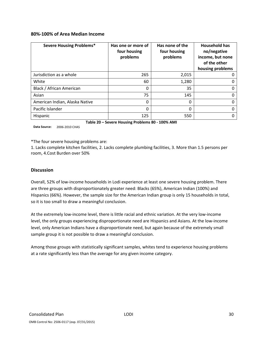#### **80%‐100% of Area Median Income**

| <b>Severe Housing Problems*</b> | Has one or more of<br>four housing<br>problems | Has none of the<br>four housing<br>problems | <b>Household has</b><br>no/negative<br>income, but none<br>of the other<br>housing problems |  |
|---------------------------------|------------------------------------------------|---------------------------------------------|---------------------------------------------------------------------------------------------|--|
| Jurisdiction as a whole         | 265                                            | 2,015                                       |                                                                                             |  |
| White                           | 60                                             | 1,280                                       | O                                                                                           |  |
| Black / African American        | 0                                              | 35                                          | 0                                                                                           |  |
| Asian                           | 75                                             | 145                                         | 0                                                                                           |  |
| American Indian, Alaska Native  | 0                                              | 0                                           | 0                                                                                           |  |
| Pacific Islander                | 0                                              | 0                                           | 0                                                                                           |  |
| Hispanic                        | 125                                            | 550                                         |                                                                                             |  |

**Table 20 – Severe Housing Problems 80 ‐ 100% AMI**

**Data Source:** 2006‐2010 CHAS

\*The four severe housing problems are:

1. Lacks complete kitchen facilities, 2. Lacks complete plumbing facilities, 3. More than 1.5 persons per room, 4.Cost Burden over 50%

#### **Discussion**

Overall, 52% of low‐income households in Lodi experience at least one severe housing problem. There are three groups with disproportionately greater need: Blacks (65%), American Indian (100%) and Hispanics (66%). However, the sample size for the American Indian group is only 15 households in total, so it is too small to draw a meaningful conclusion.

At the extremely low‐income level, there is little racial and ethnic variation. At the very low‐income level, the only groups experiencing disproportionate need are Hispanics and Asians. At the low‐income level, only American Indians have a disproportionate need, but again because of the extremely small sample group it is not possible to draw a meaningful conclusion.

Among those groups with statistically significant samples, whites tend to experience housing problems at a rate significantly less than the average for any given income category.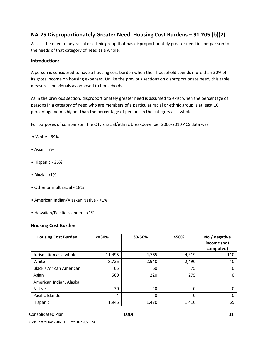## **NA‐25 Disproportionately Greater Need: Housing Cost Burdens – 91.205 (b)(2)**

Assess the need of any racial or ethnic group that has disproportionately greater need in comparison to the needs of that category of need as a whole.

#### **Introduction:**

A person is considered to have a housing cost burden when their household spends more than 30% of its gross income on housing expenses. Unlike the previous sections on disproportionate need, this table measures individuals as opposed to households.

As in the previous section, disproportionately greater need is assumed to exist when the percentage of persons in a category of need who are members of a particular racial or ethnic group is at least 10 percentage points higher than the percentage of persons in the category as a whole.

For purposes of comparison, the City's racial/ethnic breakdown per 2006‐2010 ACS data was:

- White ‐ 69%
- Asian ‐ 7%
- Hispanic ‐ 36%
- Black ‐ <1%
- Other or multiracial ‐ 18%
- American Indian/Alaskan Native ‐ <1%
- Hawaiian/Pacific Islander ‐ <1%

#### **Housing Cost Burden**

| <b>Housing Cost Burden</b> | $<=$ 30% | 30-50% | >50%  | No / negative<br>income (not<br>computed) |  |
|----------------------------|----------|--------|-------|-------------------------------------------|--|
| Jurisdiction as a whole    | 11,495   | 4,765  | 4,319 | 110                                       |  |
| White                      | 8,725    | 2,940  | 2,490 | 40                                        |  |
| Black / African American   | 65       | 60     | 75    | 0                                         |  |
| Asian                      | 560      | 220    | 275   |                                           |  |
| American Indian, Alaska    |          |        |       |                                           |  |
| <b>Native</b>              | 70       | 20     | 0     |                                           |  |
| Pacific Islander           | 4        | 0      | 0     | O                                         |  |
| Hispanic                   | 1,945    | 1,470  | 1,410 | 65                                        |  |

#### Consolidated Plan 21 and 2008 to the LODI 21 and 2008 to the 2009 to the 2009 to 2009 to 2009 to 201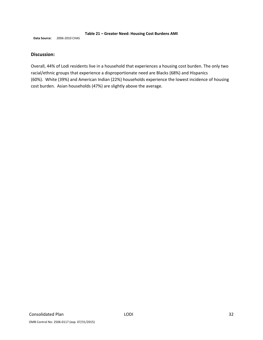#### **Table 21 – Greater Need: Housing Cost Burdens AMI**

**Data Source:** 2006‐2010 CHAS

#### **Discussion:**

Overall, 44% of Lodi residents live in a household that experiences a housing cost burden. The only two racial/ethnic groups that experience a disproportionate need are Blacks (68%) and Hispanics (60%). White (39%) and American Indian (22%) households experience the lowest incidence of housing cost burden. Asian households (47%) are slightly above the average.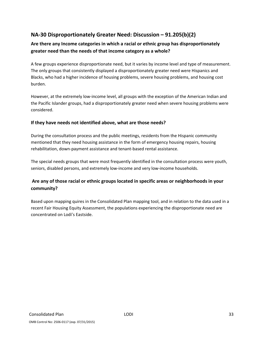## **NA‐30 Disproportionately Greater Need: Discussion – 91.205(b)(2)**

## **Are there any Income categories in which a racial or ethnic group has disproportionately greater need than the needs of that income category as a whole?**

A few groups experience disproportionate need, but it varies by income level and type of measurement. The only groups that consistently displayed a disproportionately greater need were Hispanics and Blacks, who had a higher incidence of housing problems, severe housing problems, and housing cost burden.

However, at the extremely low‐income level, all groups with the exception of the American Indian and the Pacific Islander groups, had a disproportionately greater need when severe housing problems were considered.

#### **If they have needs not identified above, what are those needs?**

During the consultation process and the public meetings, residents from the Hispanic community mentioned that they need housing assistance in the form of emergency housing repairs, housing rehabilitation, down‐payment assistance and tenant‐based rental assistance.

The special needs groups that were most frequently identified in the consultation process were youth, seniors, disabled persons, and extremely low-income and very low-income households.

## **Are any of those racial or ethnic groups located in specific areas or neighborhoods in your community?**

Based upon mapping quires in the Consolidated Plan mapping tool, and in relation to the data used in a recent Fair Housing Equity Assessment, the populations experiencing the disproportionate need are concentrated on Lodi's Eastside.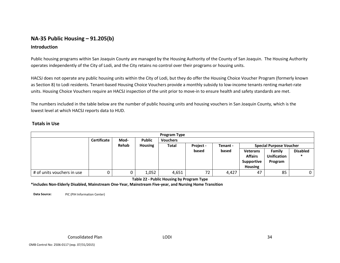## **NA‐35 Public Housing – 91.205(b)**

#### **Introduction**

Public housing programs within San Joaquin County are managed by the Housing Authority of the County of San Joaquin. The Housing Authority operates independently of the City of Lodi, and the City retains no control over their programs or housing units.

HACSJ does not operate any public housing units within the City of Lodi, but they do offer the Housing Choice Voucher Program (formerly known as Section 8) to Lodi residents. Tenant‐based Housing Choice Vouchers provide <sup>a</sup> monthly subsidy to low‐income tenants renting market‐rate units. Housing Choice Vouchers require an HACSJ inspection of the unit prior to move‐in to ensure health and safety standards are met.

The numbers included in the table below are the number of public housing units and housing vouchers in San Joaquin County, which is the lowest level at which HACSJ reports data to HUD.

#### **Totals in Use**

| <b>Program Type</b>        |                    |       |                                  |       |       |                                |                 |                    |                 |
|----------------------------|--------------------|-------|----------------------------------|-------|-------|--------------------------------|-----------------|--------------------|-----------------|
|                            | <b>Certificate</b> | Mod-  | <b>Public</b><br><b>Vouchers</b> |       |       |                                |                 |                    |                 |
|                            |                    | Rehab | <b>Housing</b>                   | Total |       | <b>Special Purpose Voucher</b> |                 |                    |                 |
|                            |                    |       |                                  |       | based | based                          | <b>Veterans</b> | Family             | <b>Disabled</b> |
|                            |                    |       |                                  |       |       |                                | <b>Affairs</b>  | <b>Unification</b> |                 |
|                            |                    |       |                                  |       |       |                                | Supportive      | Program            |                 |
|                            |                    |       |                                  |       |       |                                | <b>Housing</b>  |                    |                 |
| # of units vouchers in use |                    |       | 1,052                            | 4,651 | 72    | 4,427                          | 47              | 85                 |                 |

**Table 22 ‐ Public Housing by Program Type**

**\*includes Non‐Elderly Disabled, Mainstream One‐Year, Mainstream Five‐year, and Nursing Home Transition**

**Data Source:** PIC(PIH Information Center)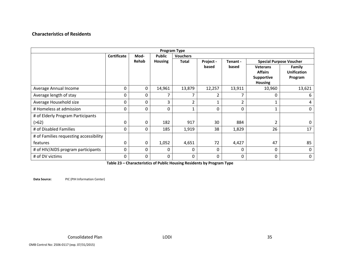#### **Characteristics of Residents**

| <b>Program Type</b>                    |                    |          |                |                 |           |              |                                                                          |                                         |  |
|----------------------------------------|--------------------|----------|----------------|-----------------|-----------|--------------|--------------------------------------------------------------------------|-----------------------------------------|--|
|                                        | <b>Certificate</b> | Mod-     | <b>Public</b>  | <b>Vouchers</b> |           |              |                                                                          |                                         |  |
|                                        |                    | Rehab    | <b>Housing</b> | <b>Total</b>    | Project - | Tenant -     | <b>Special Purpose Voucher</b>                                           |                                         |  |
|                                        |                    |          |                |                 | based     | based        | <b>Veterans</b><br><b>Affairs</b><br><b>Supportive</b><br><b>Housing</b> | Family<br><b>Unification</b><br>Program |  |
| Average Annual Income                  | 0                  | 0        | 14,961         | 13,879          | 12,257    | 13,911       | 10,960                                                                   | 13,621                                  |  |
| Average length of stay                 | 0                  | 0        | 7              |                 | 2         |              | 0                                                                        | 6                                       |  |
| Average Household size                 | 0                  | 0        | 3              | 2               | 1         | 2            | 1                                                                        | 4                                       |  |
| # Homeless at admission                | 0                  | 0        | 0              | 1               | $\Omega$  | $\Omega$     | 1                                                                        | 0                                       |  |
| # of Elderly Program Participants      |                    |          |                |                 |           |              |                                                                          |                                         |  |
| ( > 62)                                | 0                  | 0        | 182            | 917             | 30        | 884          | 2                                                                        | $\Omega$                                |  |
| # of Disabled Families                 | 0                  | 0        | 185            | 1,919           | 38        | 1,829        | 26                                                                       | 17                                      |  |
| # of Families requesting accessibility |                    |          |                |                 |           |              |                                                                          |                                         |  |
| features                               | 0                  | 0        | 1,052          | 4,651           | 72        | 4,427        | 47                                                                       | 85                                      |  |
| # of HIV/AIDS program participants     | 0                  | 0        | 0              | 0               | $\Omega$  | 0            | 0                                                                        | $\Omega$                                |  |
| # of DV victims                        | $\Omega$           | $\Omega$ | $\Omega$       | $\mathbf{0}$    | $\Omega$  | $\mathbf{0}$ | $\Omega$                                                                 | 0                                       |  |

**Table 23 – Characteristics of Public Housing Residents by Program Type**

**Data Source:** PIC(PIH Information Center)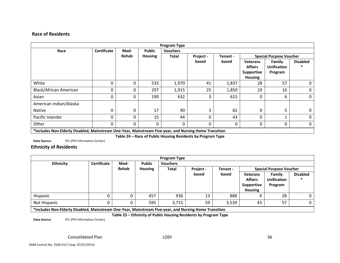### **Race of Residents**

| <b>Program Type</b>                                                                                    |                    |          |                |                 |           |                                            |                   |                    |                 |
|--------------------------------------------------------------------------------------------------------|--------------------|----------|----------------|-----------------|-----------|--------------------------------------------|-------------------|--------------------|-----------------|
| Race                                                                                                   | <b>Certificate</b> | Mod-     | <b>Public</b>  | <b>Vouchers</b> |           |                                            |                   |                    |                 |
|                                                                                                        |                    | Rehab    | <b>Housing</b> | <b>Total</b>    | Project - | <b>Special Purpose Voucher</b><br>Tenant - |                   |                    |                 |
|                                                                                                        |                    |          |                |                 | based     | based                                      | <b>Veterans</b>   | Family             | <b>Disabled</b> |
|                                                                                                        |                    |          |                |                 |           |                                            | <b>Affairs</b>    | <b>Unification</b> |                 |
|                                                                                                        |                    |          |                |                 |           |                                            | <b>Supportive</b> | Program            |                 |
|                                                                                                        |                    |          |                |                 |           |                                            | <b>Housing</b>    |                    |                 |
| White                                                                                                  | 0                  | 0        | 533            | 1,970           | 41        | 1,837                                      | 28                | 57                 | 0               |
| Black/African American                                                                                 | 0                  |          | 297            | 1,915           | 25        | 1,850                                      | 19                | 16                 | 0               |
| Asian                                                                                                  | 0                  |          | 190            | 632             | 3         | 615                                        | 0                 | 6                  | $\mathbf 0$     |
| American Indian/Alaska                                                                                 |                    |          |                |                 |           |                                            |                   |                    |                 |
| <b>Native</b>                                                                                          | O                  | $\Omega$ | 17             | 90              | 3         | 82                                         | 0                 | 5                  | 0               |
| Pacific Islander                                                                                       | 0                  | 0        | 15             | 44              | $\Omega$  | 43                                         | 0                 |                    | 0               |
| Other                                                                                                  | 0                  |          | $\Omega$       | $\mathbf{0}$    | 0         | 0                                          | 0                 | 0                  | 0               |
| *includes Non-Elderly Disabled, Mainstream One-Year, Mainstream Five-year, and Nursing Home Transition |                    |          |                |                 |           |                                            |                   |                    |                 |

**Table 24 – Race of Public Housing Residents by Program Type**

**Data Source:** PIC(PIH Information Center)

**Ethnicity of Residents**

| <b>Program Type</b>                                                                                     |                    |                         |               |                 |           |          |                                   |                                |                 |  |
|---------------------------------------------------------------------------------------------------------|--------------------|-------------------------|---------------|-----------------|-----------|----------|-----------------------------------|--------------------------------|-----------------|--|
| <b>Ethnicity</b>                                                                                        | <b>Certificate</b> | Mod-                    | <b>Public</b> | <b>Vouchers</b> |           |          |                                   |                                |                 |  |
|                                                                                                         |                    | Rehab<br><b>Housing</b> |               | <b>Total</b>    | Project - | Tenant - |                                   | <b>Special Purpose Voucher</b> |                 |  |
|                                                                                                         |                    |                         |               |                 | based     | based    | <b>Veterans</b><br><b>Affairs</b> | Family<br><b>Unification</b>   | <b>Disabled</b> |  |
|                                                                                                         |                    |                         |               |                 |           |          | Supportive                        | Program                        |                 |  |
|                                                                                                         |                    |                         |               |                 |           |          | <b>Housing</b>                    |                                |                 |  |
| Hispanic                                                                                                |                    |                         | 457           | 936             | 13        | 888      | 4                                 | 28                             | 0 <sup>1</sup>  |  |
| Not Hispanic                                                                                            |                    |                         | 595           | 3,715           | 59        | 3,539    | 43                                | 57                             | 0 <sup>1</sup>  |  |
| tincludes Nep Elderly Disabled, Mainstroam One Vear, Mainstroam Eive vear, and Nursing Heme Transition. |                    |                         |               |                 |           |          |                                   |                                |                 |  |

**\*includes Non‐Elderly Disabled, Mainstream One‐Year, Mainstream Five‐year, and Nursing Home Transition**

**Table 25 – Ethnicity of Public Housing Residents by Program Type**

**Data Source:** PIC(PIH Information Center)

> ConsolidatedPlan LODI 36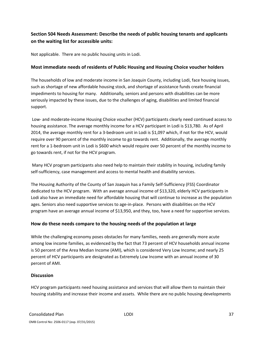# **Section 504 Needs Assessment: Describe the needs of public housing tenants and applicants on the waiting list for accessible units:**

Not applicable. There are no public housing units in Lodi.

### **Most immediate needs of residents of Public Housing and Housing Choice voucher holders**

The households of low and moderate income in San Joaquin County, including Lodi, face housing issues, such as shortage of new affordable housing stock, and shortage of assistance funds create financial impediments to housing for many. Additionally, seniors and persons with disabilities can be more seriously impacted by these issues, due to the challenges of aging, disabilities and limited financial support.

Low‐ and moderate‐income Housing Choice voucher (HCV) participants clearly need continued access to housing assistance. The average monthly income for a HCV participant in Lodi is \$13,780. As of April 2014, the average monthly rent for a 3‐bedroom unit in Lodi is \$1,097 which, if not for the HCV, would require over 90 percent of the monthly income to go towards rent. Additionally, the average monthly rent for a 1‐bedroom unit in Lodi is \$600 which would require over 50 percent of the monthly income to go towards rent, if not for the HCV program.

Many HCV program participants also need help to maintain their stability in housing, including family self-sufficiency, case management and access to mental health and disability services.

The Housing Authority of the County of San Joaquin has a Family Self‐Sufficiency (FSS) Coordinator dedicated to the HCV program. With an average annual income of \$13,320, elderly HCV participants in Lodi also have an immediate need for affordable housing that will continue to increase as the population ages. Seniors also need supportive services to age-in-place. Persons with disabilities on the HCV program have an average annual income of \$13,950, and they, too, have a need for supportive services.

### **How do these needs compare to the housing needs of the population at large**

While the challenging economy poses obstacles for many families, needs are generally more acute among low income families, as evidenced by the fact that 73 percent of HCV households annual income is 50 percent of the Area Median Income (AMI), which is considered Very Low Income; and nearly 25 percent of HCV participants are designated as Extremely Low Income with an annual income of 30 percent of AMI.

### **Discussion**

HCV program participants need housing assistance and services that will allow them to maintain their housing stability and increase their income and assets. While there are no public housing developments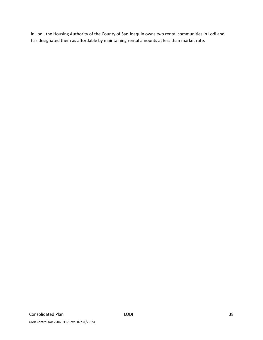in Lodi, the Housing Authority of the County of San Joaquin owns two rental communities in Lodi and has designated them as affordable by maintaining rental amounts at less than market rate.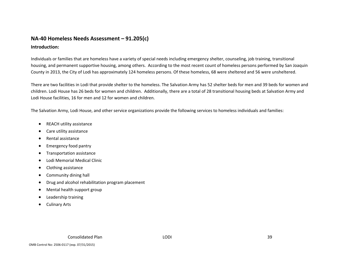# **NA‐40 Homeless Needs Assessment – 91.205(c)**

### **Introduction:**

Individuals or families that are homeless have <sup>a</sup> variety of special needs including emergency shelter, counseling, job training, transitional housing, and permanent supportive housing, among others. According to the most recent count of homeless persons performed by San Joaquin County in 2013, the City of Lodi has approximately 124 homeless persons. Of these homeless, 68 were sheltered and 56 were unsheltered.

There are two facilities in Lodi that provide shelter to the homeless. The Salvation Army has 52 shelter beds for men and 39 beds for women and children. Lodi House has 26 beds for women and children. Additionally, there are <sup>a</sup> total of 28 transitional housing beds at Salvation Army and Lodi House facilities, 16 for men and 12 for women and children.

The Salvation Army, Lodi House, and other service organizations provide the following services to homeless individuals and families:

- $\bullet$ • REACH utility assistance
- $\bullet$ Care utility assistance
- $\bullet$ Rental assistance
- $\bullet$ Emergency food pantry
- $\bullet$ Transportation assistance
- $\bullet$ Lodi Memorial Medical Clinic
- $\bullet$ Clothing assistance
- $\bullet$ Community dining hall
- $\bullet$ Drug and alcohol rehabilitation program placement
- $\bullet$ Mental health support group
- . Leadership training
- $\bullet$ Culinary Arts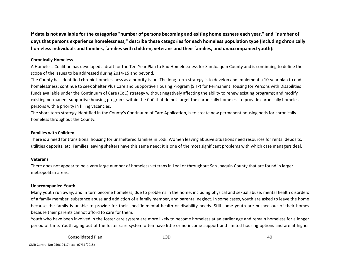If data is not available for the categories "number of persons becoming and exiting homelessness each year," and "number of days that persons experience homelessness," describe these categories for each homeless population type (including chronically **homeless individuals and families, families with children, veterans and their families, and unaccompanied youth):**

### **Chronically Homeless**

A Homeless Coalition has developed <sup>a</sup> draft for the Ten‐Year Plan to End Homelessness for San Joaquin County and is continuing to define the scope of the issues to be addressed during 2014‐15 and beyond.

The County has identified chronic homelessness as <sup>a</sup> priority issue. The long‐term strategy is to develop and implement <sup>a</sup> 10‐year plan to end homelessness; continue to seek Shelter Plus Care and Supportive Housing Program (SHP) for Permanent Housing for Persons with Disabilities funds available under the Continuum of Care (CoC) strategy without negatively affecting the ability to renew existing programs; and modify existing permanent supportive housing programs within the CoC that do not target the chronically homeless to provide chronically homeless persons with <sup>a</sup> priority in filling vacancies.

The short‐term strategy identified in the County's Continuum of Care Application, is to create new permanent housing beds for chronically homeless throughout the County.

#### **Families with Children**

There is <sup>a</sup> need for transitional housing for unsheltered families in Lodi. Women leaving abusive situations need resources for rental deposits, utilities deposits, etc. Families leaving shelters have this same need; it is one of the most significant problems with which case managers deal.

#### **Veterans**

There does not appear to be <sup>a</sup> very large number of homeless veterans in Lodi or throughout San Joaquin County that are found in larger metropolitan areas.

#### **Unaccompanied Youth**

Many youth run away, and in turn become homeless, due to problems in the home, including physical and sexual abuse, mental health disorders of a family member, substance abuse and addiction of <sup>a</sup> family member, and parental neglect. In some cases, youth are asked to leave the home because the family is unable to provide for their specific mental health or disability needs. Still some youth are pushed out of their homes because their parents cannot afford to care for them.

Youth who have been involved in the foster care system are more likely to become homeless at an earlier age and remain homeless for <sup>a</sup> longer period of time. Youth aging out of the foster care system often have little or no income support and limited housing options and are at higher

> ConsolidatedPlan LODI 40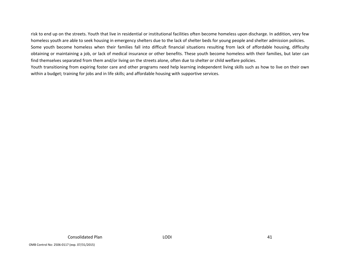risk to end up on the streets. Youth that live in residential or institutional facilities often become homeless upon discharge. In addition, very few homeless youth are able to seek housing in emergency shelters due to the lack of shelter beds for young people and shelter admission policies. Some youth become homeless when their families fall into difficult financial situations resulting from lack of affordable housing, difficulty obtaining or maintaining <sup>a</sup> job, or lack of medical insurance or other benefits. These youth become homeless with their families, but later can find themselves separated from them and/or living on the streets alone, often due to shelter or child welfare policies.

Youth transitioning from expiring foster care and other programs need help learning independent living skills such as how to live on their own within <sup>a</sup> budget; training for jobs and in life skills; and affordable housing with supportive services.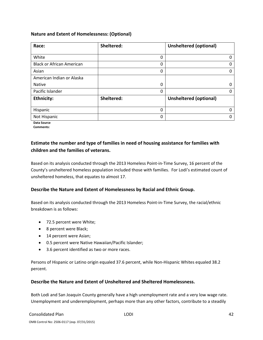### **Nature and Extent of Homelessness: (Optional)**

| Race:                            | Sheltered: | <b>Unsheltered (optional)</b> |
|----------------------------------|------------|-------------------------------|
|                                  |            |                               |
| White                            | 0          | 0                             |
| <b>Black or African American</b> | 0          | $\Omega$                      |
| Asian                            | 0          | O                             |
| American Indian or Alaska        |            |                               |
| <b>Native</b>                    | 0          | 0                             |
| Pacific Islander                 | 0          | O                             |
| <b>Ethnicity:</b>                | Sheltered: | <b>Unsheltered (optional)</b> |
|                                  |            |                               |
| Hispanic                         | 0          | 0                             |
| Not Hispanic                     | 0          | O                             |

**Data Source Comments:**

### **Estimate the number and type of families in need of housing assistance for families with children and the families of veterans.**

Based on its analysis conducted through the 2013 Homeless Point‐in‐Time Survey, 16 percent of the County's unsheltered homeless population included those with families. For Lodi's estimated count of unsheltered homeless, that equates to almost 17.

### **Describe the Nature and Extent of Homelessness by Racial and Ethnic Group.**

Based on its analysis conducted through the 2013 Homeless Point‐in‐Time Survey, the racial/ethnic breakdown is as follows:

- 72.5 percent were White;
- 8 percent were Black;
- 14 percent were Asian;
- 0.5 percent were Native Hawaiian/Pacific Islander;
- 3.6 percent identified as two or more races.

Persons of Hispanic or Latino origin equaled 37.6 percent, while Non‐Hispanic Whites equaled 38.2 percent.

### **Describe the Nature and Extent of Unsheltered and Sheltered Homelessness.**

Both Lodi and San Joaquin County generally have a high unemployment rate and a very low wage rate. Unemployment and underemployment, perhaps more than any other factors, contribute to a steadily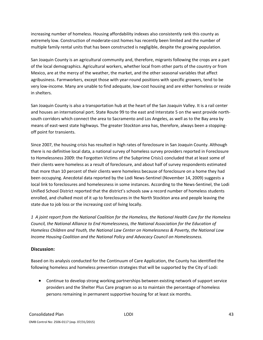increasing number of homeless. Housing affordability indexes also consistently rank this county as extremely low. Construction of moderate‐cost homes has recently been limited and the number of multiple family rental units that has been constructed is negligible, despite the growing population.

San Joaquin County is an agricultural community and, therefore, migrants following the crops are a part of the local demographics. Agricultural workers, whether local from other parts of the country or from Mexico, are at the mercy of the weather, the market, and the other seasonal variables that affect agribusiness. Farmworkers, except those with year-round positions with specific growers, tend to be very low‐income. Many are unable to find adequate, low‐cost housing and are either homeless or reside in shelters.

San Joaquin County is also a transportation hub at the heart of the San Joaquin Valley. It is a rail center and houses an international port. State Route 99 to the east and Interstate 5 on the west provide north‐ south corridors which connect the area to Sacramento and Los Angeles, as well as to the Bay area by means of east-west state highways. The greater Stockton area has, therefore, always been a stoppingoff point for transients.

Since 2007, the housing crisis has resulted in high rates of foreclosure in San Joaquin County. Although there is no definitive local data, a national survey of homeless survey providers reported in Foreclosure to Homelessness 2009: the Forgotten Victims of the Subprime Crisis1 concluded that at least some of their clients were homeless as a result of foreclosure, and about half of survey respondents estimated that more than 10 percent of their clients were homeless because of foreclosure on a home they had been occupying. Anecdotal data reported by the Lodi News‐Sentinel (November 14, 2009) suggests a local link to foreclosures and homelessness in some instances. According to the News‐Sentinel, the Lodi Unified School District reported that the district's schools saw a record number of homeless students enrolled, and chalked most of it up to foreclosures in the North Stockton area and people leaving the state due to job loss or the increasing cost of living locally.

1 A joint report from the National Coalition for the Homeless, the National Health Care for the Homeless *Council, the National Alliance to End Homelessness, the National Association for the Education of Homeless Children and Youth, the National Law Center on Homelessness & Poverty, the National Low Income Housing Coalition and the National Policy and Advocacy Council on Homelessness.*

### **Discussion:**

Based on its analysis conducted for the Continuum of Care Application, the County has identified the following homeless and homeless prevention strategies that will be supported by the City of Lodi:

 Continue to develop strong working partnerships between existing network of support service providers and the Shelter Plus Care program so as to maintain the percentage of homeless persons remaining in permanent supportive housing for at least six months.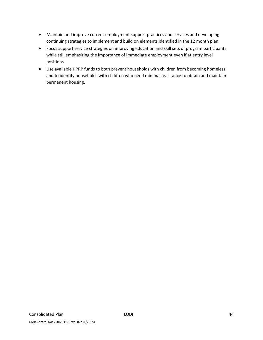- Maintain and improve current employment support practices and services and developing continuing strategies to implement and build on elements identified in the 12 month plan.
- Focus support service strategies on improving education and skill sets of program participants while still emphasizing the importance of immediate employment even if at entry level positions.
- Use available HPRP funds to both prevent households with children from becoming homeless and to identify households with children who need minimal assistance to obtain and maintain permanent housing.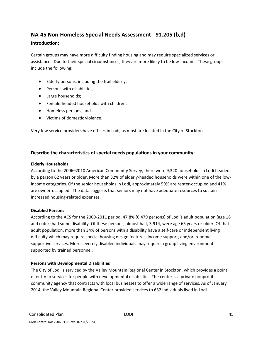# **NA‐45 Non‐Homeless Special Needs Assessment ‐ 91.205 (b,d)**

### **Introduction:**

Certain groups may have more difficulty finding housing and may require specialized services or assistance. Due to their special circumstances, they are more likely to be low-income. These groups include the following:

- Elderly persons, including the frail elderly;
- Persons with disabilities;
- Large households;
- Female-headed households with children;
- Homeless persons; and
- Victims of domestic violence.

Very few service providers have offices in Lodi, as most are located in the City of Stockton.

### **Describe the characteristics of special needs populations in your community:**

### **Elderly Households**

According to the 2006–2010 American Community Survey, there were 9,320 households in Lodi headed by a person 62 years or older. More than 32% of elderly-headed households were within one of the lowincome categories. Of the senior households in Lodi, approximately 59% are renter-occupied and 41% are owner‐occupied. The data suggests that seniors may not have adequate resources to sustain increased housing‐related expenses.

### **Disabled Persons**

According to the ACS for the 2009‐2011 period, 47.8% (6,479 persons) of Lodi's adult population (age 18 and older) had some disability. Of these persons, almost half, 3,914, were age 65 years or older. Of that adult population, more than 34% of persons with a disability have a self-care or independent living difficulty which may require special housing design features, income support, and/or in‐home supportive services. More severely disabled individuals may require a group living environment supported by trained personnel.

### **Persons with Developmental Disabilities**

The City of Lodi is serviced by the Valley Mountain Regional Center in Stockton, which provides a point of entry to services for people with developmental disabilities. The center is a private nonprofit community agency that contracts with local businesses to offer a wide range of services. As of January 2014, the Valley Mountain Regional Center provided services to 632 individuals lived in Lodi.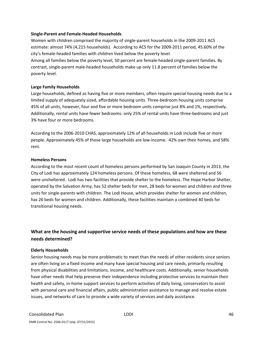#### **Single‐Parent and Female‐Headed Households**

Women with children comprised the majority of single‐parent households in the 2009‐2011 ACS estimate: almost 74% (4,215 households). According to ACS for the 2009‐2011 period, 45.60% of the city's female‐headed families with children lived below the poverty level.

Among all families below the poverty level, 50 percent are female‐headed single‐parent families. By contrast, single‐parent male‐headed households make up only 11.8 percent of families below the poverty level.

### **Large Family Households**

Large households, defined as having five or more members, often require special housing needs due to a limited supply of adequately sized, affordable housing units. Three‐bedroom housing units comprise 45% of all units, however, four and five or more bedroom units comprise just 8% and 1%, respectively. Additionally, rental units have fewer bedrooms: only 25% of rental units have three‐bedrooms and just 3% have four or more bedrooms.

According to the 2006‐2010 CHAS, approximately 12% of all households in Lodi include five or more people. Approximately 45% of those large households are low‐income. 42% own their homes, and 58% rent.

#### **Homeless Persons**

According to the most recent count of homeless persons performed by San Joaquin County in 2013, the City of Lodi has approximately 124 homeless persons. Of these homeless, 68 were sheltered and 56 were unsheltered. Lodi has two facilities that provide shelter to the homeless. The Hope Harbor Shelter, operated by the Salvation Army, has 52 shelter beds for men, 28 beds for women and children and three units for single‐parents with children. The Lodi House, which provides shelter for women and children, has 26 beds for women and children. Additionally, these facilities maintain a combined 40 beds for transitional housing needs.

### **What are the housing and supportive service needs of these populations and how are these needs determined?**

### **Elderly Households**

Senior housing needs may be more problematic to meet than the needs of other residents since seniors are often living on a fixed income and many have special housing and care needs, primarily resulting from physical disabilities and limitations, income, and healthcare costs. Additionally, senior households have other needs that help preserve their independence including protective services to maintain their health and safety, in-home support services to perform activities of daily living, conservators to assist with personal care and financial affairs, public administration assistance to manage and resolve estate issues, and networks of care to provide a wide variety of services and daily assistance.

OMB Control No: 2506‐0117 (exp. 07/31/2015)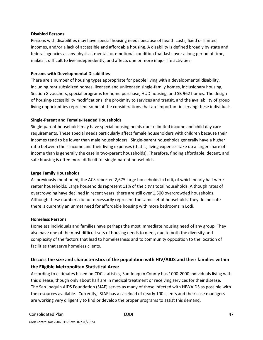#### **Disabled Persons**

Persons with disabilities may have special housing needs because of health costs, fixed or limited incomes, and/or a lack of accessible and affordable housing. A disability is defined broadly by state and federal agencies as any physical, mental, or emotional condition that lasts over a long period of time, makes it difficult to live independently, and affects one or more major life activities.

### **Persons with Developmental Disabilities**

There are a number of housing types appropriate for people living with a developmental disability, including rent subsidized homes, licensed and unlicensed single‐family homes, inclusionary housing, Section 8 vouchers, special programs for home purchase, HUD housing, and SB 962 homes. The design of housing‐accessibility modifications, the proximity to services and transit, and the availability of group living opportunities represent some of the considerations that are important in serving these individuals.

### **Single‐Parent and Female‐Headed Households**

Single‐parent households may have special housing needs due to limited income and child day care requirements. These special needs particularly affect female householders with children because their incomes tend to be lower than male householders. Single-parent households generally have a higher ratio between their income and their living expenses (that is, living expenses take up a larger share of income than is generally the case in two‐parent households). Therefore, finding affordable, decent, and safe housing is often more difficult for single‐parent households.

### **Large Family Households**

As previously mentioned, the ACS reported 2,675 large households in Lodi, of which nearly half were renter households. Large households represent 11% of the city's total households. Although rates of overcrowding have declined in recent years, there are still over 1,500 overcrowded households. Although these numbers do not necessarily represent the same set of households, they do indicate there is currently an unmet need for affordable housing with more bedrooms in Lodi.

### **Homeless Persons**

Homeless individuals and families have perhaps the most immediate housing need of any group. They also have one of the most difficult sets of housing needs to meet, due to both the diversity and complexity of the factors that lead to homelessness and to community opposition to the location of facilities that serve homeless clients.

# **Discuss the size and characteristics of the population with HIV/AIDS and their families within the Eligible Metropolitan Statistical Area:**

According to estimates based on CDC statistics, San Joaquin County has 1000‐2000 individuals living with this disease, though only about half are in medical treatment or receiving services for their disease. The San Joaquin AIDS Foundation (SJAF) serves as many of those infected with HIV/AIDS as possible with the resources available. Currently, SJAF has a caseload of nearly 100 clients and their case managers are working very diligently to find or develop the proper programs to assist this demand.

### Consolidated Plan LODI 47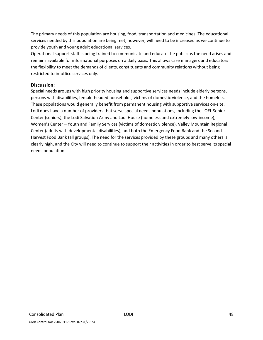The primary needs of this population are housing, food, transportation and medicines. The educational services needed by this population are being met; however, will need to be increased as we continue to provide youth and young adult educational services.

Operational support staff is being trained to communicate and educate the public as the need arises and remains available for informational purposes on a daily basis. This allows case managers and educators the flexibility to meet the demands of clients, constituents and community relations without being restricted to in‐office services only.

### **Discussion:**

Special needs groups with high priority housing and supportive services needs include elderly persons, persons with disabilities, female‐headed households, victims of domestic violence, and the homeless. These populations would generally benefit from permanent housing with supportive services on‐site. Lodi does have a number of providers that serve special needs populations, including the LOEL Senior Center (seniors), the Lodi Salvation Army and Lodi House (homeless and extremely low‐income), Women's Center – Youth and Family Services (victims of domestic violence), Valley Mountain Regional Center (adults with developmental disabilities), and both the Emergency Food Bank and the Second Harvest Food Bank (all groups). The need for the services provided by these groups and many others is clearly high, and the City will need to continue to support their activities in order to best serve its special needs population.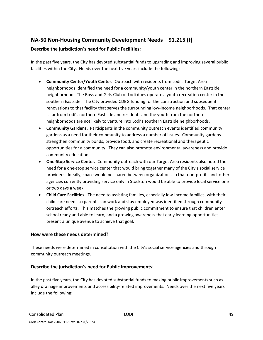# **NA‐50 Non‐Housing Community Development Needs – 91.215 (f)**

### **Describe the jurisdiction's need for Public Facilities:**

In the past five years, the City has devoted substantial funds to upgrading and improving several public facilities within the City. Needs over the next five years include the following:

- **Community Center/Youth Center.** Outreach with residents from Lodi's Target Area neighborhoods identified the need for a community/youth center in the northern Eastside neighborhood. The Boys and Girls Club of Lodi does operate a youth recreation center in the southern Eastside. The City provided CDBG funding for the construction and subsequent renovations to that facility that serves the surrounding low‐income neighborhoods. That center is far from Lodi's northern Eastside and residents and the youth from the northern neighborhoods are not likely to venture into Lodi's southern Eastside neighborhoods.
- **Community Gardens.** Participants in the community outreach events identified community gardens as a need for their community to address a number of issues. Community gardens strengthen community bonds, provide food, and create recreational and therapeutic opportunities for a community. They can also promote environmental awareness and provide community education.
- **One‐Stop Service Center.** Community outreach with our Target Area residents also noted the need for a one‐stop service center that would bring together many of the City's social service providers. Ideally, space would be shared between organizations so that non‐profits and other agencies currently providing service only in Stockton would be able to provide local service one or two days a week.
- **Child Care Facilities.** The need to assisting families, especially low‐income families, with their child care needs so parents can work and stay employed was identified through community outreach efforts. This matches the growing public commitment to ensure that children enter school ready and able to learn, and a growing awareness that early learning opportunities present a unique avenue to achieve that goal.

### **How were these needs determined?**

These needs were determined in consultation with the City's social service agencies and through community outreach meetings.

### **Describe the jurisdiction's need for Public Improvements:**

In the past five years, the City has devoted substantial funds to making public improvements such as alley drainage improvements and accessibility-related improvements. Needs over the next five years include the following: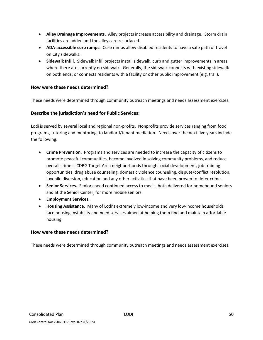- **Alley Drainage Improvements.** Alley projects increase accessibility and drainage. Storm drain facilities are added and the alleys are resurfaced.
- **ADA‐accessible curb ramps.** Curb ramps allow disabled residents to have a safe path of travel on City sidewalks.
- **Sidewalk Infill.** Sidewalk infill projects install sidewalk, curb and gutter improvements in areas where there are currently no sidewalk. Generally, the sidewalk connects with existing sidewalk on both ends, or connects residents with a facility or other public improvement (e.g, trail).

### **How were these needs determined?**

These needs were determined through community outreach meetings and needs assessment exercises.

### **Describe the jurisdiction's need for Public Services:**

Lodi is served by several local and regional non‐profits. Nonprofits provide services ranging from food programs, tutoring and mentoring, to landlord/tenant mediation. Needs over the next five years include the following:

- **Crime Prevention.** Programs and services are needed to increase the capacity of citizens to promote peaceful communities, become involved in solving community problems, and reduce overall crime is CDBG Target Area neighborhoods through social development, job training opportunities, drug abuse counseling, domestic violence counseling, dispute/conflict resolution, juvenile diversion, education and any other activities that have been proven to deter crime.
- **Senior Services.** Seniors need continued access to meals, both delivered for homebound seniors and at the Senior Center, for more mobile seniors.
- **Employment Services.**
- **Housing Assistance.** Many of Lodi's extremely low‐income and very low‐income households face housing instability and need services aimed at helping them find and maintain affordable housing.

### **How were these needs determined?**

These needs were determined through community outreach meetings and needs assessment exercises.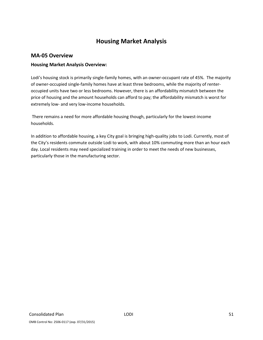# **Housing Market Analysis**

### **MA‐05 Overview**

### **Housing Market Analysis Overview:**

Lodi's housing stock is primarily single-family homes, with an owner-occupant rate of 45%. The majority of owner‐occupied single‐family homes have at least three bedrooms, while the majority of renter‐ occupied units have two or less bedrooms. However, there is an affordability mismatch between the price of housing and the amount households can afford to pay; the affordability mismatch is worst for extremely low- and very low-income households.

There remains a need for more affordable housing though, particularly for the lowest-income households.

In addition to affordable housing, a key City goal is bringing high‐quality jobs to Lodi. Currently, most of the City's residents commute outside Lodi to work, with about 10% commuting more than an hour each day. Local residents may need specialized training in order to meet the needs of new businesses, particularly those in the manufacturing sector.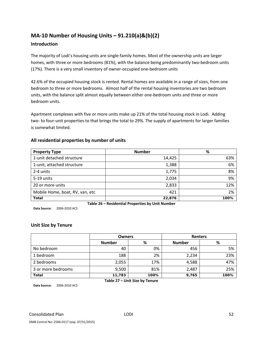# **MA‐10 Number of Housing Units – 91.210(a)&(b)(2)**

### **Introduction**

The majority of Lodi's housing units are single‐family homes. Most of the ownership units are larger homes, with three or more bedrooms (81%), with the balance being predominantly two-bedroom units (17%). There is a very small inventory of owner‐occupied one‐bedroom units

42.6% of the occupied housing stock is rented. Rental homes are available in a range of sizes, from one bedroom to three or more bedrooms. Almost half of the rental housing inventories are two bedroom units, with the balance split almost equally between either one‐bedroom units and three or more bedroom units.

Apartment complexes with five or more units make up 21% of the total housing stock in Lodi. Adding two- to four-unit properties to that brings the total to 29%. The supply of apartments for larger families is somewhat limited.

### **All residential properties by number of units**

| <b>Property Type</b>                             | <b>Number</b> | %    |  |  |  |
|--------------------------------------------------|---------------|------|--|--|--|
| 1-unit detached structure                        | 14,425        | 63%  |  |  |  |
| 1-unit, attached structure                       | 1,388         | 6%   |  |  |  |
| 2-4 units                                        | 1,775         | 8%   |  |  |  |
| 5-19 units                                       | 2,034         | 9%   |  |  |  |
| 20 or more units                                 | 2,833         | 12%  |  |  |  |
| Mobile Home, boat, RV, van, etc                  | 421           | 2%   |  |  |  |
| <b>Total</b>                                     | 22,876        | 100% |  |  |  |
| Table 26 – Residential Properties by Unit Number |               |      |  |  |  |

**Data Source:** 2006‐2010 ACS

### **Unit Size by Tenure**

|                    | <b>Owners</b> |      | <b>Renters</b> |      |  |
|--------------------|---------------|------|----------------|------|--|
|                    | <b>Number</b> | %    | <b>Number</b>  | %    |  |
| No bedroom         | 40            | 0%   | 456            | 5%   |  |
| 1 bedroom          | 188           | 2%   | 2,234          | 23%  |  |
| 2 bedrooms         | 2,055         | 17%  | 4,588          | 47%  |  |
| 3 or more bedrooms | 9,500         | 81%  | 2,487          | 25%  |  |
| <b>Total</b>       | 11,783        | 100% | 9,765          | 100% |  |

**Table 27 – Unit Size by Tenure**

**Data Source:** 2006‐2010 ACS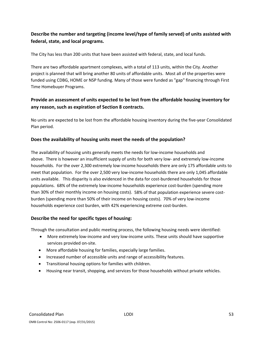# **Describe the number and targeting (income level/type of family served) of units assisted with federal, state, and local programs.**

The City has less than 200 units that have been assisted with federal, state, and local funds.

There are two affordable apartment complexes, with a total of 113 units, within the City. Another project is planned that will bring another 80 units of affordable units. Most all of the properties were funded using CDBG, HOME or NSP funding. Many of those were funded as "gap" financing through First Time Homebuyer Programs.

### **Provide an assessment of units expected to be lost from the affordable housing inventory for any reason, such as expiration of Section 8 contracts.**

No units are expected to be lost from the affordable housing inventory during the five‐year Consolidated Plan period.

### **Does the availability of housing units meet the needs of the population?**

The availability of housing units generally meets the needs for low‐income households and above. There is however an insufficient supply of units for both very low‐ and extremely low‐income households. For the over 2,300 extremely low-income households there are only 175 affordable units to meet that population. For the over 2,500 very low-income households there are only 1,045 affordable units available. This disparity is also evidenced in the data for cost-burdened households for those populations. 68% of the extremely low-income households experience cost-burden (spending more than 30% of their monthly income on housing costs). 58% of that population experience severe costburden (spending more than 50% of their income on housing costs). 70% of very low‐income households experience cost burden, with 42% experiencing extreme cost-burden.

### **Describe the need for specific types of housing:**

Through the consultation and public meeting process, the following housing needs were identified:

- More extremely low-income and very low-income units. These units should have supportive services provided on-site.
- More affordable housing for families, especially large families.
- Increased number of accessible units and range of accessibility features.
- Transitional housing options for families with children.
- Housing near transit, shopping, and services for those households without private vehicles.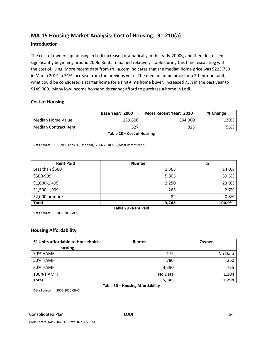# **MA‐15 Housing Market Analysis: Cost of Housing ‐ 91.210(a)**

### **Introduction**

The cost of ownership housing in Lodi increased dramatically in the early‐2000s, and then decreased significantly beginning around 2006. Rents remained relatively stable during this time, escalating with the cost of living. More recent data from trulia.com indicates that the median home price was \$223,750 in March 2014, a 31% increase from the previous year. The median home price for a 2‐bedroom unit, what could be considered a starter home for a first-time home buyer, increased 75% in the past year to \$149,000. Many low‐income households cannot afford to purchase a home in Lodi.

### **Cost of Housing**

|                             | Base Year: 2000 | <b>Most Recent Year: 2010</b> | % Change |
|-----------------------------|-----------------|-------------------------------|----------|
| Median Home Value           | 139,800         | 334,000                       | 139%     |
| <b>Median Contract Rent</b> | 527             | 815                           | 55%      |

**Table 28 – Cost of Housing**

**Data Source:** 2000 Census (Base Year), 2006‐2010 ACS (Most Recent Year)

| <b>Rent Paid</b>     | <b>Number</b> | %      |  |  |  |
|----------------------|---------------|--------|--|--|--|
| Less than \$500      | 1,365         | 14.0%  |  |  |  |
| \$500-999            | 5,805         | 59.5%  |  |  |  |
| \$1,000-1,499        | 2,250         | 23.0%  |  |  |  |
| \$1,500-1,999        | 263           | 2.7%   |  |  |  |
| \$2,000 or more      | 82            | 0.8%   |  |  |  |
| <b>Total</b>         | 9,765         | 100.0% |  |  |  |
| Table 29 - Rent Paid |               |        |  |  |  |

**Data Source:** 2006‐2010 ACS

### **Housing Affordability**

| % Units affordable to Households | Renter  | Owner   |  |  |  |
|----------------------------------|---------|---------|--|--|--|
| earning                          |         |         |  |  |  |
| 30% HAMFI                        | 175     | No Data |  |  |  |
| 50% HAMFI                        | 780     | 260     |  |  |  |
| 80% HAMFI                        | 4,390   | 735     |  |  |  |
| <b>100% HAMFI</b>                | No Data | 1,304   |  |  |  |
| <b>Total</b>                     | 5,345   | 2,299   |  |  |  |
| Table 30 - Housing Affordability |         |         |  |  |  |

**Data Source:** 2006‐2010 CHAS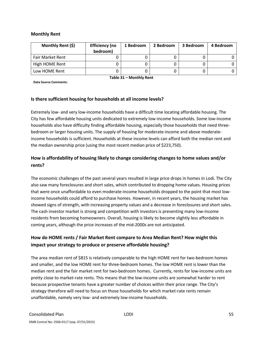### **Monthly Rent**

| Monthly Rent (\$)       | <b>Efficiency (no</b><br>bedroom) | 1 Bedroom | 2 Bedroom | 3 Bedroom | 4 Bedroom |
|-------------------------|-----------------------------------|-----------|-----------|-----------|-----------|
| <b>Fair Market Rent</b> |                                   |           |           |           |           |
| High HOME Rent          |                                   |           |           |           |           |
| Low HOME Rent           |                                   |           |           |           |           |

**Data Source Comments:**

**Table 31 – Monthly Rent**

### **Is there sufficient housing for households at all income levels?**

Extremely low‐ and very low‐income households have a difficult time locating affordable housing. The City has few affordable housing units dedicated to extremely low‐income households. Some low‐income households also have difficulty finding affordable housing, especially those households that need three‐ bedroom or larger housing units. The supply of housing for moderate‐income and above moderate‐ income households is sufficient. Households at these income levels can afford both the median rent and the median ownership price (using the most recent median price of \$223,750).

### **How is affordability of housing likely to change considering changes to home values and/or rents?**

The economic challenges of the past several years resulted in large price drops in homes in Lodi. The City also saw many foreclosures and short sales, which contributed to dropping home values. Housing prices that were once unaffordable to even moderate‐income households dropped to the point that most low‐ income households could afford to purchase homes. However, in recent years, the housing market has showed signs of strength, with increasing property values and a decrease in foreclosures and short sales. The cash investor market is strong and competition with investors is preventing many low‐income residents from becoming homeowners. Overall, housing is likely to become slightly less affordable in coming years, although the price increases of the mid‐2000s are not anticipated.

# **How do HOME rents / Fair Market Rent compare to Area Median Rent? How might this impact your strategy to produce or preserve affordable housing?**

The area median rent of \$815 is relatively comparable to the high HOME rent for two‐bedroom homes and smaller, and the low HOME rent for three‐bedroom homes. The low HOME rent is lower than the median rent and the fair market rent for two-bedroom homes. Currently, rents for low-income units are pretty close to market-rate rents. This means that the low-income units are somewhat harder to rent because prospective tenants have a greater number of choices within their price range. The City's strategy therefore will need to focus on those households for which market-rate rents remain unaffordable, namely very low‐ and extremely low‐income households.

### Consolidated Plan LODI 55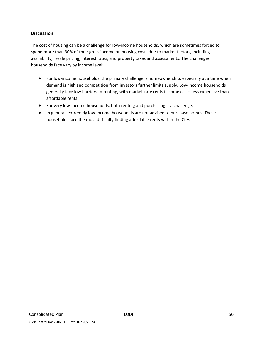### **Discussion**

The cost of housing can be a challenge for low-income households, which are sometimes forced to spend more than 30% of their gross income on housing costs due to market factors, including availability, resale pricing, interest rates, and property taxes and assessments. The challenges households face vary by income level:

- For low-income households, the primary challenge is homeownership, especially at a time when demand is high and competition from investors further limits supply. Low‐income households generally face low barriers to renting, with market‐rate rents in some cases less expensive than affordable rents.
- For very low-income households, both renting and purchasing is a challenge.
- In general, extremely low-income households are not advised to purchase homes. These households face the most difficulty finding affordable rents within the City.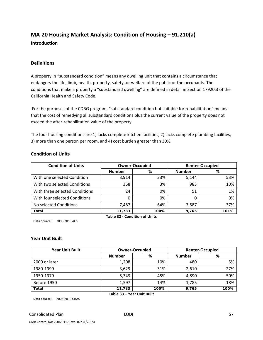# **MA‐20 Housing Market Analysis: Condition of Housing – 91.210(a) Introduction**

### **Definitions**

A property in "substandard condition" means any dwelling unit that contains a circumstance that endangers the life, limb, health, property, safety, or welfare of the public or the occupants. The conditions that make a property a "substandard dwelling" are defined in detail in Section 17920.3 of the California Health and Safety Code.

For the purposes of the CDBG program, "substandard condition but suitable for rehabilitation" means that the cost of remedying all substandard conditions plus the current value of the property does not exceed the after‐rehabilitation value of the property.

The four housing conditions are 1) lacks complete kitchen facilities, 2) lacks complete plumbing facilities, 3) more than one person per room, and 4) cost burden greater than 30%.

| <b>Condition of Units</b>      |               | <b>Owner-Occupied</b> | <b>Renter-Occupied</b> |      |  |
|--------------------------------|---------------|-----------------------|------------------------|------|--|
|                                | <b>Number</b> | %                     | <b>Number</b>          | %    |  |
| With one selected Condition    | 3,914         | 33%                   | 5,144                  | 53%  |  |
| With two selected Conditions   | 358           | 3%                    | 983                    | 10%  |  |
| With three selected Conditions | 24            | 0%                    | 51                     | 1%   |  |
| With four selected Conditions  |               | 0%                    |                        | 0%   |  |
| No selected Conditions         | 7,487         | 64%                   | 3,587                  | 37%  |  |
| <b>Total</b>                   | 11,783        | 100%                  | 9,765                  | 101% |  |

### **Condition of Units**

**Data Source:** 2006‐2010 ACS

**Table 32 ‐ Condition of Units**

### **Year Unit Built**

| <b>Year Unit Built</b> | <b>Owner-Occupied</b> |      | <b>Renter-Occupied</b> |      |  |
|------------------------|-----------------------|------|------------------------|------|--|
|                        | <b>Number</b>         | %    | <b>Number</b>          | %    |  |
| 2000 or later          | 1,208                 | 10%  | 480                    | 5%   |  |
| 1980-1999              | 3,629                 | 31%  | 2,610                  | 27%  |  |
| 1950-1979              | 5,349                 | 45%  | 4,890                  | 50%  |  |
| Before 1950            | 1,597                 | 14%  | 1,785                  | 18%  |  |
| <b>Total</b>           | 11,783                | 100% | 9,765                  | 100% |  |

**Data Source:** 2006‐2010 CHAS

### Consolidated Plan **Consolidated Plan Consolidated Plan Consolidated Plan Consolidated Plan Consolidated Plan Consolidated Plan Consolidated Plan Consolidated Plan Consolidated Plan Consolidated Plan Consolidated Plan Conso**

**Table 33 – Year Unit Built**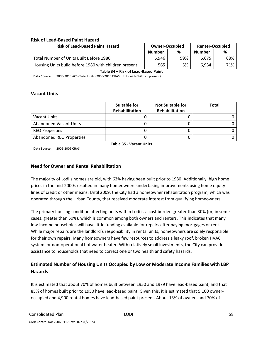### **Risk of Lead‐Based Paint Hazard**

| <b>Risk of Lead-Based Paint Hazard</b>                | <b>Renter-Occupied</b><br><b>Owner-Occupied</b> |     |               |     |
|-------------------------------------------------------|-------------------------------------------------|-----|---------------|-----|
|                                                       | <b>Number</b>                                   | %   | <b>Number</b> | %   |
| Total Number of Units Built Before 1980               | 6.946                                           | 59% | 6.675         | 68% |
| Housing Units build before 1980 with children present | 565                                             | 5%  | 6.934         | 71% |

**Table 34 – Risk of Lead‐Based Paint**

**Data Source:** 2006‐2010 ACS (Total Units) 2006‐2010 CHAS (Units with Children present)

### **Vacant Units**

|                                | Suitable for<br>Rehabilitation | <b>Not Suitable for</b><br><b>Rehabilitation</b> | <b>Total</b> |  |  |
|--------------------------------|--------------------------------|--------------------------------------------------|--------------|--|--|
|                                |                                |                                                  |              |  |  |
| Vacant Units                   |                                |                                                  |              |  |  |
| <b>Abandoned Vacant Units</b>  |                                |                                                  |              |  |  |
| <b>REO Properties</b>          |                                |                                                  |              |  |  |
| Abandoned REO Properties       |                                |                                                  |              |  |  |
| <b>Table 35 - Vacant Units</b> |                                |                                                  |              |  |  |

**Data Source:** 2005‐2009 CHAS

### **Need for Owner and Rental Rehabilitation**

The majority of Lodi's homes are old, with 63% having been built prior to 1980. Additionally, high home prices in the mid‐2000s resulted in many homeowners undertaking improvements using home equity lines of credit or other means. Until 2009, the City had a homeowner rehabilitation program, which was operated through the Urban County, that received moderate interest from qualifying homeowners.

The primary housing condition affecting units within Lodi is a cost burden greater than 30% (or, in some cases, greater than 50%), which is common among both owners and renters. This indicates that many low‐income households will have little funding available for repairs after paying mortgages or rent. While major repairs are the landlord's responsibility in rental units, homeowners are solely responsible for their own repairs. Many homeowners have few resources to address a leaky roof, broken HVAC system, or non‐operational hot water heater. With relatively small investments, the City can provide assistance to households that need to correct one or two health and safety hazards.

### **Estimated Number of Housing Units Occupied by Low or Moderate Income Families with LBP Hazards**

It is estimated that about 70% of homes built between 1950 and 1979 have lead‐based paint, and that 85% of homes built prior to 1950 have lead-based paint. Given this, it is estimated that 5,100 owneroccupied and 4,900 rental homes have lead‐based paint present. About 13% of owners and 70% of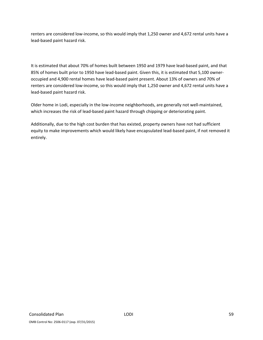renters are considered low‐income, so this would imply that 1,250 owner and 4,672 rental units have a lead‐based paint hazard risk.

It is estimated that about 70% of homes built between 1950 and 1979 have lead‐based paint, and that 85% of homes built prior to 1950 have lead-based paint. Given this, it is estimated that 5,100 owneroccupied and 4,900 rental homes have lead‐based paint present. About 13% of owners and 70% of renters are considered low-income, so this would imply that 1,250 owner and 4,672 rental units have a lead‐based paint hazard risk.

Older home in Lodi, especially in the low‐income neighborhoods, are generally not well‐maintained, which increases the risk of lead-based paint hazard through chipping or deteriorating paint.

Additionally, due to the high cost burden that has existed, property owners have not had sufficient equity to make improvements which would likely have encapsulated lead‐based paint, if not removed it entirely.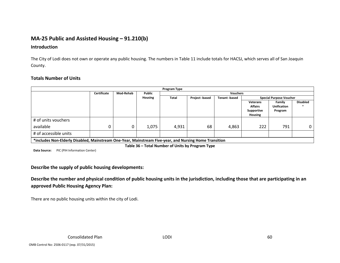# **MA‐25 Public and Assisted Housing – 91.210(b)**

### **Introduction**

The City of Lodi does not own or operate any public housing. The numbers in Table 11 include totals for HACSJ, which serves all of San Joaquin County.

### **Totals Number of Units**

|                                                                                                        |             |           |                | Program Type |                |                      |                                                            |                                         |                 |
|--------------------------------------------------------------------------------------------------------|-------------|-----------|----------------|--------------|----------------|----------------------|------------------------------------------------------------|-----------------------------------------|-----------------|
|                                                                                                        | Certificate | Mod-Rehab | Public         |              |                | <b>Vouchers</b>      |                                                            |                                         |                 |
|                                                                                                        |             |           | <b>Housing</b> | Total        | Project -based | <b>Tenant</b> -based |                                                            | <b>Special Purpose Voucher</b>          |                 |
|                                                                                                        |             |           |                |              |                |                      | <b>Veterans</b><br><b>Affairs</b><br>Supportive<br>Housing | Family<br><b>Unification</b><br>Program | <b>Disabled</b> |
| # of units vouchers                                                                                    |             |           |                |              |                |                      |                                                            |                                         |                 |
| available                                                                                              |             |           | 1,075          | 4,931        | 68             | 4,863                | 222                                                        | 791                                     | 0               |
| # of accessible units                                                                                  |             |           |                |              |                |                      |                                                            |                                         |                 |
| *includes Non-Elderly Disabled, Mainstream One-Year, Mainstream Five-year, and Nursing Home Transition |             |           |                |              |                |                      |                                                            |                                         |                 |

**Table 36 – Total Number of Units by Program Type**

**Data Source:** PIC (PIH Information Center)

**Describe the supply of public housing developments:**

Describe the number and physical condition of public housing units in the jurisdiction, including those that are participating in an **approved Public Housing Agency Plan:**

There are no public housing units within the city of Lodi.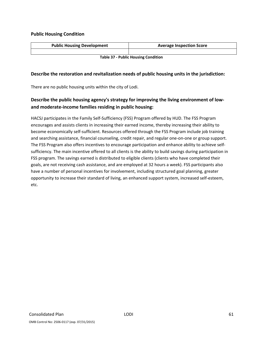### **Public Housing Condition**

| <b>Public Housing Development</b>          | <b>Average Inspection Score</b> |  |  |  |
|--------------------------------------------|---------------------------------|--|--|--|
|                                            |                                 |  |  |  |
| <b>Table 37 - Public Housing Condition</b> |                                 |  |  |  |

### **Describe the restoration and revitalization needs of public housing units in the jurisdiction:**

There are no public housing units within the city of Lodi.

# **Describe the public housing agency's strategy for improving the living environment of low‐ and moderate‐income families residing in public housing:**

HACSJ participates in the Family Self‐Sufficiency (FSS) Program offered by HUD. The FSS Program encourages and assists clients in increasing their earned income, thereby increasing their ability to become economically self-sufficient. Resources offered through the FSS Program include job training and searching assistance, financial counseling, credit repair, and regular one‐on‐one or group support. The FSS Program also offers incentives to encourage participation and enhance ability to achieve self‐ sufficiency. The main incentive offered to all clients is the ability to build savings during participation in FSS program. The savings earned is distributed to eligible clients (clients who have completed their goals, are not receiving cash assistance, and are employed at 32 hours a week). FSS participants also have a number of personal incentives for involvement, including structured goal planning, greater opportunity to increase their standard of living, an enhanced support system, increased self‐esteem, etc.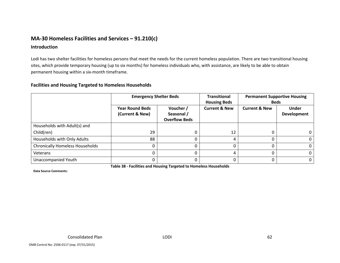# **MA‐30 Homeless Facilities and Services – 91.210(c)**

### **Introduction**

Lodi has two shelter facilities for homeless persons that meet the needs for the current homeless population. There are two transitional housing sites, which provide temporary housing (up to six months) for homeless individuals who, with assistance, are likely to be able to obtain permanent housing within <sup>a</sup> six‐month timeframe.

### **Facilities and Housing Targeted to Homeless Households**

|                                        | <b>Emergency Shelter Beds</b>             |                                                 | <b>Transitional</b><br><b>Housing Beds</b> | <b>Permanent Supportive Housing</b><br><b>Beds</b> |                                    |
|----------------------------------------|-------------------------------------------|-------------------------------------------------|--------------------------------------------|----------------------------------------------------|------------------------------------|
|                                        | <b>Year Round Beds</b><br>(Current & New) | Voucher /<br>Seasonal /<br><b>Overflow Beds</b> | <b>Current &amp; New</b>                   | <b>Current &amp; New</b>                           | <b>Under</b><br><b>Development</b> |
| Households with Adult(s) and           |                                           |                                                 |                                            |                                                    |                                    |
| Child(ren)                             | 29                                        |                                                 | 12                                         |                                                    |                                    |
| Households with Only Adults            | 88                                        |                                                 | 4                                          |                                                    |                                    |
| <b>Chronically Homeless Households</b> |                                           |                                                 |                                            |                                                    |                                    |
| Veterans                               |                                           |                                                 | 4                                          |                                                    | 0                                  |
| Unaccompanied Youth                    |                                           |                                                 | 0                                          |                                                    | 0                                  |

**Data Source Comments:**

**Table 38 ‐ Facilities and Housing Targeted to Homeless Households**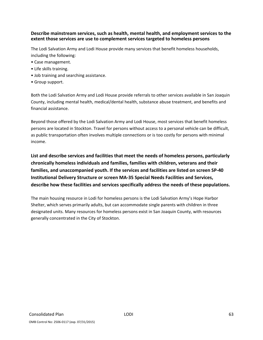### **Describe mainstream services, such as health, mental health, and employment services to the extent those services are use to complement services targeted to homeless persons**

The Lodi Salvation Army and Lodi House provide many services that benefit homeless households, including the following:

- Case management.
- Life skills training.
- Job training and searching assistance.
- Group support.

Both the Lodi Salvation Army and Lodi House provide referrals to other services available in San Joaquin County, including mental health, medical/dental health, substance abuse treatment, and benefits and financial assistance.

Beyond those offered by the Lodi Salvation Army and Lodi House, most services that benefit homeless persons are located in Stockton. Travel for persons without access to a personal vehicle can be difficult, as public transportation often involves multiple connections or is too costly for persons with minimal income.

**List and describe services and facilities that meet the needs of homeless persons, particularly chronically homeless individuals and families, families with children, veterans and their families, and unaccompanied youth. If the services and facilities are listed on screen SP‐40 Institutional Delivery Structure or screen MA‐35 Special Needs Facilities and Services, describe how these facilities and services specifically address the needs of these populations.**

The main housing resource in Lodi for homeless persons is the Lodi Salvation Army's Hope Harbor Shelter, which serves primarily adults, but can accommodate single parents with children in three designated units. Many resources for homeless persons exist in San Joaquin County, with resources generally concentrated in the City of Stockton.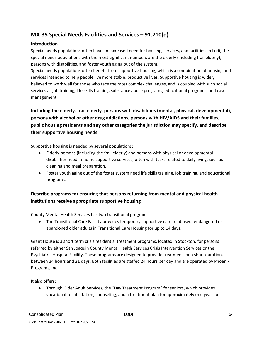# **MA‐35 Special Needs Facilities and Services – 91.210(d)**

### **Introduction**

Special needs populations often have an increased need for housing, services, and facilities. In Lodi, the special needs populations with the most significant numbers are the elderly (including frail elderly), persons with disabilities, and foster youth aging out of the system.

Special needs populations often benefit from supportive housing, which is a combination of housing and services intended to help people live more stable, productive lives. Supportive housing is widely believed to work well for those who face the most complex challenges, and is coupled with such social services as job training, life skills training, substance abuse programs, educational programs, and case management.

# **Including the elderly, frail elderly, persons with disabilities (mental, physical, developmental), persons with alcohol or other drug addictions, persons with HIV/AIDS and their families, public housing residents and any other categories the jurisdiction may specify, and describe their supportive housing needs**

Supportive housing is needed by several populations:

- Elderly persons (including the frail elderly) and persons with physical or developmental disabilities need in‐home supportive services, often with tasks related to daily living, such as cleaning and meal preparation.
- Foster youth aging out of the foster system need life skills training, job training, and educational programs.

# **Describe programs for ensuring that persons returning from mental and physical health institutions receive appropriate supportive housing**

County Mental Health Services has two transitional programs.

 The Transitional Care Facility provides temporary supportive care to abused, endangered or abandoned older adults in Transitional Care Housing for up to 14 days.

Grant House is a short term crisis residential treatment programs, located in Stockton, for persons referred by either San Joaquin County Mental Health Services Crisis Intervention Services or the Psychiatric Hospital Facility. These programs are designed to provide treatment for a short duration, between 24 hours and 21 days. Both facilities are staffed 24 hours per day and are operated by Phoenix Programs, Inc.

It also offers:

 Through Older Adult Services, the "Day Treatment Program" for seniors, which provides vocational rehabilitation, counseling, and a treatment plan for approximately one year for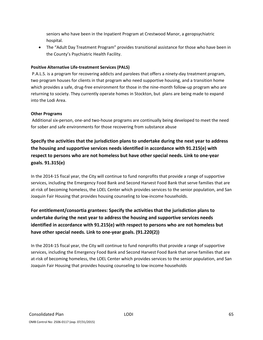seniors who have been in the Inpatient Program at Crestwood Manor, a geropsychiatric hospital.

 The "Adult Day Treatment Program" provides transitional assistance for those who have been in the County's Psychiatric Health Facility.

### **Positive Alternative Life‐treatment Services (PALS)**

P.A.L.S. is a program for recovering addicts and parolees that offers a ninety‐day treatment program, two program houses for clients in that program who need supportive housing, and a transition home which provides a safe, drug-free environment for those in the nine-month follow-up program who are returning to society. They currently operate homes in Stockton, but plans are being made to expand into the Lodi Area.

### **Other Programs**

Additional six‐person, one‐and two‐house programs are continually being developed to meet the need for sober and safe environments for those recovering from substance abuse

**Specify the activities that the jurisdiction plans to undertake during the next year to address the housing and supportive services needs identified in accordance with 91.215(e) with respect to persons who are not homeless but have other special needs. Link to one‐year goals. 91.315(e)**

In the 2014‐15 fiscal year, the City will continue to fund nonprofits that provide a range of supportive services, including the Emergency Food Bank and Second Harvest Food Bank that serve families that are at-risk of becoming homeless, the LOEL Center which provides services to the senior population, and San Joaquin Fair Housing that provides housing counseling to low‐income households.

# **For entitlement/consortia grantees: Specify the activities that the jurisdiction plans to undertake during the next year to address the housing and supportive services needs identified in accordance with 91.215(e) with respect to persons who are not homeless but have other special needs. Link to one‐year goals. (91.220(2))**

In the 2014‐15 fiscal year, the City will continue to fund nonprofits that provide a range of supportive services, including the Emergency Food Bank and Second Harvest Food Bank that serve families that are at-risk of becoming homeless, the LOEL Center which provides services to the senior population, and San Joaquin Fair Housing that provides housing counseling to low‐income households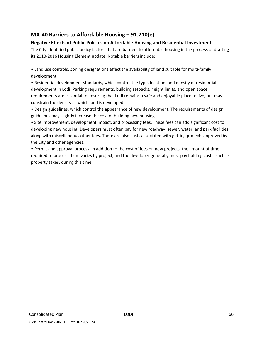# **MA‐40 Barriers to Affordable Housing – 91.210(e)**

### **Negative Effects of Public Policies on Affordable Housing and Residential Investment**

The City identified public policy factors that are barriers to affordable housing in the process of drafting its 2010‐2016 Housing Element update. Notable barriers include:

• Land use controls. Zoning designations affect the availability of land suitable for multi‐family development.

• Residential development standards, which control the type, location, and density of residential development in Lodi. Parking requirements, building setbacks, height limits, and open space requirements are essential to ensuring that Lodi remains a safe and enjoyable place to live, but may constrain the density at which land is developed.

• Design guidelines, which control the appearance of new development. The requirements of design guidelines may slightly increase the cost of building new housing.

• Site improvement, development impact, and processing fees. These fees can add significant cost to developing new housing. Developers must often pay for new roadway, sewer, water, and park facilities, along with miscellaneous other fees. There are also costs associated with getting projects approved by the City and other agencies.

• Permit and approval process. In addition to the cost of fees on new projects, the amount of time required to process them varies by project, and the developer generally must pay holding costs, such as property taxes, during this time.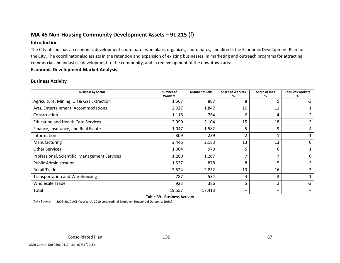# **MA‐45 Non‐Housing Community Development Assets – 91.215 (f)**

### **Introduction**

The City of Lodi has an economic development coordinator who plans, organizes, coordinates, and directs the Economic Development Plan for the City. The coordinator also assists in the retention and expansion of existing businesses, in marketing and outreach programs for attracting commercial and industrial development to the community, and in redevelopment of the downtown area.

### **Economic Development Market Analysis**

### **Business Activity**

| <b>Business by Sector</b>                     | Number of<br><b>Workers</b> | <b>Number of Jobs</b> | <b>Share of Workers</b><br>% | <b>Share of Jobs</b><br>℅ | Jobs less workers<br>% |
|-----------------------------------------------|-----------------------------|-----------------------|------------------------------|---------------------------|------------------------|
| Agriculture, Mining, Oil & Gas Extraction     | 1,567                       | 887                   | 8                            | 5                         | -3                     |
| Arts, Entertainment, Accommodations           | 2,027                       | 1,847                 | 10                           | 11                        |                        |
| Construction                                  | 1,116                       | 764                   | 6                            | 4                         | $-2$                   |
| <b>Education and Health Care Services</b>     | 2,990                       | 3,104                 | 15                           | 18                        | 3                      |
| Finance, Insurance, and Real Estate           | 1,047                       | 1,582                 | 5                            | 9                         | 4                      |
| Information                                   | 309                         | 239                   | $\overline{2}$               |                           | $-1$                   |
| Manufacturing                                 | 2,446                       | 2,183                 | 13                           | 13                        | 0                      |
| <b>Other Services</b>                         | 1,004                       | 970                   | 5                            | 6                         |                        |
| Professional, Scientific, Management Services | 1,280                       | 1,207                 | $\overline{\phantom{a}}$     |                           | 0                      |
| <b>Public Administration</b>                  | 1,537                       | 878                   | 8                            | 5                         | $-3$                   |
| <b>Retail Trade</b>                           | 2,524                       | 2,832                 | 13                           | 16                        | 3                      |
| <b>Transportation and Warehousing</b>         | 787                         | 534                   | 4                            | 3                         | $-1$                   |
| <b>Wholesale Trade</b>                        | 923                         | 386                   | 5                            | 2                         | $-3$                   |
| Total                                         | 19,557                      | 17,413                | $\qquad \qquad -$            | --                        | $\qquad \qquad -$      |

**Table 39 ‐ Business Activity**

**Data Source:** 2006‐2010 ACS (Workers), 2010 Longitudinal Employer‐Household Dynamics (Jobs)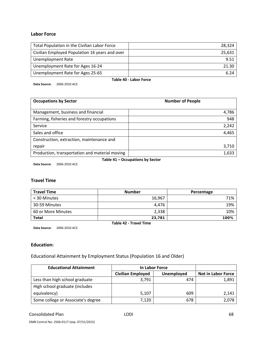### **Labor Force**

| Total Population in the Civilian Labor Force   | 28.324 |  |  |
|------------------------------------------------|--------|--|--|
| Civilian Employed Population 16 years and over | 25,631 |  |  |
| <b>Unemployment Rate</b>                       | 9.51   |  |  |
| Unemployment Rate for Ages 16-24               | 21.30  |  |  |
| Unemployment Rate for Ages 25-65               | 6.24   |  |  |
| Table 40 - Labor Force                         |        |  |  |

**Data Source:** 2006‐2010 ACS

| <b>Occupations by Sector</b>                   | <b>Number of People</b> |
|------------------------------------------------|-------------------------|
| Management, business and financial             | 4,786                   |
| Farming, fisheries and forestry occupations    | 948                     |
| Service                                        | 2,242                   |
| Sales and office                               | 4,465                   |
| Construction, extraction, maintenance and      |                         |
| repair                                         | 3,710                   |
| Production, transportation and material moving | 1,633                   |

**Table 41 – Occupations by Sector**

**Data Source:** 2006‐2010 ACS

### **Travel Time**

| <b>Travel Time</b>            | <b>Number</b> | Percentage |  |
|-------------------------------|---------------|------------|--|
| < 30 Minutes                  | 16,967        | 71%        |  |
| 30-59 Minutes                 | 4.476         | 19%        |  |
| 60 or More Minutes            | 2,338         | 10%        |  |
| <b>Total</b>                  | 23,781        | 100%       |  |
| <b>Table 42 - Travel Time</b> |               |            |  |

**Data Source:** 2006‐2010 ACS

### **Education:**

Educational Attainment by Employment Status (Population 16 and Older)

| <b>Educational Attainment</b>      | In Labor Force           |            |                           |
|------------------------------------|--------------------------|------------|---------------------------|
|                                    | <b>Civilian Employed</b> | Unemployed | <b>Not in Labor Force</b> |
| Less than high school graduate     | 3,791                    | 474        | 1,891                     |
| High school graduate (includes     |                          |            |                           |
| equivalency)                       | 5,107                    | 609        | 2,141                     |
| Some college or Associate's degree | 7,120                    | 678        | 2,078                     |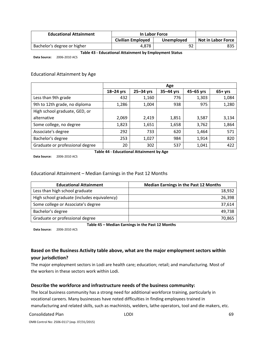| <b>Educational Attainment</b> | In Labor Force    |            |                           |
|-------------------------------|-------------------|------------|---------------------------|
|                               | Civilian Employed | Unemployed | <b>Not in Labor Force</b> |
| Bachelor's degree or higher   | 4.878             | 92         | 835                       |

#### **Table 43 ‐ Educational Attainment by Employment Status**

**Data Source:** 2006‐2010 ACS

### Educational Attainment by Age

|                                 | Age           |           |           |           |          |
|---------------------------------|---------------|-----------|-----------|-----------|----------|
|                                 | $18 - 24$ yrs | 25-34 yrs | 35-44 yrs | 45-65 yrs | $65+yrs$ |
| Less than 9th grade             | 432           | 1,160     | 776       | 1,303     | 1,084    |
| 9th to 12th grade, no diploma   | 1,286         | 1,004     | 938       | 975       | 1,280    |
| High school graduate, GED, or   |               |           |           |           |          |
| alternative                     | 2,069         | 2,419     | 1,851     | 3,587     | 3,134    |
| Some college, no degree         | 1,823         | 1,651     | 1,658     | 3,762     | 1,864    |
| Associate's degree              | 292           | 733       | 620       | 1,464     | 571      |
| Bachelor's degree               | 253           | 1,027     | 984       | 1,914     | 820      |
| Graduate or professional degree | 20            | 302       | 537       | 1,041     | 422      |

**Data Source:** 2006‐2010 ACS

**Table 44 ‐ Educational Attainment by Age**

### Educational Attainment – Median Earnings in the Past 12 Months

| <b>Educational Attainment</b>               | <b>Median Earnings in the Past 12 Months</b> |
|---------------------------------------------|----------------------------------------------|
| Less than high school graduate              | 18,932                                       |
| High school graduate (includes equivalency) | 26,398                                       |
| Some college or Associate's degree          | 37,614                                       |
| Bachelor's degree                           | 49,738                                       |
| Graduate or professional degree             | 70,865                                       |

**Table 45 – Median Earnings in the Past 12 Months**

**Data Source:** 2006‐2010 ACS

### **Based on the Business Activity table above, what are the major employment sectors within your jurisdiction?**

The major employment sectors in Lodi are health care; education; retail; and manufacturing. Most of the workers in these sectors work within Lodi.

### **Describe the workforce and infrastructure needs of the business community:**

The local business community has a strong need for additional workforce training, particularly in vocational careers. Many businesses have noted difficulties in finding employees trained in manufacturing and related skills, such as machinists, welders, lathe operators, tool and die makers, etc.

#### Consolidated Plan **Consolidated Plan Consolidated Plan Consolidated Plan Consolidated Plan Consolidated Plan Consolidated Plan Consolidated Plan Consolidated Plan Consolidated Plan Consolidated Plan Consolidated Plan Conso**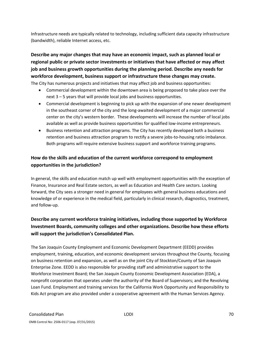Infrastructure needs are typically related to technology, including sufficient data capacity infrastructure (bandwidth), reliable Internet access, etc.

# **Describe any major changes that may have an economic impact, such as planned local or regional public or private sector investments or initiatives that have affected or may affect job and business growth opportunities during the planning period. Describe any needs for workforce development, business support or infrastructure these changes may create.** The City has numerous projects and initiatives that may affect job and business opportunities:

- Commercial development within the downtown area is being proposed to take place over the next 3 – 5 years that will provide local jobs and business opportunities.
- Commercial development is beginning to pick up with the expansion of one newer development in the southeast corner of the city and the long‐awaited development of a major commercial center on the city's western border. These developments will increase the number of local jobs available as well as provide business opportunities for qualified low-income entrepreneurs.
- Business retention and attraction programs. The City has recently developed both a business retention and business attraction program to rectify a severe jobs-to-housing ratio imbalance. Both programs will require extensive business support and workforce training programs.

# **How do the skills and education of the current workforce correspond to employment opportunities in the jurisdiction?**

In general, the skills and education match up well with employment opportunities with the exception of Finance, Insurance and Real Estate sectors, as well as Education and Health Care sectors. Looking forward, the City sees a stronger need in general for employees with general business educations and knowledge of or experience in the medical field, particularly in clinical research, diagnostics, treatment, and follow‐up.

# **Describe any current workforce training initiatives, including those supported by Workforce Investment Boards, community colleges and other organizations. Describe how these efforts will support the jurisdiction's Consolidated Plan.**

The San Joaquin County Employment and Economic Development Department (EEDD) provides employment, training, education, and economic development services throughout the County, focusing on business retention and expansion, as well as on the joint City of Stockton/County of San Joaquin Enterprise Zone. EEDD is also responsible for providing staff and administrative support to the Workforce Investment Board; the San Joaquin County Economic Development Association (EDA), a nonprofit corporation that operates under the authority of the Board of Supervisors; and the Revolving Loan Fund. Employment and training services for the California Work Opportunity and Responsibility to Kids Act program are also provided under a cooperative agreement with the Human Services Agency.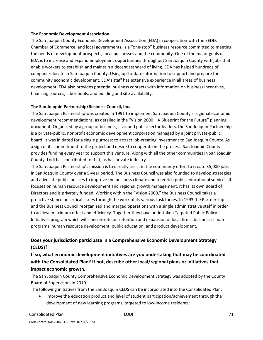#### **The Economic Development Association**

The San Joaquin County Economic Development Association (EDA) in cooperation with the EEDD, Chamber of Commerce, and local governments, is a "one‐stop" business resource committed to meeting the needs of development prospects, local businesses and the community. One of the major goals of EDA is to increase and expand employment opportunities throughout San Joaquin County with jobs that enable workers to establish and maintain a decent standard of living. EDA has helped hundreds of companies locate in San Joaquin County. Using up‐to‐date information to support and prepare for community economic development, EDA's staff has extensive experience in all areas of business development. EDA also provides potential business contacts with information on business incentives, financing sources, labor pools, and building and site availability.

### **The San Joaquin Partnership/Business Council, Inc.**

The San Joaquin Partnership was created in 1991 to implement San Joaquin County's regional economic development recommendations, as detailed in the "Vision 2000—A Blueprint for the Future" planning document. Organized by a group of business, civic and public sector leaders, the San Joaquin Partnership is a private‐public, nonprofit economic development corporation managed by a joint private‐public board. It was initiated for a single purpose: to attract job‐creating investment to San Joaquin County. As a sign of its commitment to the project and desire to cooperate in the process, San Joaquin County provides funding every year to support this venture. Along with all the other communities in San Joaquin County, Lodi has contributed to that, as has private industry.

The San Joaquin Partnership's mission is to directly assist in the community effort to create 35,000 jobs in San Joaquin County over a 5‐year period. The Business Council was also founded to develop strategies and advocate public policies to improve the business climate and to enrich public educational services. It focuses on human resource development and regional growth management. It has its own Board of Directors and is privately funded. Working within the "Vision 2000," the Business Council takes a proactive stance on critical issues through the work of its various task forces. In 1993 the Partnership and the Business Council reorganized and merged operations with a single administrative staff in order to achieve maximum effect and efficiency. Together they have undertaken Targeted Public Policy Initiatives program which will concentrate on retention and expansion of local firms, business climate programs, human resource development, public education, and product development.

### **Does your jurisdiction participate in a Comprehensive Economic Development Strategy (CEDS)?**

**If so, what economic development initiatives are you undertaking that may be coordinated with the Consolidated Plan? If not, describe other local/regional plans or initiatives that impact economic growth.**

The San Joaquin County Comprehensive Economic Development Strategy was adopted by the County Board of Supervisors in 2010.

The following initiatives from the San Joaquin CEDS can be incorporated into the Consolidated Plan:

• Improve the education product and level of student participation/achievement through the development of new learning programs, targeted to low‐income residents;

#### Consolidated Plan 21 and 2008 to the LODI 2008 of the Consolidated Plan 21 and 2008 to the Consolidated Plan 21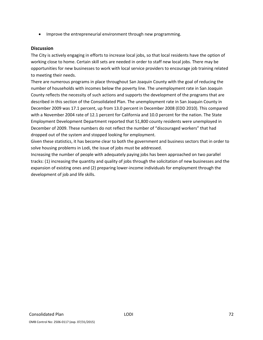Improve the entrepreneurial environment through new programming.

#### **Discussion**

The City is actively engaging in efforts to increase local jobs, so that local residents have the option of working close to home. Certain skill sets are needed in order to staff new local jobs. There may be opportunities for new businesses to work with local service providers to encourage job training related to meeting their needs.

There are numerous programs in place throughout San Joaquin County with the goal of reducing the number of households with incomes below the poverty line. The unemployment rate in San Joaquin County reflects the necessity of such actions and supports the development of the programs that are described in this section of the Consolidated Plan. The unemployment rate in San Joaquin County in December 2009 was 17.1 percent, up from 13.0 percent in December 2008 (EDD 2010). This compared with a November 2004 rate of 12.1 percent for California and 10.0 percent for the nation. The State Employment Development Department reported that 51,800 county residents were unemployed in December of 2009. These numbers do not reflect the number of "discouraged workers" that had dropped out of the system and stopped looking for employment.

Given these statistics, it has become clear to both the government and business sectors that in order to solve housing problems in Lodi, the issue of jobs must be addressed.

Increasing the number of people with adequately paying jobs has been approached on two parallel tracks: (1) increasing the quantity and quality of jobs through the solicitation of new businesses and the expansion of existing ones and (2) preparing lower-income individuals for employment through the development of job and life skills.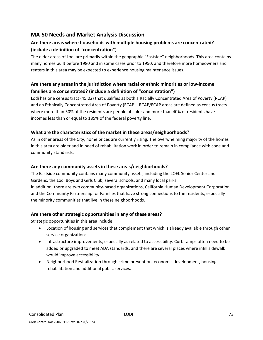## **MA‐50 Needs and Market Analysis Discussion**

# **Are there areas where households with multiple housing problems are concentrated? (include a definition of "concentration")**

The older areas of Lodi are primarily within the geographic "Eastside" neighborhoods. This area contains many homes built before 1980 and in some cases prior to 1950, and therefore more homeowners and renters in this area may be expected to experience housing maintenance issues.

## **Are there any areas in the jurisdiction where racial or ethnic minorities or low‐income families are concentrated? (include a definition of "concentration")**

Lodi has one census tract (45.02) that qualifies as both a Racially Concentrated Area of Poverty (RCAP) and an Ethnically Concentrated Area of Poverty (ECAP). RCAP/ECAP areas are defined as census tracts where more than 50% of the residents are people of color and more than 40% of residents have incomes less than or equal to 185% of the federal poverty line.

#### **What are the characteristics of the market in these areas/neighborhoods?**

As in other areas of the City, home prices are currently rising. The overwhelming majority of the homes in this area are older and in need of rehabilitation work in order to remain in compliance with code and community standards.

#### **Are there any community assets in these areas/neighborhoods?**

The Eastside community contains many community assets, including the LOEL Senior Center and Gardens, the Lodi Boys and Girls Club, several schools, and many local parks. In addition, there are two community‐based organizations, California Human Development Corporation and the Community Partnership for Families that have strong connections to the residents, especially the minority communities that live in these neighborhoods.

#### **Are there other strategic opportunities in any of these areas?**

Strategic opportunities in this area include:

- Location of housing and services that complement that which is already available through other service organizations.
- Infrastructure improvements, especially as related to accessibility. Curb ramps often need to be added or upgraded to meet ADA standards, and there are several places where infill sidewalk would improve accessibility.
- Neighborhood Revitalization through crime prevention, economic development, housing rehabilitation and additional public services.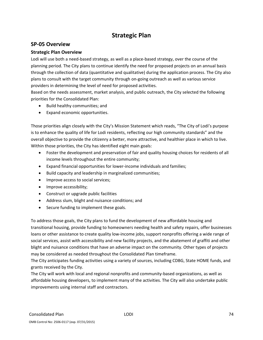# **Strategic Plan**

### **SP‐05 Overview**

#### **Strategic Plan Overview**

Lodi will use both a need-based strategy, as well as a place-based strategy, over the course of the planning period. The City plans to continue identify the need for proposed projects on an annual basis through the collection of data (quantitative and qualitative) during the application process. The City also plans to consult with the target community through on‐going outreach as well as various service providers in determining the level of need for proposed activities.

Based on the needs assessment, market analysis, and public outreach, the City selected the following priorities for the Consolidated Plan:

- Build healthy communities; and
- Expand economic opportunities.

Those priorities align closely with the City's Mission Statement which reads, "The City of Lodi's purpose is to enhance the quality of life for Lodi residents, reflecting our high community standards" and the overall objective to provide the citizenry a better, more attractive, and healthier place in which to live. Within those priorities, the City has identified eight main goals:

- Foster the development and preservation of fair and quality housing choices for residents of all income levels throughout the entire community;
- Expand financial opportunities for lower-income individuals and families;
- Build capacity and leadership in marginalized communities;
- Improve access to social services;
- Improve accessibility;
- Construct or upgrade public facilities
- Address slum, blight and nuisance conditions; and
- Secure funding to implement these goals.

To address those goals, the City plans to fund the development of new affordable housing and transitional housing, provide funding to homeowners needing health and safety repairs, offer businesses loans or other assistance to create quality low-income jobs, support nonprofits offering a wide range of social services, assist with accessibility and new facility projects, and the abatement of graffiti and other blight and nuisance conditions that have an adverse impact on the community. Other types of projects may be considered as needed throughout the Consolidated Plan timeframe.

The City anticipates funding activities using a variety of sources, including CDBG, State HOME funds, and grants received by the City.

The City will work with local and regional nonprofits and community‐based organizations, as well as affordable housing developers, to implement many of the activities. The City will also undertake public improvements using internal staff and contractors.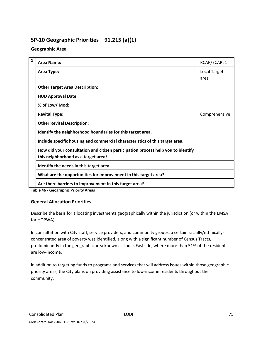# **SP‐10 Geographic Priorities – 91.215 (a)(1)**

### **Geographic Area**

| $\mathbf{1}$ | Area Name:                                                                                                              | RCAP/ECAP#1   |
|--------------|-------------------------------------------------------------------------------------------------------------------------|---------------|
|              | Area Type:                                                                                                              | Local Target  |
|              |                                                                                                                         | area          |
|              | <b>Other Target Area Description:</b>                                                                                   |               |
|              | <b>HUD Approval Date:</b>                                                                                               |               |
|              | % of Low/ Mod:                                                                                                          |               |
|              | <b>Revital Type:</b>                                                                                                    | Comprehensive |
|              | <b>Other Revital Description:</b>                                                                                       |               |
|              | Identify the neighborhood boundaries for this target area.                                                              |               |
|              | Include specific housing and commercial characteristics of this target area.                                            |               |
|              | How did your consultation and citizen participation process help you to identify<br>this neighborhood as a target area? |               |
|              | Identify the needs in this target area.                                                                                 |               |
|              | What are the opportunities for improvement in this target area?                                                         |               |
|              | Are there barriers to improvement in this target area?                                                                  |               |

**Table 46 ‐ Geographic Priority Areas**

#### **General Allocation Priorities**

Describe the basis for allocating investments geographically within the jurisdiction (or within the EMSA for HOPWA)

In consultation with City staff, service providers, and community groups, a certain racially/ethnically‐ concentrated area of poverty was identified, along with a significant number of Census Tracts, predominantly in the geographic area known as Lodi's Eastside, where more than 51% of the residents are low‐income.

In addition to targeting funds to programs and services that will address issues within those geographic priority areas, the City plans on providing assistance to low-income residents throughout the community.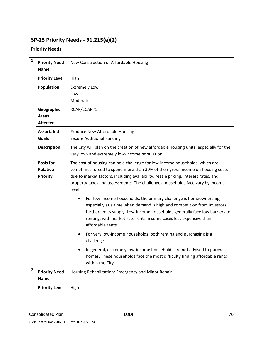# **SP‐25 Priority Needs ‐ 91.215(a)(2)**

## **Priority Needs**

| $\mathbf{1}$                                                                   | <b>Priority Need</b><br><b>Name</b>                                                                                                                                                                                                                                                                                    | New Construction of Affordable Housing                                                                                                                                                                                                                                                                                                         |  |  |  |  |  |  |
|--------------------------------------------------------------------------------|------------------------------------------------------------------------------------------------------------------------------------------------------------------------------------------------------------------------------------------------------------------------------------------------------------------------|------------------------------------------------------------------------------------------------------------------------------------------------------------------------------------------------------------------------------------------------------------------------------------------------------------------------------------------------|--|--|--|--|--|--|
|                                                                                | <b>Priority Level</b>                                                                                                                                                                                                                                                                                                  | High                                                                                                                                                                                                                                                                                                                                           |  |  |  |  |  |  |
|                                                                                | Population                                                                                                                                                                                                                                                                                                             | <b>Extremely Low</b><br>Low<br>Moderate                                                                                                                                                                                                                                                                                                        |  |  |  |  |  |  |
|                                                                                | Geographic<br><b>Areas</b><br><b>Affected</b>                                                                                                                                                                                                                                                                          | RCAP/ECAP#1                                                                                                                                                                                                                                                                                                                                    |  |  |  |  |  |  |
|                                                                                | <b>Associated</b><br><b>Goals</b>                                                                                                                                                                                                                                                                                      | Produce New Affordable Housing<br><b>Secure Additional Funding</b>                                                                                                                                                                                                                                                                             |  |  |  |  |  |  |
|                                                                                | <b>Description</b>                                                                                                                                                                                                                                                                                                     | The City will plan on the creation of new affordable housing units, especially for the<br>very low- and extremely low-income population.                                                                                                                                                                                                       |  |  |  |  |  |  |
|                                                                                | <b>Basis for</b><br><b>Relative</b><br>Priority                                                                                                                                                                                                                                                                        | The cost of housing can be a challenge for low-income households, which are<br>sometimes forced to spend more than 30% of their gross income on housing costs<br>due to market factors, including availability, resale pricing, interest rates, and<br>property taxes and assessments. The challenges households face vary by income<br>level: |  |  |  |  |  |  |
|                                                                                | For low-income households, the primary challenge is homeownership,<br>especially at a time when demand is high and competition from investors<br>further limits supply. Low-income households generally face low barriers to<br>renting, with market-rate rents in some cases less expensive than<br>affordable rents. |                                                                                                                                                                                                                                                                                                                                                |  |  |  |  |  |  |
| For very low-income households, both renting and purchasing is a<br>challenge. |                                                                                                                                                                                                                                                                                                                        |                                                                                                                                                                                                                                                                                                                                                |  |  |  |  |  |  |
|                                                                                |                                                                                                                                                                                                                                                                                                                        | In general, extremely low-income households are not advised to purchase<br>homes. These households face the most difficulty finding affordable rents<br>within the City.                                                                                                                                                                       |  |  |  |  |  |  |
| $\overline{2}$                                                                 | <b>Priority Need</b><br><b>Name</b>                                                                                                                                                                                                                                                                                    | Housing Rehabilitation: Emergency and Minor Repair                                                                                                                                                                                                                                                                                             |  |  |  |  |  |  |
|                                                                                | <b>Priority Level</b>                                                                                                                                                                                                                                                                                                  | High                                                                                                                                                                                                                                                                                                                                           |  |  |  |  |  |  |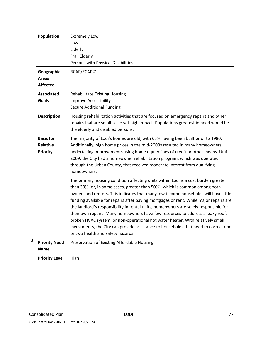|                         | Population                                                                                                                                                                                                    | <b>Extremely Low</b><br>Low<br>Elderly<br>Frail Elderly<br>Persons with Physical Disabilities                                                                                                                                                                                                                                                                                                                                                                                                                                                                                                                                                                                                                                            |
|-------------------------|---------------------------------------------------------------------------------------------------------------------------------------------------------------------------------------------------------------|------------------------------------------------------------------------------------------------------------------------------------------------------------------------------------------------------------------------------------------------------------------------------------------------------------------------------------------------------------------------------------------------------------------------------------------------------------------------------------------------------------------------------------------------------------------------------------------------------------------------------------------------------------------------------------------------------------------------------------------|
|                         | Geographic<br><b>Areas</b><br><b>Affected</b>                                                                                                                                                                 | RCAP/ECAP#1                                                                                                                                                                                                                                                                                                                                                                                                                                                                                                                                                                                                                                                                                                                              |
|                         | <b>Associated</b><br><b>Goals</b>                                                                                                                                                                             | <b>Rehabilitate Existing Housing</b><br><b>Improve Accessibility</b><br><b>Secure Additional Funding</b>                                                                                                                                                                                                                                                                                                                                                                                                                                                                                                                                                                                                                                 |
|                         | Housing rehabilitation activities that are focused on emergency repairs and other<br>repairs that are small-scale yet high impact. Populations greatest in need would be<br>the elderly and disabled persons. |                                                                                                                                                                                                                                                                                                                                                                                                                                                                                                                                                                                                                                                                                                                                          |
|                         | <b>Basis for</b><br><b>Relative</b><br><b>Priority</b>                                                                                                                                                        | The majority of Lodi's homes are old, with 63% having been built prior to 1980.<br>Additionally, high home prices in the mid-2000s resulted in many homeowners<br>undertaking improvements using home equity lines of credit or other means. Until<br>2009, the City had a homeowner rehabilitation program, which was operated<br>through the Urban County, that received moderate interest from qualifying<br>homeowners.                                                                                                                                                                                                                                                                                                              |
|                         |                                                                                                                                                                                                               | The primary housing condition affecting units within Lodi is a cost burden greater<br>than 30% (or, in some cases, greater than 50%), which is common among both<br>owners and renters. This indicates that many low-income households will have little<br>funding available for repairs after paying mortgages or rent. While major repairs are<br>the landlord's responsibility in rental units, homeowners are solely responsible for<br>their own repairs. Many homeowners have few resources to address a leaky roof,<br>broken HVAC system, or non-operational hot water heater. With relatively small<br>investments, the City can provide assistance to households that need to correct one<br>or two health and safety hazards. |
| $\overline{\mathbf{3}}$ | <b>Priority Need</b><br><b>Name</b>                                                                                                                                                                           | Preservation of Existing Affordable Housing                                                                                                                                                                                                                                                                                                                                                                                                                                                                                                                                                                                                                                                                                              |
|                         | <b>Priority Level</b>                                                                                                                                                                                         | High                                                                                                                                                                                                                                                                                                                                                                                                                                                                                                                                                                                                                                                                                                                                     |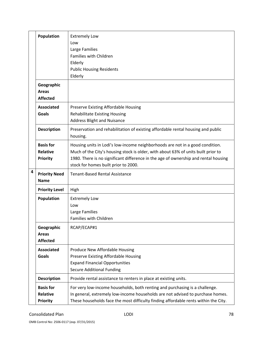|   | Population                                             | <b>Extremely Low</b><br>Low<br>Large Families<br>Families with Children<br>Elderly<br><b>Public Housing Residents</b><br>Elderly                                                                                                                                                                  |  |  |  |  |  |
|---|--------------------------------------------------------|---------------------------------------------------------------------------------------------------------------------------------------------------------------------------------------------------------------------------------------------------------------------------------------------------|--|--|--|--|--|
|   | Geographic<br><b>Areas</b><br><b>Affected</b>          |                                                                                                                                                                                                                                                                                                   |  |  |  |  |  |
|   | <b>Associated</b><br>Goals                             | Preserve Existing Affordable Housing<br><b>Rehabilitate Existing Housing</b><br><b>Address Blight and Nuisance</b>                                                                                                                                                                                |  |  |  |  |  |
|   | <b>Description</b>                                     | Preservation and rehabilitation of existing affordable rental housing and public<br>housing.                                                                                                                                                                                                      |  |  |  |  |  |
|   | <b>Basis for</b><br><b>Relative</b><br><b>Priority</b> | Housing units in Lodi's low-income neighborhoods are not in a good condition.<br>Much of the City's housing stock is older, with about 63% of units built prior to<br>1980. There is no significant difference in the age of ownership and rental housing<br>stock for homes built prior to 2000. |  |  |  |  |  |
| 4 | <b>Priority Need</b><br><b>Name</b>                    | <b>Tenant-Based Rental Assistance</b>                                                                                                                                                                                                                                                             |  |  |  |  |  |
|   | <b>Priority Level</b>                                  | High                                                                                                                                                                                                                                                                                              |  |  |  |  |  |
|   | Population                                             | <b>Extremely Low</b><br>Low<br>Large Families<br>Families with Children                                                                                                                                                                                                                           |  |  |  |  |  |
|   | Geographic<br><b>Areas</b><br><b>Affected</b>          | RCAP/ECAP#1                                                                                                                                                                                                                                                                                       |  |  |  |  |  |
|   | <b>Associated</b><br>Goals                             | Produce New Affordable Housing<br>Preserve Existing Affordable Housing<br><b>Expand Financial Opportunities</b><br><b>Secure Additional Funding</b>                                                                                                                                               |  |  |  |  |  |
|   | <b>Description</b>                                     | Provide rental assistance to renters in place at existing units.                                                                                                                                                                                                                                  |  |  |  |  |  |
|   | <b>Basis for</b><br><b>Relative</b><br><b>Priority</b> | For very low-income households, both renting and purchasing is a challenge.<br>In general, extremely low-income households are not advised to purchase homes.<br>These households face the most difficulty finding affordable rents within the City.                                              |  |  |  |  |  |

OMB Control No: 2506‐0117 (exp. 07/31/2015)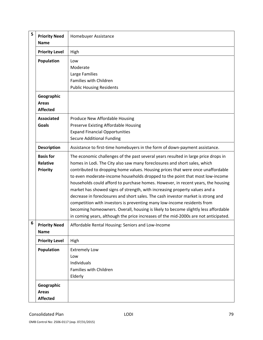| 5 | <b>Priority Need</b><br>Homebuyer Assistance<br><b>Name</b> |                                                                                                                                                                                                                                                                                                                                                                                                                                                                                                                                                                                                                                                                                                                                                                                                                                                  |  |  |  |  |
|---|-------------------------------------------------------------|--------------------------------------------------------------------------------------------------------------------------------------------------------------------------------------------------------------------------------------------------------------------------------------------------------------------------------------------------------------------------------------------------------------------------------------------------------------------------------------------------------------------------------------------------------------------------------------------------------------------------------------------------------------------------------------------------------------------------------------------------------------------------------------------------------------------------------------------------|--|--|--|--|
|   | <b>Priority Level</b>                                       | High                                                                                                                                                                                                                                                                                                                                                                                                                                                                                                                                                                                                                                                                                                                                                                                                                                             |  |  |  |  |
|   | Population                                                  | Low<br>Moderate<br>Large Families<br>Families with Children<br><b>Public Housing Residents</b>                                                                                                                                                                                                                                                                                                                                                                                                                                                                                                                                                                                                                                                                                                                                                   |  |  |  |  |
|   | Geographic<br><b>Areas</b><br><b>Affected</b>               |                                                                                                                                                                                                                                                                                                                                                                                                                                                                                                                                                                                                                                                                                                                                                                                                                                                  |  |  |  |  |
|   | <b>Associated</b><br><b>Goals</b>                           | Produce New Affordable Housing<br>Preserve Existing Affordable Housing<br><b>Expand Financial Opportunities</b><br><b>Secure Additional Funding</b>                                                                                                                                                                                                                                                                                                                                                                                                                                                                                                                                                                                                                                                                                              |  |  |  |  |
|   | <b>Description</b>                                          | Assistance to first-time homebuyers in the form of down-payment assistance.                                                                                                                                                                                                                                                                                                                                                                                                                                                                                                                                                                                                                                                                                                                                                                      |  |  |  |  |
|   | <b>Basis for</b><br>Relative<br><b>Priority</b>             | The economic challenges of the past several years resulted in large price drops in<br>homes in Lodi. The City also saw many foreclosures and short sales, which<br>contributed to dropping home values. Housing prices that were once unaffordable<br>to even moderate-income households dropped to the point that most low-income<br>households could afford to purchase homes. However, in recent years, the housing<br>market has showed signs of strength, with increasing property values and a<br>decrease in foreclosures and short sales. The cash investor market is strong and<br>competition with investors is preventing many low-income residents from<br>becoming homeowners. Overall, housing is likely to become slightly less affordable<br>in coming years, although the price increases of the mid-2000s are not anticipated. |  |  |  |  |
| 6 | <b>Priority Need</b><br><b>Name</b>                         | Affordable Rental Housing: Seniors and Low-Income                                                                                                                                                                                                                                                                                                                                                                                                                                                                                                                                                                                                                                                                                                                                                                                                |  |  |  |  |
|   | <b>Priority Level</b>                                       | High                                                                                                                                                                                                                                                                                                                                                                                                                                                                                                                                                                                                                                                                                                                                                                                                                                             |  |  |  |  |
|   | Population                                                  | <b>Extremely Low</b><br>Low<br>Individuals<br>Families with Children<br>Elderly                                                                                                                                                                                                                                                                                                                                                                                                                                                                                                                                                                                                                                                                                                                                                                  |  |  |  |  |
|   | Geographic<br><b>Areas</b><br><b>Affected</b>               |                                                                                                                                                                                                                                                                                                                                                                                                                                                                                                                                                                                                                                                                                                                                                                                                                                                  |  |  |  |  |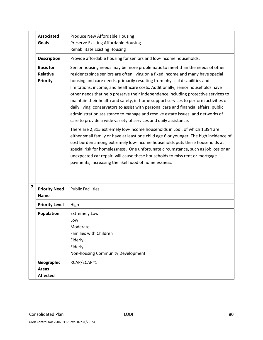|   | <b>Associated</b><br><b>Goals</b>                      | Produce New Affordable Housing<br>Preserve Existing Affordable Housing<br><b>Rehabilitate Existing Housing</b>                                                                                                                                                                                                                                                                                                                                                                                                                                                                                                                                                                                                                                                |  |  |  |  |  |
|---|--------------------------------------------------------|---------------------------------------------------------------------------------------------------------------------------------------------------------------------------------------------------------------------------------------------------------------------------------------------------------------------------------------------------------------------------------------------------------------------------------------------------------------------------------------------------------------------------------------------------------------------------------------------------------------------------------------------------------------------------------------------------------------------------------------------------------------|--|--|--|--|--|
|   | <b>Description</b>                                     | Provide affordable housing for seniors and low-income households.                                                                                                                                                                                                                                                                                                                                                                                                                                                                                                                                                                                                                                                                                             |  |  |  |  |  |
|   | <b>Basis for</b><br><b>Relative</b><br><b>Priority</b> | Senior housing needs may be more problematic to meet than the needs of other<br>residents since seniors are often living on a fixed income and many have special<br>housing and care needs, primarily resulting from physical disabilities and<br>limitations, income, and healthcare costs. Additionally, senior households have<br>other needs that help preserve their independence including protective services to<br>maintain their health and safety, in-home support services to perform activities of<br>daily living, conservators to assist with personal care and financial affairs, public<br>administration assistance to manage and resolve estate issues, and networks of<br>care to provide a wide variety of services and daily assistance. |  |  |  |  |  |
|   |                                                        | There are 2,315 extremely low-income households in Lodi, of which 1,394 are<br>either small family or have at least one child age 6 or younger. The high incidence of<br>cost burden among extremely low-income households puts these households at<br>special risk for homelessness. One unfortunate circumstance, such as job loss or an<br>unexpected car repair, will cause these households to miss rent or mortgage<br>payments, increasing the likelihood of homelessness.                                                                                                                                                                                                                                                                             |  |  |  |  |  |
| 7 | <b>Priority Need</b><br><b>Name</b>                    | <b>Public Facilities</b>                                                                                                                                                                                                                                                                                                                                                                                                                                                                                                                                                                                                                                                                                                                                      |  |  |  |  |  |
|   | <b>Priority Level</b>                                  | High                                                                                                                                                                                                                                                                                                                                                                                                                                                                                                                                                                                                                                                                                                                                                          |  |  |  |  |  |
|   | Population                                             | <b>Extremely Low</b><br>Low<br>Moderate<br>Families with Children<br>Elderly<br>Elderly<br>Non-housing Community Development                                                                                                                                                                                                                                                                                                                                                                                                                                                                                                                                                                                                                                  |  |  |  |  |  |
|   | Geographic<br><b>Areas</b><br><b>Affected</b>          | RCAP/ECAP#1                                                                                                                                                                                                                                                                                                                                                                                                                                                                                                                                                                                                                                                                                                                                                   |  |  |  |  |  |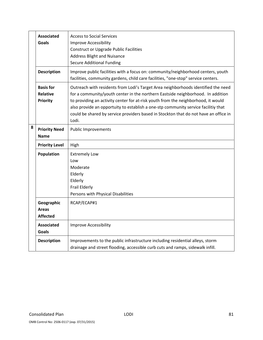|   | <b>Associated</b><br><b>Goals</b>                      | <b>Access to Social Services</b><br><b>Improve Accessibility</b><br><b>Construct or Upgrade Public Facilities</b><br><b>Address Blight and Nuisance</b><br><b>Secure Additional Funding</b>                                                                                                                                                                                                                                                      |
|---|--------------------------------------------------------|--------------------------------------------------------------------------------------------------------------------------------------------------------------------------------------------------------------------------------------------------------------------------------------------------------------------------------------------------------------------------------------------------------------------------------------------------|
|   | <b>Description</b>                                     | Improve public facilities with a focus on: community/neighborhood centers, youth<br>facilities, community gardens, child care facilities, "one-stop" service centers.                                                                                                                                                                                                                                                                            |
|   | <b>Basis for</b><br><b>Relative</b><br><b>Priority</b> | Outreach with residents from Lodi's Target Area neighborhoods identified the need<br>for a community/youth center in the northern Eastside neighborhood. In addition<br>to providing an activity center for at-risk youth from the neighborhood, it would<br>also provide an opportuity to establish a one-stp community service facilitiy that<br>could be shared by service providers based in Stockton that do not have an office in<br>Lodi. |
| 8 | <b>Priority Need</b><br><b>Name</b>                    | <b>Public Improvements</b>                                                                                                                                                                                                                                                                                                                                                                                                                       |
|   | <b>Priority Level</b>                                  | High                                                                                                                                                                                                                                                                                                                                                                                                                                             |
|   | Population                                             | <b>Extremely Low</b><br>Low<br>Moderate<br>Elderly<br>Elderly<br>Frail Elderly<br>Persons with Physical Disabilities                                                                                                                                                                                                                                                                                                                             |
|   | Geographic<br><b>Areas</b><br><b>Affected</b>          | RCAP/ECAP#1                                                                                                                                                                                                                                                                                                                                                                                                                                      |
|   | <b>Associated</b><br><b>Goals</b>                      | Improve Accessibility                                                                                                                                                                                                                                                                                                                                                                                                                            |
|   | <b>Description</b>                                     | Improvements to the public infrastructure including residential alleys, storm<br>drainage and street flooding, accessible curb cuts and ramps, sidewalk infill.                                                                                                                                                                                                                                                                                  |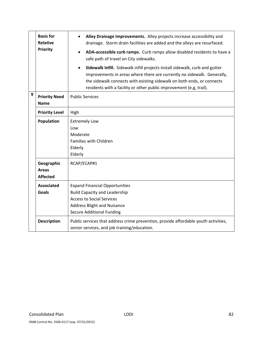|                                                                                                                                                           | <b>Basis for</b><br><b>Relative</b><br><b>Priority</b> | Alley Drainage Improvements. Alley projects increase accessibility and<br>$\bullet$<br>drainage. Storm drain facilities are added and the alleys are resurfaced.<br>ADA-accessible curb ramps. Curb ramps allow disabled residents to have a<br>safe path of travel on City sidewalks.<br>Sidewalk Infill. Sidewalk infill projects install sidewalk, curb and gutter<br>$\bullet$<br>improvements in areas where there are currently no sidewalk. Generally,<br>the sidewalk connects with existing sidewalk on both ends, or connects<br>residents with a facility or other public improvement (e.g, trail). |  |  |  |  |  |
|-----------------------------------------------------------------------------------------------------------------------------------------------------------|--------------------------------------------------------|----------------------------------------------------------------------------------------------------------------------------------------------------------------------------------------------------------------------------------------------------------------------------------------------------------------------------------------------------------------------------------------------------------------------------------------------------------------------------------------------------------------------------------------------------------------------------------------------------------------|--|--|--|--|--|
| 9                                                                                                                                                         | <b>Priority Need</b><br><b>Name</b>                    | <b>Public Services</b>                                                                                                                                                                                                                                                                                                                                                                                                                                                                                                                                                                                         |  |  |  |  |  |
|                                                                                                                                                           | <b>Priority Level</b>                                  | High                                                                                                                                                                                                                                                                                                                                                                                                                                                                                                                                                                                                           |  |  |  |  |  |
|                                                                                                                                                           | <b>Population</b>                                      | <b>Extremely Low</b><br>Low<br>Moderate<br>Families with Children<br>Elderly<br>Elderly                                                                                                                                                                                                                                                                                                                                                                                                                                                                                                                        |  |  |  |  |  |
|                                                                                                                                                           | Geographic<br><b>Areas</b><br><b>Affected</b>          | RCAP/ECAP#1                                                                                                                                                                                                                                                                                                                                                                                                                                                                                                                                                                                                    |  |  |  |  |  |
|                                                                                                                                                           | <b>Associated</b><br><b>Goals</b>                      | <b>Expand Financial Opportunities</b><br><b>Build Capacity and Leadership</b><br><b>Access to Social Services</b><br><b>Address Blight and Nuisance</b><br><b>Secure Additional Funding</b>                                                                                                                                                                                                                                                                                                                                                                                                                    |  |  |  |  |  |
| <b>Description</b><br>Public services that address crime prevention, provide affordable youth activities,<br>senior services, and job training/education. |                                                        |                                                                                                                                                                                                                                                                                                                                                                                                                                                                                                                                                                                                                |  |  |  |  |  |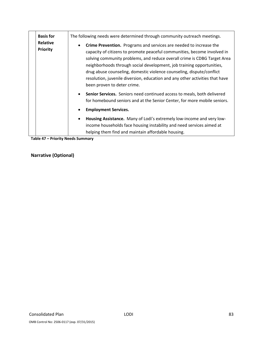| <b>Basis for</b><br><b>Relative</b><br><b>Priority</b> | The following needs were determined through community outreach meetings.<br>Crime Prevention. Programs and services are needed to increase the<br>$\bullet$<br>capacity of citizens to promote peaceful communities, become involved in<br>solving community problems, and reduce overall crime is CDBG Target Area<br>neighborhoods through social development, job training opportunities,<br>drug abuse counseling, domestic violence counseling, dispute/conflict<br>resolution, juvenile diversion, education and any other activities that have<br>been proven to deter crime. |
|--------------------------------------------------------|--------------------------------------------------------------------------------------------------------------------------------------------------------------------------------------------------------------------------------------------------------------------------------------------------------------------------------------------------------------------------------------------------------------------------------------------------------------------------------------------------------------------------------------------------------------------------------------|
|                                                        | Senior Services. Seniors need continued access to meals, both delivered<br>$\bullet$<br>for homebound seniors and at the Senior Center, for more mobile seniors.<br><b>Employment Services.</b><br>$\bullet$<br>Housing Assistance. Many of Lodi's extremely low-income and very low-<br>$\bullet$<br>income households face housing instability and need services aimed at<br>helping them find and maintain affordable housing.                                                                                                                                                    |

**Table 47 – Priority Needs Summary**

## **Narrative (Optional)**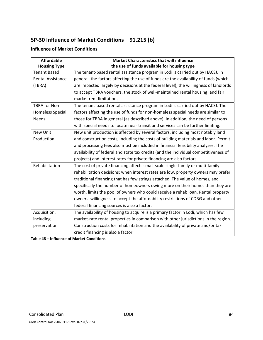# **SP‐30 Influence of Market Conditions – 91.215 (b)**

### **Influence of Market Conditions**

| <b>Affordable</b>        | <b>Market Characteristics that will influence</b>                                     |  |  |  |  |  |
|--------------------------|---------------------------------------------------------------------------------------|--|--|--|--|--|
| <b>Housing Type</b>      | the use of funds available for housing type                                           |  |  |  |  |  |
| <b>Tenant Based</b>      | The tenant-based rental assistance program in Lodi is carried out by HACSJ. In        |  |  |  |  |  |
| <b>Rental Assistance</b> | general, the factors affecting the use of funds are the availability of funds (which  |  |  |  |  |  |
| (TBRA)                   | are impacted largely by decisions at the federal level), the willingness of landlords |  |  |  |  |  |
|                          | to accept TBRA vouchers, the stock of well-maintained rental housing, and fair        |  |  |  |  |  |
|                          | market rent limitations.                                                              |  |  |  |  |  |
| <b>TBRA for Non-</b>     | The tenant-based rental assistance program in Lodi is carried out by HACSJ. The       |  |  |  |  |  |
| Homeless Special         | factors affecting the use of funds for non-homeless special needs are similar to      |  |  |  |  |  |
| <b>Needs</b>             | those for TBRA in general (as described above). In addition, the need of persons      |  |  |  |  |  |
|                          | with special needs to locate near transit and services can be further limiting.       |  |  |  |  |  |
| <b>New Unit</b>          | New unit production is affected by several factors, including most notably land       |  |  |  |  |  |
| Production               | and construction costs, including the costs of building materials and labor. Permit   |  |  |  |  |  |
|                          | and processing fees also must be included in financial feasibility analyses. The      |  |  |  |  |  |
|                          | availability of federal and state tax credits (and the individual competitiveness of  |  |  |  |  |  |
|                          | projects) and interest rates for private financing are also factors.                  |  |  |  |  |  |
| Rehabilitation           | The cost of private financing affects small-scale single-family or multi-family       |  |  |  |  |  |
|                          | rehabilitation decisions; when interest rates are low, property owners may prefer     |  |  |  |  |  |
|                          | traditional financing that has few strings attached. The value of homes, and          |  |  |  |  |  |
|                          | specifically the number of homeowners owing more on their homes than they are         |  |  |  |  |  |
|                          | worth, limits the pool of owners who could receive a rehab loan. Rental property      |  |  |  |  |  |
|                          | owners' willingness to accept the affordability restrictions of CDBG and other        |  |  |  |  |  |
|                          | federal financing sources is also a factor.                                           |  |  |  |  |  |
| Acquisition,             | The availability of housing to acquire is a primary factor in Lodi, which has few     |  |  |  |  |  |
| including                | market-rate rental properties in comparison with other jurisdictions in the region.   |  |  |  |  |  |
| preservation             | Construction costs for rehabilitation and the availability of private and/or tax      |  |  |  |  |  |
|                          | credit financing is also a factor.                                                    |  |  |  |  |  |

**Table 48 – Influence of Market Conditions**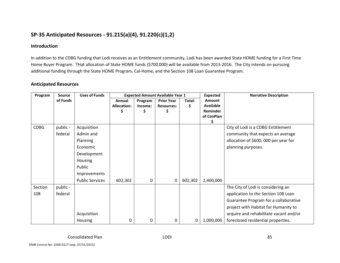# **SP‐35 Anticipated Resources ‐ 91.215(a)(4), 91.220(c)(1,2)**

#### **Introduction**

In addition to the CDBG funding that Lodi receives as an Entitlement community, Lodi has been awarded State HOME funding for <sup>a</sup> First Time Home Buyer Program. THat allocation of State HOME funds (\$700,000) will be available from 2013‐2016. The City intends on pursuing additional funding through the State HOME Program, Cal‐Home, and the Section 108 Loan Guarantee Program.

#### **Anticipated Resources**

| Program     | <b>Source</b> | <b>Uses of Funds</b>   |                    | <b>Expected Amount Available Year 1</b> |                   | Expected | <b>Narrative Description</b> |                                        |
|-------------|---------------|------------------------|--------------------|-----------------------------------------|-------------------|----------|------------------------------|----------------------------------------|
|             | of Funds      |                        | Annual             | Program                                 | <b>Prior Year</b> | Total:   | <b>Amount</b>                |                                        |
|             |               |                        | <b>Allocation:</b> | Income:                                 | <b>Resources:</b> | \$       | <b>Available</b>             |                                        |
|             |               |                        |                    | \$                                      | \$                |          | Reminder                     |                                        |
|             |               |                        |                    |                                         |                   |          | of ConPlan                   |                                        |
| <b>CDBG</b> | public -      | Acquisition            |                    |                                         |                   |          |                              | City of Lodi is a CDBG Entitlement     |
|             | federal       | Admin and              |                    |                                         |                   |          |                              | community that expects an average      |
|             |               | Planning               |                    |                                         |                   |          |                              | allocation of \$600, 000 per year for  |
|             |               | Economic               |                    |                                         |                   |          |                              | planning purposes.                     |
|             |               | Development            |                    |                                         |                   |          |                              |                                        |
|             |               | <b>Housing</b>         |                    |                                         |                   |          |                              |                                        |
|             |               | Public                 |                    |                                         |                   |          |                              |                                        |
|             |               | Improvements           |                    |                                         |                   |          |                              |                                        |
|             |               | <b>Public Services</b> | 602,302            | 0                                       | 0                 | 602,302  | 2,400,000                    |                                        |
| Section     | public -      |                        |                    |                                         |                   |          |                              | The City of Lodi is considering an     |
| 108         | federal       |                        |                    |                                         |                   |          |                              | application to the Section 108 Loan    |
|             |               |                        |                    |                                         |                   |          |                              | Guarantee Program for a collaborative  |
|             |               |                        |                    |                                         |                   |          |                              | project with Habitat for Humanity to   |
|             |               | Acquisition            |                    |                                         |                   |          |                              | acquire and rehabilitate vacant and/or |
|             |               | Housing                | 0                  | 0                                       | 0                 | 0        | 1,000,000                    | foreclosed residential properties.     |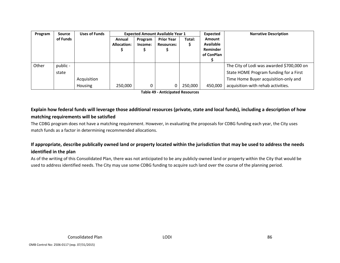| Program | <b>Source</b> | <b>Uses of Funds</b> | <b>Expected Amount Available Year 1</b> |         |                   | Expected | <b>Narrative Description</b> |                                           |
|---------|---------------|----------------------|-----------------------------------------|---------|-------------------|----------|------------------------------|-------------------------------------------|
|         | of Funds      |                      | Annual                                  | Program | <b>Prior Year</b> | Total:   | Amount                       |                                           |
|         |               |                      | Allocation:                             | Income: | <b>Resources:</b> | S        | <b>Available</b>             |                                           |
|         |               |                      |                                         |         |                   |          | Reminder                     |                                           |
|         |               |                      |                                         |         |                   |          | of ConPlan                   |                                           |
|         |               |                      |                                         |         |                   |          |                              |                                           |
| Other   | public -      |                      |                                         |         |                   |          |                              | The City of Lodi was awarded \$700,000 on |
|         | state         |                      |                                         |         |                   |          |                              | State HOME Program funding for a First    |
|         |               | Acquisition          |                                         |         |                   |          |                              | Time Home Buyer acquisition-only and      |
|         |               | <b>Housing</b>       | 250,000                                 |         |                   | 250,000  | 450,000                      | acquisition-with rehab activities.        |

**Table 49 ‐ Anticipated Resources**

# Explain how federal funds will leverage those additional resources (private, state and local funds), including a description of how **matching requirements will be satisfied**

The CDBG program does not have <sup>a</sup> matching requirement. However, in evaluating the proposals for CDBG funding each year, the City uses match funds as <sup>a</sup> factor in determining recommended allocations.

## If appropriate, describe publically owned land or property located within the jurisdiction that may be used to address the needs **identified in the plan**

As of the writing of this Consolidated Plan, there was not anticipated to be any publicly‐owned land or property within the City that would be used to address identified needs. The City may use some CDBG funding to acquire such land over the course of the planning period.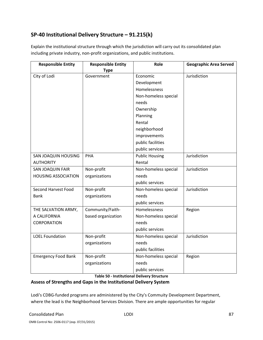# **SP‐40 Institutional Delivery Structure – 91.215(k)**

Explain the institutional structure through which the jurisdiction will carry out its consolidated plan including private industry, non‐profit organizations, and public institutions.

| <b>Responsible Entity</b>  | <b>Responsible Entity</b> | Role                  | <b>Geographic Area Served</b> |
|----------------------------|---------------------------|-----------------------|-------------------------------|
|                            | <b>Type</b>               |                       |                               |
| City of Lodi               | Government                | Economic              | Jurisdiction                  |
|                            |                           | Development           |                               |
|                            |                           | Homelessness          |                               |
|                            |                           | Non-homeless special  |                               |
|                            |                           | needs                 |                               |
|                            |                           | Ownership             |                               |
|                            |                           | Planning              |                               |
|                            |                           | Rental                |                               |
|                            |                           | neighborhood          |                               |
|                            |                           | improvements          |                               |
|                            |                           | public facilities     |                               |
|                            |                           | public services       |                               |
| SAN JOAQUIN HOUSING        | PHA                       | <b>Public Housing</b> | Jurisdiction                  |
| <b>AUTHORITY</b>           |                           | Rental                |                               |
| SAN JOAQUIN FAIR           | Non-profit                | Non-homeless special  | Jurisdiction                  |
| <b>HOUSING ASSOCIATION</b> | organizations             | needs                 |                               |
|                            |                           | public services       |                               |
| <b>Second Harvest Food</b> | Non-profit                | Non-homeless special  | Jurisdiction                  |
| <b>Bank</b>                | organizations             | needs                 |                               |
|                            |                           | public services       |                               |
| THE SALVATION ARMY,        | Community/Faith-          | Homelessness          | Region                        |
| A CALIFORNIA               | based organization        | Non-homeless special  |                               |
| <b>CORPORATION</b>         |                           | needs                 |                               |
|                            |                           | public services       |                               |
| <b>LOEL Foundation</b>     | Non-profit                | Non-homeless special  | Jurisdiction                  |
|                            | organizations             | needs                 |                               |
|                            |                           | public facilities     |                               |
| <b>Emergency Food Bank</b> | Non-profit                | Non-homeless special  | Region                        |
|                            | organizations             | needs                 |                               |
|                            |                           | public services       |                               |

**Table 50 ‐ Institutional Delivery Structure**

# **Assess of Strengths and Gaps in the Institutional Delivery System**

Lodi's CDBG‐funded programs are administered by the City's Commuity Development Department, where the lead is the Neighborhood Services Division. There are ample opportunities for regular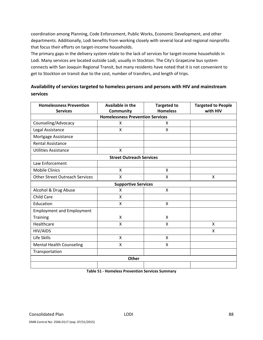coordination among Planning, Code Enforcement, Public Works, Economic Development, and other departments. Additionally, Lodi benefits from working closely with several local and regional nonprofits that focus their efforts on target‐income households.

The primary gaps in the delivery system relate to the lack of services for target-income households in Lodi. Many services are located outside Lodi, usually in Stockton. The City's GrapeLine bus system connects with San Joaquin Regional Transit, but many residents have noted that it is not convenient to get to Stockton on transit due to the cost, number of transfers, and length of trips.

### **Availability of services targeted to homeless persons and persons with HIV and mainstream services**

| <b>Homelessness Prevention</b>          | Available in the                | <b>Targeted to</b>        | <b>Targeted to People</b> |  |  |  |  |  |  |
|-----------------------------------------|---------------------------------|---------------------------|---------------------------|--|--|--|--|--|--|
| <b>Services</b>                         | Community                       | <b>Homeless</b>           | with HIV                  |  |  |  |  |  |  |
| <b>Homelessness Prevention Services</b> |                                 |                           |                           |  |  |  |  |  |  |
| Counseling/Advocacy                     | X                               | X                         |                           |  |  |  |  |  |  |
| Legal Assistance                        | X                               | X                         |                           |  |  |  |  |  |  |
| Mortgage Assistance                     |                                 |                           |                           |  |  |  |  |  |  |
| <b>Rental Assistance</b>                |                                 |                           |                           |  |  |  |  |  |  |
| <b>Utilities Assistance</b>             | X                               |                           |                           |  |  |  |  |  |  |
|                                         | <b>Street Outreach Services</b> |                           |                           |  |  |  |  |  |  |
| Law Enforcement                         |                                 |                           |                           |  |  |  |  |  |  |
| <b>Mobile Clinics</b>                   | X                               | X                         |                           |  |  |  |  |  |  |
| <b>Other Street Outreach Services</b>   | X                               | X                         | X                         |  |  |  |  |  |  |
|                                         | <b>Supportive Services</b>      |                           |                           |  |  |  |  |  |  |
| Alcohol & Drug Abuse                    | X                               | X                         |                           |  |  |  |  |  |  |
| <b>Child Care</b>                       | X                               |                           |                           |  |  |  |  |  |  |
| Education                               | X                               | $\boldsymbol{\mathsf{X}}$ |                           |  |  |  |  |  |  |
| <b>Employment and Employment</b>        |                                 |                           |                           |  |  |  |  |  |  |
| <b>Training</b>                         | X                               | X                         |                           |  |  |  |  |  |  |
| Healthcare                              | X                               | X                         | X                         |  |  |  |  |  |  |
| HIV/AIDS                                |                                 |                           | Χ                         |  |  |  |  |  |  |
| Life Skills                             | $\mathsf{x}$                    | $\mathsf{x}$              |                           |  |  |  |  |  |  |
| <b>Mental Health Counseling</b>         | X                               | X                         |                           |  |  |  |  |  |  |
| Transportation                          |                                 |                           |                           |  |  |  |  |  |  |
|                                         | <b>Other</b>                    |                           |                           |  |  |  |  |  |  |
|                                         |                                 |                           |                           |  |  |  |  |  |  |

**Table 51 ‐ Homeless Prevention Services Summary**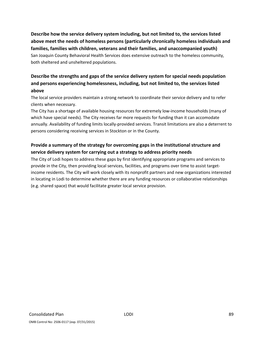**Describe how the service delivery system including, but not limited to, the services listed above meet the needs of homeless persons (particularly chronically homeless individuals and families, families with children, veterans and their families, and unaccompanied youth)** San Joaquin County Behavioral Health Services does extensive outreach to the homeless community, both sheltered and unsheltered populations.

# **Describe the strengths and gaps of the service delivery system for special needs population and persons experiencing homelessness, including, but not limited to, the services listed above**

The local service providers maintain a strong network to coordinate their service delivery and to refer clients when necessary.

The City has a shortage of available housing resources for extremely low-income households (many of which have special needs). The City receives far more requests for funding than it can accomodate annually. Availability of funding limits locally‐provided services. Transit limitations are also a deterrent to persons considering receiving services in Stockton or in the County.

# **Provide a summary of the strategy for overcoming gaps in the institutional structure and service delivery system for carrying out a strategy to address priority needs**

The City of Lodi hopes to address these gaps by first identifying appropriate programs and services to provide in the City, then providing local services, facilities, and programs over time to assist target‐ income residents. The City will work closely with its nonprofit partners and new organizations interested in locating in Lodi to determine whether there are any funding resources or collaborative relationships (e.g. shared space) that would facilitate greater local service provision.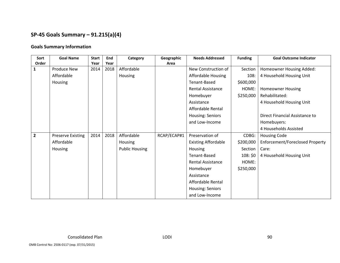# **SP‐45 Goals Summary – 91.215(a)(4)**

#### **Goals Summary Information**

| Sort           | <b>Goal Name</b>         | <b>Start</b> | End  | Category              | Geographic  | <b>Needs Addressed</b>     | <b>Funding</b> | <b>Goal Outcome Indicator</b>   |
|----------------|--------------------------|--------------|------|-----------------------|-------------|----------------------------|----------------|---------------------------------|
| Order          |                          | Year         | Year |                       | Area        |                            |                |                                 |
| 1              | Produce New              | 2014         | 2018 | Affordable            |             | New Construction of        | Section        | Homeowner Housing Added:        |
|                | Affordable               |              |      | Housing               |             | Affordable Housing         | 108:           | 4 Household Housing Unit        |
|                | Housing                  |              |      |                       |             | Tenant-Based               | \$600,000      |                                 |
|                |                          |              |      |                       |             | <b>Rental Assistance</b>   | HOME:          | <b>Homeowner Housing</b>        |
|                |                          |              |      |                       |             | Homebuyer                  | \$250,000      | Rehabilitated:                  |
|                |                          |              |      |                       |             | Assistance                 |                | 4 Household Housing Unit        |
|                |                          |              |      |                       |             | Affordable Rental          |                |                                 |
|                |                          |              |      |                       |             | Housing: Seniors           |                | Direct Financial Assistance to  |
|                |                          |              |      |                       |             | and Low-Income             |                | Homebuyers:                     |
|                |                          |              |      |                       |             |                            |                | 4 Households Assisted           |
| $\overline{2}$ | <b>Preserve Existing</b> | 2014         | 2018 | Affordable            | RCAP/ECAP#1 | Preservation of            | CDBG:          | <b>Housing Code</b>             |
|                | Affordable               |              |      | Housing               |             | <b>Existing Affordable</b> | \$200,000      | Enforcement/Foreclosed Property |
|                | Housing                  |              |      | <b>Public Housing</b> |             | Housing                    | Section        | Care:                           |
|                |                          |              |      |                       |             | Tenant-Based               | 108:50         | 4 Household Housing Unit        |
|                |                          |              |      |                       |             | <b>Rental Assistance</b>   | HOME:          |                                 |
|                |                          |              |      |                       |             | Homebuyer                  | \$250,000      |                                 |
|                |                          |              |      |                       |             | Assistance                 |                |                                 |
|                |                          |              |      |                       |             | Affordable Rental          |                |                                 |
|                |                          |              |      |                       |             | Housing: Seniors           |                |                                 |
|                |                          |              |      |                       |             | and Low-Income             |                |                                 |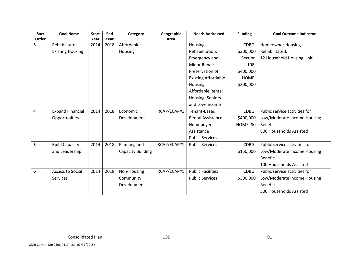| Sort  | <b>Goal Name</b>        | <b>Start</b> | End  | Category                 | Geographic  | <b>Needs Addressed</b>     | <b>Funding</b> | <b>Goal Outcome Indicator</b> |
|-------|-------------------------|--------------|------|--------------------------|-------------|----------------------------|----------------|-------------------------------|
| Order |                         | Year         | Year |                          | Area        |                            |                |                               |
| 3     | Rehabilitate            | 2014         | 2018 | Affordable               |             | Housing                    | CDBG:          | <b>Homeowner Housing</b>      |
|       | <b>Existing Housing</b> |              |      | Housing                  |             | Rehabilitation:            | \$300,000      | Rehabilitated:                |
|       |                         |              |      |                          |             | <b>Emergency and</b>       | Section        | 12 Household Housing Unit     |
|       |                         |              |      |                          |             | Minor Repair               | 108:           |                               |
|       |                         |              |      |                          |             | Preservation of            | \$400,000      |                               |
|       |                         |              |      |                          |             | <b>Existing Affordable</b> | HOME:          |                               |
|       |                         |              |      |                          |             | Housing                    | \$200,000      |                               |
|       |                         |              |      |                          |             | Affordable Rental          |                |                               |
|       |                         |              |      |                          |             | Housing: Seniors           |                |                               |
|       |                         |              |      |                          |             | and Low-Income             |                |                               |
| 4     | <b>Expand Financial</b> | 2014         | 2018 | Economic                 | RCAP/ECAP#1 | Tenant-Based               | CDBG:          | Public service activities for |
|       | Opportunities           |              |      | Development              |             | <b>Rental Assistance</b>   | \$400,000      | Low/Moderate Income Housing   |
|       |                         |              |      |                          |             | Homebuyer                  | HOME: \$0      | Benefit:                      |
|       |                         |              |      |                          |             | Assistance                 |                | 800 Households Assisted       |
|       |                         |              |      |                          |             | <b>Public Services</b>     |                |                               |
| 5     | <b>Build Capacity</b>   | 2014         | 2018 | Planning and             | RCAP/ECAP#1 | <b>Public Services</b>     | CDBG:          | Public service activities for |
|       | and Leadership          |              |      | <b>Capacity Building</b> |             |                            | \$150,000      | Low/Moderate Income Housing   |
|       |                         |              |      |                          |             |                            |                | Benefit:                      |
|       |                         |              |      |                          |             |                            |                | 100 Households Assisted       |
| 6     | <b>Access to Social</b> | 2014         | 2018 | Non-Housing              | RCAP/ECAP#1 | <b>Public Facilities</b>   | CDBG:          | Public service activities for |
|       | Services                |              |      | Community                |             | <b>Public Services</b>     | \$300,000      | Low/Moderate Income Housing   |
|       |                         |              |      | Development              |             |                            |                | Benefit:                      |
|       |                         |              |      |                          |             |                            |                | 500 Households Assisted       |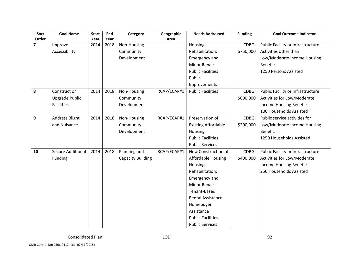| Sort                    | <b>Goal Name</b>         | <b>Start</b> | End  | Category                 | Geographic  | <b>Needs Addressed</b>     | <b>Funding</b> | <b>Goal Outcome Indicator</b>     |
|-------------------------|--------------------------|--------------|------|--------------------------|-------------|----------------------------|----------------|-----------------------------------|
| Order<br>$\overline{7}$ |                          | Year         | Year |                          | Area        |                            |                |                                   |
|                         | Improve                  | 2014         | 2018 | Non-Housing              |             | Housing                    | CDBG:          | Public Facility or Infrastructure |
|                         | Accessibility            |              |      | Community                |             | Rehabilitation:            | \$750,000      | Activities other than             |
|                         |                          |              |      | Development              |             | Emergency and              |                | Low/Moderate Income Housing       |
|                         |                          |              |      |                          |             | <b>Minor Repair</b>        |                | Benefit:                          |
|                         |                          |              |      |                          |             | <b>Public Facilities</b>   |                | 1250 Persons Assisted             |
|                         |                          |              |      |                          |             | Public                     |                |                                   |
|                         |                          |              |      |                          |             | Improvements               |                |                                   |
| 8                       | Construct or             | 2014         | 2018 | Non-Housing              | RCAP/ECAP#1 | <b>Public Facilities</b>   | CDBG:          | Public Facility or Infrastructure |
|                         | <b>Upgrade Public</b>    |              |      | Community                |             |                            | \$600,000      | Activities for Low/Moderate       |
|                         | <b>Facilities</b>        |              |      | Development              |             |                            |                | Income Housing Benefit:           |
|                         |                          |              |      |                          |             |                            |                | 100 Households Assisted           |
| 9                       | <b>Address Blight</b>    | 2014         | 2018 | Non-Housing              | RCAP/ECAP#1 | Preservation of            | CDBG:          | Public service activities for     |
|                         | and Nuisance             |              |      | Community                |             | <b>Existing Affordable</b> | \$200,000      | Low/Moderate Income Housing       |
|                         |                          |              |      | Development              |             | Housing                    |                | Benefit:                          |
|                         |                          |              |      |                          |             | <b>Public Facilities</b>   |                | 1250 Households Assisted          |
|                         |                          |              |      |                          |             | <b>Public Services</b>     |                |                                   |
| 10                      | <b>Secure Additional</b> | 2014         | 2018 | Planning and             | RCAP/ECAP#1 | New Construction of        | CDBG:          | Public Facility or Infrastructure |
|                         | Funding                  |              |      | <b>Capacity Building</b> |             | <b>Affordable Housing</b>  | \$400,000      | Activities for Low/Moderate       |
|                         |                          |              |      |                          |             | Housing                    |                | Income Housing Benefit:           |
|                         |                          |              |      |                          |             | Rehabilitation:            |                | 250 Households Assisted           |
|                         |                          |              |      |                          |             | Emergency and              |                |                                   |
|                         |                          |              |      |                          |             | Minor Repair               |                |                                   |
|                         |                          |              |      |                          |             | Tenant-Based               |                |                                   |
|                         |                          |              |      |                          |             | Rental Assistance          |                |                                   |
|                         |                          |              |      |                          |             | Homebuyer                  |                |                                   |
|                         |                          |              |      |                          |             | Assistance                 |                |                                   |
|                         |                          |              |      |                          |             | <b>Public Facilities</b>   |                |                                   |
|                         |                          |              |      |                          |             | <b>Public Services</b>     |                |                                   |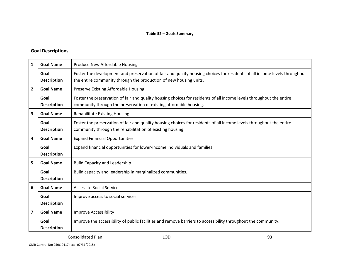#### **Goal Descriptions**

| 1            | <b>Goal Name</b>           | Produce New Affordable Housing                                                                                                                                                                 |
|--------------|----------------------------|------------------------------------------------------------------------------------------------------------------------------------------------------------------------------------------------|
|              | Goal<br><b>Description</b> | Foster the development and preservation of fair and quality housing choices for residents of all income levels throughout<br>the entire community through the production of new housing units. |
| $\mathbf{2}$ | <b>Goal Name</b>           | Preserve Existing Affordable Housing                                                                                                                                                           |
|              | Goal<br><b>Description</b> | Foster the preservation of fair and quality housing choices for residents of all income levels throughout the entire<br>community through the preservation of existing affordable housing.     |
| 3            | <b>Goal Name</b>           | <b>Rehabilitate Existing Housing</b>                                                                                                                                                           |
|              | Goal<br><b>Description</b> | Foster the preservation of fair and quality housing choices for residents of all income levels throughout the entire<br>community through the rehabilitation of existing housing.              |
| 4            | <b>Goal Name</b>           | <b>Expand Financial Opportunities</b>                                                                                                                                                          |
|              | Goal<br><b>Description</b> | Expand financial opportunities for lower-income individuals and families.                                                                                                                      |
| 5            | <b>Goal Name</b>           | <b>Build Capacity and Leadership</b>                                                                                                                                                           |
|              | Goal<br><b>Description</b> | Build capacity and leadership in marginalized communities.                                                                                                                                     |
| 6            | <b>Goal Name</b>           | <b>Access to Social Services</b>                                                                                                                                                               |
|              | Goal<br><b>Description</b> | Improve access to social services.                                                                                                                                                             |
| 7            | <b>Goal Name</b>           | <b>Improve Accessibility</b>                                                                                                                                                                   |
|              | Goal<br><b>Description</b> | Improve the accessibility of public facilities and remove barriers to accessibility throughout the community.                                                                                  |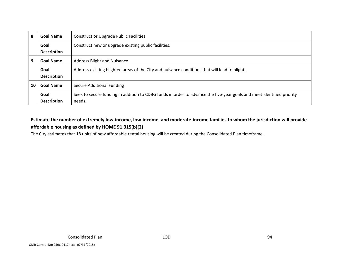| 8  | <b>Goal Name</b>   | <b>Construct or Upgrade Public Facilities</b>                                                                         |
|----|--------------------|-----------------------------------------------------------------------------------------------------------------------|
|    | Goal               | Construct new or upgrade existing public facilities.                                                                  |
|    | <b>Description</b> |                                                                                                                       |
| 9  | <b>Goal Name</b>   | Address Blight and Nuisance                                                                                           |
|    | Goal               | Address existing blighted areas of the City and nuisance conditions that will lead to blight.                         |
|    | <b>Description</b> |                                                                                                                       |
| 10 | <b>Goal Name</b>   | Secure Additional Funding                                                                                             |
|    | Goal               | Seek to secure funding in addition to CDBG funds in order to advance the five-year goals and meet identified priority |
|    | <b>Description</b> | needs.                                                                                                                |

## Estimate the number of extremely low-income, low-income, and moderate-income families to whom the jurisdiction will provide **affordable housing as defined by HOME 91.315(b)(2)**

The City estimates that 18 units of new affordable rental housing will be created during the Consolidated Plan timeframe.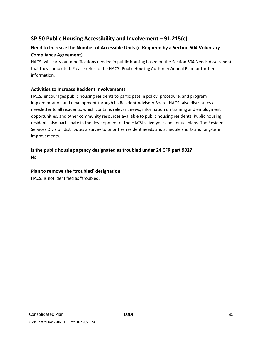# **SP‐50 Public Housing Accessibility and Involvement – 91.215(c)**

# **Need to Increase the Number of Accessible Units (if Required by a Section 504 Voluntary Compliance Agreement)**

HACSJ will carry out modifications needed in public housing based on the Section 504 Needs Assessment that they completed. Please refer to the HACSJ Public Housing Authority Annual Plan for further information.

#### **Activities to Increase Resident Involvements**

HACSJ encourages public housing residents to participate in policy, procedure, and program implementation and development through its Resident Advisory Board. HACSJ also distributes a newsletter to all residents, which contains relevant news, information on training and employment opportunities, and other community resources available to public housing residents. Public housing residents also participate in the development of the HACSJ's five‐year and annual plans. The Resident Services Division distributes a survey to prioritize resident needs and schedule short‐ and long‐term improvements.

**Is the public housing agency designated as troubled under 24 CFR part 902?** No

#### **Plan to remove the 'troubled' designation**

HACSJ is not identified as "troubled."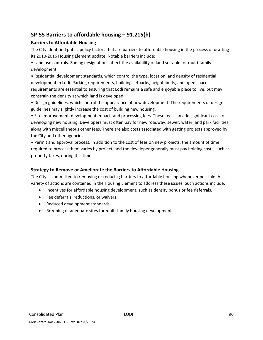# **SP‐55 Barriers to affordable housing – 91.215(h)**

#### **Barriers to Affordable Housing**

The City identified public policy factors that are barriers to affordable housing in the process of drafting its 2010‐2016 Housing Element update. Notable barriers include:

• Land use controls. Zoning designations affect the availability of land suitable for multi‐family development.

• Residential development standards, which control the type, location, and density of residential development in Lodi. Parking requirements, building setbacks, height limits, and open space requirements are essential to ensuring that Lodi remains a safe and enjoyable place to live, but may constrain the density at which land is developed.

• Design guidelines, which control the appearance of new development. The requirements of design guidelines may slightly increase the cost of building new housing.

• Site improvement, development impact, and processing fees. These fees can add significant cost to developing new housing. Developers must often pay for new roadway, sewer, water, and park facilities, along with miscellaneous other fees. There are also costs associated with getting projects approved by the City and other agencies.

• Permit and approval process. In addition to the cost of fees on new projects, the amount of time required to process them varies by project, and the developer generally must pay holding costs, such as property taxes, during this time.

### **Strategy to Remove or Ameliorate the Barriers to Affordable Housing**

The City is committed to removing or reducing barriers to affordable housing whenever possible. A variety of actions are contained in the Housing Element to address these issues. Such actions include:

- Incentives for affordable housing development, such as density bonus or fee deferrals.
- Fee deferrals, reductions, or waivers.
- Reduced development standards.
- Rezoning of adequate sites for multi-family housing development.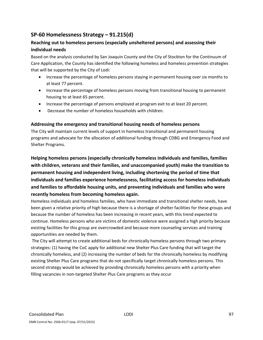# **SP‐60 Homelessness Strategy – 91.215(d)**

### **Reaching out to homeless persons (especially unsheltered persons) and assessing their individual needs**

Based on the analysis conducted by San Joaquin County and the City of Stockton for the Continuum of Care Application, the County has identified the following homeless and homeless prevention strategies that will be supported by the City of Lodi:

- Increase the percentage of homeless persons staying in permanent housing over six months to at least 77 percent.
- Increase the percentage of homeless persons moving from transitional housing to permanent housing to at least 65 percent.
- Increase the percentage of persons employed at program exit to at least 20 percent.
- Decrease the number of homeless households with children.

#### **Addressing the emergency and transitional housing needs of homeless persons**

The City will maintain current levels of support in homeless transitional and permanent housing programs and advocate for the allocation of additional funding through CDBG and Emergency Food and Shelter Programs.

**Helping homeless persons (especially chronically homeless individuals and families, families with children, veterans and their families, and unaccompanied youth) make the transition to permanent housing and independent living, including shortening the period of time that individuals and families experience homelessness, facilitating access for homeless individuals and families to affordable housing units, and preventing individuals and families who were recently homeless from becoming homeless again.**

Homeless individuals and homeless families, who have immediate and transitional shelter needs, have been given a relative priority of high because there is a shortage of shelter facilities for these groups and because the number of homeless has been increasing in recent years, with this trend expected to continue. Homeless persons who are victims of domestic violence were assigned a high priority because existing facilities for this group are overcrowded and because more counseling services and training opportunities are needed by them.

The City will attempt to create additional beds for chronically homeless persons through two primary strategies: (1) having the CoC apply for additional new Shelter Plus Care funding that will target the chronically homeless, and (2) increasing the number of beds for the chronically homeless by modifying existing Shelter Plus Care programs that do not specifically target chronically homeless persons. This second strategy would be achieved by providing chronically homeless persons with a priority when filling vacancies in non-targeted Shelter Plus Care programs as they occur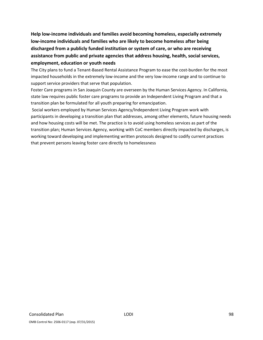**Help low‐income individuals and families avoid becoming homeless, especially extremely low‐income individuals and families who are likely to become homeless after being discharged from a publicly funded institution or system of care, or who are receiving assistance from public and private agencies that address housing, health, social services, employment, education or youth needs**

The City plans to fund a Tenant-Based Rental Assistance Program to ease the cost-burden for the most impacted households in the extremely low‐income and the very low‐income range and to continue to support service providers that serve that population.

Foster Care programs in San Joaquin County are overseen by the Human Services Agency. In California, state law requires public foster care programs to provide an Independent Living Program and that a transition plan be formulated for all youth preparing for emancipation.

Social workers employed by Human Services Agency/Independent Living Program work with participants in developing a transition plan that addresses, among other elements, future housing needs and how housing costs will be met. The practice is to avoid using homeless services as part of the transition plan; Human Services Agency, working with CoC members directly impacted by discharges, is working toward developing and implementing written protocols designed to codify current practices that prevent persons leaving foster care directly to homelessness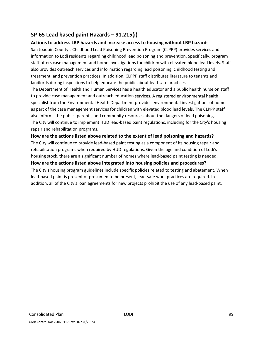# **SP‐65 Lead based paint Hazards – 91.215(i)**

#### **Actions to address LBP hazards and increase access to housing without LBP hazards**

San Joaquin County's Childhood Lead Poisoning Prevention Program (CLPPP) provides services and information to Lodi residents regarding childhood lead poisoning and prevention. Specifically, program staff offers case management and home investigations for children with elevated blood lead levels. Staff also provides outreach services and information regarding lead poisoning, childhood testing and treatment, and prevention practices. In addition, CLPPP staff distributes literature to tenants and landlords during inspections to help educate the public about lead-safe practices.

The Department of Health and Human Services has a health educator and a public health nurse on staff to provide case management and outreach education services. A registered environmental health specialist from the Environmental Health Department provides environmental investigations of homes as part of the case management services for children with elevated blood lead levels. The CLPPP staff also informs the public, parents, and community resources about the dangers of lead poisoning. The City will continue to implement HUD lead‐based paint regulations, including for the City's housing repair and rehabilitation programs.

#### **How are the actions listed above related to the extent of lead poisoning and hazards?**

The City will continue to provide lead‐based paint testing as a component of its housing repair and rehabilitation programs when required by HUD regulations. Given the age and condition of Lodi's housing stock, there are a significant number of homes where lead‐based paint testing is needed.

**How are the actions listed above integrated into housing policies and procedures?** The City's housing program guidelines include specific policies related to testing and abatement. When lead-based paint is present or presumed to be present, lead-safe work practices are required. In addition, all of the City's loan agreements for new projects prohibit the use of any lead‐based paint.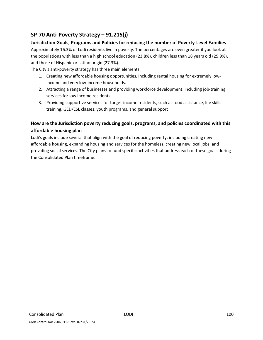# **SP‐70 Anti‐Poverty Strategy – 91.215(j)**

### **Jurisdiction Goals, Programs and Policies for reducing the number of Poverty‐Level Families**

Approximately 16.3% of Lodi residents live in poverty. The percentages are even greater if you look at the populations with less than a high school education (23.8%), children less than 18 years old (25.9%), and those of Hispanic or Latino origin (27.3%).

The City's anti-poverty strategy has three main elements:

- 1. Creating new affordable housing opportunities, including rental housing for extremely low‐ income and very low‐income households.
- 2. Attracting a range of businesses and providing workforce development, including job-training services for low income residents.
- 3. Providing supportive services for target-income residents, such as food assistance, life skills training, GED/ESL classes, youth programs, and general support

# **How are the Jurisdiction poverty reducing goals, programs, and policies coordinated with this affordable housing plan**

Lodi's goals include several that align with the goal of reducing poverty, including creating new affordable housing, expanding housing and services for the homeless, creating new local jobs, and providing social services. The City plans to fund specific activities that address each of these goals during the Consolidated Plan timeframe.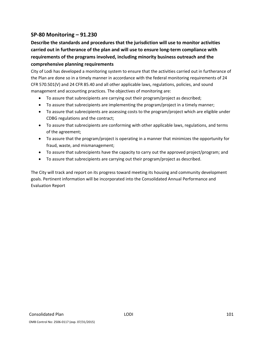# **SP‐80 Monitoring – 91.230**

**Describe the standards and procedures that the jurisdiction will use to monitor activities carried out in furtherance of the plan and will use to ensure long‐term compliance with requirements of the programs involved, including minority business outreach and the comprehensive planning requirements**

City of Lodi has developed a monitoring system to ensure that the activities carried out in furtherance of the Plan are done so in a timely manner in accordance with the federal monitoring requirements of 24 CFR 570.501(V) and 24 CFR 85.40 and all other applicable laws, regulations, policies, and sound management and accounting practices. The objectives of monitoring are:

- To assure that subrecipients are carrying out their program/project as described;
- To assure that subrecipients are implementing the program/project in a timely manner;
- To assure that subrecipients are assessing costs to the program/project which are eligible under CDBG regulations and the contract;
- To assure that subrecipients are conforming with other applicable laws, regulations, and terms of the agreement;
- To assure that the program/project is operating in a manner that minimizes the opportunity for fraud, waste, and mismanagement;
- To assure that subrecipients have the capacity to carry out the approved project/program; and
- To assure that subrecipients are carrying out their program/project as described.

The City will track and report on its progress toward meeting its housing and community development goals. Pertinent information will be incorporated into the Consolidated Annual Performance and Evaluation Report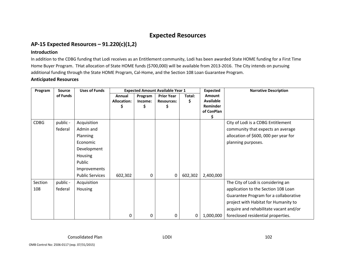# **Expected Resources**

# **AP‐15 Expected Resources – 91.220(c)(1,2)**

#### **Introduction**

In addition to the CDBG funding that Lodi receives as an Entitlement community, Lodi has been awarded State HOME funding for <sup>a</sup> First Time Home Buyer Program. THat allocation of State HOME funds (\$700,000) will be available from 2013‐2016. The City intends on pursuing additional funding through the State HOME Program, Cal‐Home, and the Section 108 Loan Guarantee Program.

#### **Anticipated Resources**

| Program     | <b>Source</b> | <b>Uses of Funds</b>   | <b>Expected Amount Available Year 1</b> |                    |                                             | <b>Expected</b> | <b>Narrative Description</b>                               |                                        |
|-------------|---------------|------------------------|-----------------------------------------|--------------------|---------------------------------------------|-----------------|------------------------------------------------------------|----------------------------------------|
|             | of Funds      |                        | Annual<br><b>Allocation:</b>            | Program<br>Income: | <b>Prior Year</b><br><b>Resources:</b><br>S | Total:<br>\$    | Amount<br><b>Available</b><br>Reminder<br>of ConPlan<br>\$ |                                        |
| <b>CDBG</b> | public -      | Acquisition            |                                         |                    |                                             |                 |                                                            | City of Lodi is a CDBG Entitlement     |
|             | federal       | Admin and              |                                         |                    |                                             |                 |                                                            | community that expects an average      |
|             |               | Planning               |                                         |                    |                                             |                 |                                                            | allocation of \$600, 000 per year for  |
|             |               | Economic               |                                         |                    |                                             |                 |                                                            | planning purposes.                     |
|             |               | Development            |                                         |                    |                                             |                 |                                                            |                                        |
|             |               | Housing                |                                         |                    |                                             |                 |                                                            |                                        |
|             |               | Public                 |                                         |                    |                                             |                 |                                                            |                                        |
|             |               | Improvements           |                                         |                    |                                             |                 |                                                            |                                        |
|             |               | <b>Public Services</b> | 602,302                                 | 0                  | 0                                           | 602,302         | 2,400,000                                                  |                                        |
| Section     | public -      | Acquisition            |                                         |                    |                                             |                 |                                                            | The City of Lodi is considering an     |
| 108         | federal       | Housing                |                                         |                    |                                             |                 |                                                            | application to the Section 108 Loan    |
|             |               |                        |                                         |                    |                                             |                 |                                                            | Guarantee Program for a collaborative  |
|             |               |                        |                                         |                    |                                             |                 |                                                            | project with Habitat for Humanity to   |
|             |               |                        |                                         |                    |                                             |                 |                                                            | acquire and rehabilitate vacant and/or |
|             |               |                        | 0                                       | 0                  | 0                                           | 0               | 1,000,000                                                  | foreclosed residential properties.     |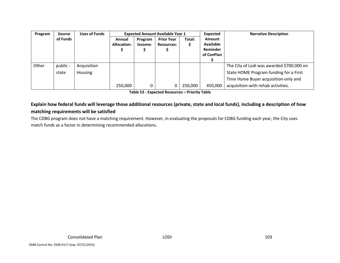| Program | <b>Source</b> | <b>Uses of Funds</b> | <b>Expected Amount Available Year 1</b> |         |                   |         | Expected         | <b>Narrative Description</b>              |
|---------|---------------|----------------------|-----------------------------------------|---------|-------------------|---------|------------------|-------------------------------------------|
|         | of Funds      |                      | Annual                                  | Program | <b>Prior Year</b> | Total:  | <b>Amount</b>    |                                           |
|         |               |                      | <b>Allocation:</b>                      | Income: | <b>Resources:</b> | \$      | <b>Available</b> |                                           |
|         |               |                      |                                         |         |                   |         | Reminder         |                                           |
|         |               |                      |                                         |         |                   |         | of ConPlan       |                                           |
|         |               |                      |                                         |         |                   |         |                  |                                           |
| Other   | public -      | Acquisition          |                                         |         |                   |         |                  | The City of Lodi was awarded \$700,000 on |
|         | state         | Housing              |                                         |         |                   |         |                  | State HOME Program funding for a First    |
|         |               |                      |                                         |         |                   |         |                  | Time Home Buyer acquisition-only and      |
|         |               |                      | 250,000                                 |         |                   | 250,000 | 450,000          | acquisition-with rehab activities.        |

**Table 53 ‐ Expected Resources – Priority Table**

### Explain how federal funds will leverage those additional resources (private, state and local funds), including a description of how **matching requirements will be satisfied**

The CDBG program does not have <sup>a</sup> matching requirement. However, in evaluating the proposals for CDBG funding each year, the City uses match funds as <sup>a</sup> factor in determining recommended allocations.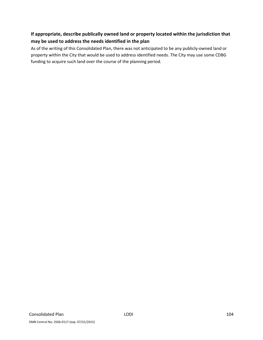# **If appropriate, describe publically owned land or property located within the jurisdiction that may be used to address the needs identified in the plan**

As of the writing of this Consolidated Plan, there was not anticipated to be any publicly‐owned land or property within the City that would be used to address identified needs. The City may use some CDBG funding to acquire such land over the course of the planning period.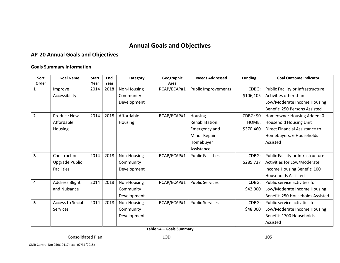# **Annual Goals and Objectives**

## **AP‐20 Annual Goals and Objectives**

#### **Goals Summary Information**

| Sort           | <b>Goal Name</b>        | <b>Start</b> | End  | Category    | Geographic  | <b>Needs Addressed</b>     | <b>Funding</b>   | <b>Goal Outcome Indicator</b>     |
|----------------|-------------------------|--------------|------|-------------|-------------|----------------------------|------------------|-----------------------------------|
| Order          |                         | Year         | Year |             | Area        |                            |                  |                                   |
| 1              | Improve                 | 2014         | 2018 | Non-Housing | RCAP/ECAP#1 | <b>Public Improvements</b> | CDBG:            | Public Facility or Infrastructure |
|                | Accessibility           |              |      | Community   |             |                            | \$106,105        | Activities other than             |
|                |                         |              |      | Development |             |                            |                  | Low/Moderate Income Housing       |
|                |                         |              |      |             |             |                            |                  | Benefit: 250 Persons Assisted     |
| $\overline{2}$ | Produce New             | 2014         | 2018 | Affordable  | RCAP/ECAP#1 | Housing                    | <b>CDBG: \$0</b> | Homeowner Housing Added: 0        |
|                | Affordable              |              |      | Housing     |             | Rehabilitation:            | HOME:            | Household Housing Unit            |
|                | Housing                 |              |      |             |             | Emergency and              | \$370,460        | Direct Financial Assistance to    |
|                |                         |              |      |             |             | Minor Repair               |                  | Homebuyers: 6 Households          |
|                |                         |              |      |             |             | Homebuyer                  |                  | Assisted                          |
|                |                         |              |      |             |             | Assistance                 |                  |                                   |
| 3              | Construct or            | 2014         | 2018 | Non-Housing | RCAP/ECAP#1 | <b>Public Facilities</b>   | CDBG:            | Public Facility or Infrastructure |
|                | Upgrade Public          |              |      | Community   |             |                            | \$285,737        | Activities for Low/Moderate       |
|                | Facilities              |              |      | Development |             |                            |                  | Income Housing Benefit: 100       |
|                |                         |              |      |             |             |                            |                  | <b>Households Assisted</b>        |
| 4              | <b>Address Blight</b>   | 2014         | 2018 | Non-Housing | RCAP/ECAP#1 | <b>Public Services</b>     | CDBG:            | Public service activities for     |
|                | and Nuisance            |              |      | Community   |             |                            | \$42,000         | Low/Moderate Income Housing       |
|                |                         |              |      | Development |             |                            |                  | Benefit: 250 Households Assisted  |
| 5              | <b>Access to Social</b> | 2014         | 2018 | Non-Housing | RCAP/ECAP#1 | <b>Public Services</b>     | CDBG:            | Public service activities for     |
|                | Services                |              |      | Community   |             |                            | \$48,000         | Low/Moderate Income Housing       |
|                |                         |              |      | Development |             |                            |                  | Benefit: 1700 Households          |
|                |                         |              |      |             |             |                            |                  | Assisted                          |

**Table 54 – Goals Summary**

OMB Control No: 2506‐0117 (exp. 07/31/2015)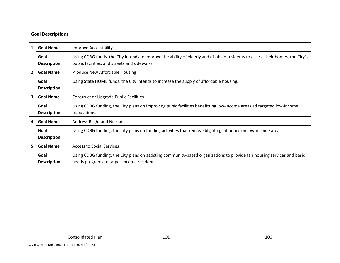#### **Goal Descriptions**

| $\mathbf{1}$            | <b>Goal Name</b>           | <b>Improve Accessibility</b>                                                                                                                                                   |
|-------------------------|----------------------------|--------------------------------------------------------------------------------------------------------------------------------------------------------------------------------|
|                         | Goal<br><b>Description</b> | Using CDBG funds, the City intends to improve the ability of elderly and disabled residents to access their homes, the City's<br>public facilities, and streets and sidewalks. |
| $\overline{2}$          | <b>Goal Name</b>           | Produce New Affordable Housing                                                                                                                                                 |
|                         | Goal<br><b>Description</b> | Using State HOME funds, the City intends to increase the supply of affordable housing.                                                                                         |
| $\mathbf{3}$            | <b>Goal Name</b>           | <b>Construct or Upgrade Public Facilities</b>                                                                                                                                  |
|                         | Goal<br><b>Description</b> | Using CDBG funding, the City plans on improving pubic facilities benefitting low-income areas ad targeted low-income<br>populations.                                           |
| $\overline{\mathbf{4}}$ | <b>Goal Name</b>           | <b>Address Blight and Nuisance</b>                                                                                                                                             |
|                         | Goal<br><b>Description</b> | Using CDBG funding, the City plans on funding activities that remove blighting influence on low-income areas.                                                                  |
| 5 <sub>1</sub>          | <b>Goal Name</b>           | <b>Access to Social Services</b>                                                                                                                                               |
|                         | Goal<br><b>Description</b> | Using CDBG funding, the City plans on assisting community-based organizations to provide fair housing services and basic<br>needs programs to target-income residents.         |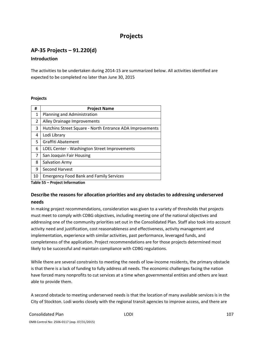# **Projects**

# **AP‐35 Projects – 91.220(d)**

#### **Introduction**

The activities to be undertaken during 2014‐15 are summarized below. All activities identified are expected to be completed no later than June 30, 2015

#### **Projects**

| #              | <b>Project Name</b>                                      |
|----------------|----------------------------------------------------------|
| 1              | Planning and Administration                              |
| $\overline{2}$ | Alley Drainage Improvements                              |
| 3              | Hutchins Street Square - North Entrance ADA Improvements |
| 4              | Lodi Library                                             |
| 5              | Graffiti Abatement                                       |
| 6              | LOEL Center - Washington Street Improvements             |
| 7              | San Joaquin Fair Housing                                 |
| 8              | Salvation Army                                           |
| 9              | Second Harvest                                           |
| 10             | <b>Emergency Food Bank and Family Services</b>           |

**Table 55 – Project Information**

### **Describe the reasons for allocation priorities and any obstacles to addressing underserved needs**

In making project recommendations, consideration was given to a variety of thresholds that projects must meet to comply with CDBG objectives, including meeting one of the national objectives and addressing one of the community priorities set out in the Consolidated Plan. Staff also took into account activity need and justification, cost reasonableness and effectiveness, activity management and implementation, experience with similar activities, past performance, leveraged funds, and completeness of the application. Project recommendations are for those projects determined most likely to be successful and maintain compliance with CDBG regulations.

While there are several constraints to meeting the needs of low-income residents, the primary obstacle is that there is a lack of funding to fully address all needs. The economic challenges facing the nation have forced many nonprofits to cut services at a time when governmental entities and others are least able to provide them.

A second obstacle to meeting underserved needs is that the location of many available services is in the City of Stockton. Lodi works closely with the regional transit agencies to improve access, and there are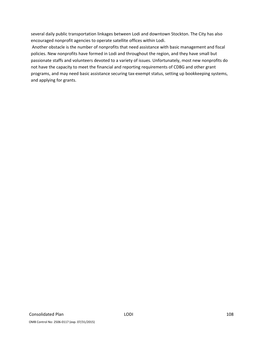several daily public transportation linkages between Lodi and downtown Stockton. The City has also encouraged nonprofit agencies to operate satellite offices within Lodi.

Another obstacle is the number of nonprofits that need assistance with basic management and fiscal policies. New nonprofits have formed in Lodi and throughout the region, and they have small but passionate staffs and volunteers devoted to a variety of issues. Unfortunately, most new nonprofits do not have the capacity to meet the financial and reporting requirements of CDBG and other grant programs, and may need basic assistance securing tax‐exempt status, setting up bookkeeping systems, and applying for grants.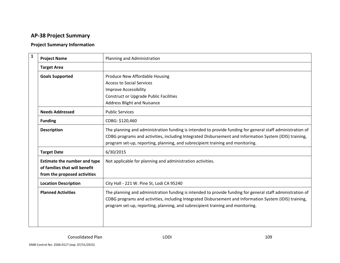## **AP‐38 Project Summary**

## **Project Summary Information**

| $\mathbf{1}$ | <b>Project Name</b>                                                                                  | Planning and Administration                                                                                                                                                                                                                                                                             |
|--------------|------------------------------------------------------------------------------------------------------|---------------------------------------------------------------------------------------------------------------------------------------------------------------------------------------------------------------------------------------------------------------------------------------------------------|
|              | <b>Target Area</b>                                                                                   |                                                                                                                                                                                                                                                                                                         |
|              | <b>Goals Supported</b>                                                                               | Produce New Affordable Housing                                                                                                                                                                                                                                                                          |
|              |                                                                                                      | <b>Access to Social Services</b>                                                                                                                                                                                                                                                                        |
|              |                                                                                                      | Improve Accessibility                                                                                                                                                                                                                                                                                   |
|              |                                                                                                      | <b>Construct or Upgrade Public Facilities</b>                                                                                                                                                                                                                                                           |
|              |                                                                                                      | <b>Address Blight and Nuisance</b>                                                                                                                                                                                                                                                                      |
|              | <b>Needs Addressed</b>                                                                               | <b>Public Services</b>                                                                                                                                                                                                                                                                                  |
|              | <b>Funding</b>                                                                                       | CDBG: \$120,460                                                                                                                                                                                                                                                                                         |
|              | <b>Description</b>                                                                                   | The planning and administration funding is intended to provide funding for general staff administration of<br>CDBG programs and activities, including Integrated Disbursement and Information System (IDIS) training,<br>program set-up, reporting, planning, and subrecipient training and monitoring. |
|              | <b>Target Date</b>                                                                                   | 6/30/2015                                                                                                                                                                                                                                                                                               |
|              | <b>Estimate the number and type</b><br>of families that will benefit<br>from the proposed activities | Not applicable for planning and administration activities.                                                                                                                                                                                                                                              |
|              | <b>Location Description</b>                                                                          | City Hall - 221 W. Pine St, Lodi CA 95240                                                                                                                                                                                                                                                               |
|              | <b>Planned Activities</b>                                                                            | The planning and administration funding is intended to provide funding for general staff administration of<br>CDBG programs and activities, including Integrated Disbursement and Information System (IDIS) training,<br>program set-up, reporting, planning, and subrecipient training and monitoring. |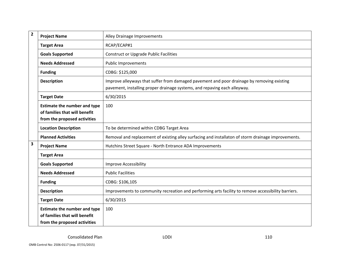| $\overline{\mathbf{2}}$ | <b>Project Name</b>                                                                                  | Alley Drainage Improvements                                                                                                                                             |
|-------------------------|------------------------------------------------------------------------------------------------------|-------------------------------------------------------------------------------------------------------------------------------------------------------------------------|
|                         | <b>Target Area</b>                                                                                   | RCAP/ECAP#1                                                                                                                                                             |
|                         | <b>Goals Supported</b>                                                                               | <b>Construct or Upgrade Public Facilities</b>                                                                                                                           |
|                         | <b>Needs Addressed</b>                                                                               | <b>Public Improvements</b>                                                                                                                                              |
|                         | <b>Funding</b>                                                                                       | CDBG: \$125,000                                                                                                                                                         |
|                         | <b>Description</b>                                                                                   | Improve alleyways that suffer from damaged pavement and poor drainage by removing existing<br>pavement, installing proper drainage systems, and repaving each alleyway. |
|                         | <b>Target Date</b>                                                                                   | 6/30/2015                                                                                                                                                               |
|                         | <b>Estimate the number and type</b><br>of families that will benefit<br>from the proposed activities | 100                                                                                                                                                                     |
|                         | <b>Location Description</b>                                                                          | To be determined within CDBG Target Area                                                                                                                                |
|                         | <b>Planned Activities</b>                                                                            | Removal and replacement of existing alley surfacing and installaton of storm drainage improvements.                                                                     |
| 3                       | <b>Project Name</b>                                                                                  | Hutchins Street Square - North Entrance ADA Improvements                                                                                                                |
|                         | <b>Target Area</b>                                                                                   |                                                                                                                                                                         |
|                         | <b>Goals Supported</b>                                                                               | <b>Improve Accessibility</b>                                                                                                                                            |
|                         | <b>Needs Addressed</b>                                                                               | <b>Public Facilities</b>                                                                                                                                                |
|                         | <b>Funding</b>                                                                                       | CDBG: \$106,105                                                                                                                                                         |
|                         | <b>Description</b>                                                                                   | Improvements to community recreation and performing arts facility to remove accessibility barriers.                                                                     |
|                         | <b>Target Date</b>                                                                                   | 6/30/2015                                                                                                                                                               |
|                         | <b>Estimate the number and type</b><br>of families that will benefit<br>from the proposed activities | 100                                                                                                                                                                     |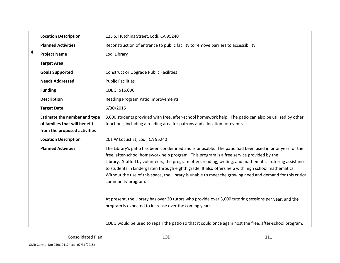|                         | <b>Location Description</b>                                                                          | 125 S. Hutchins Street, Lodi, CA 95240                                                                                                                                                                                                                                                                                                                                                                                                                                                                                                                   |
|-------------------------|------------------------------------------------------------------------------------------------------|----------------------------------------------------------------------------------------------------------------------------------------------------------------------------------------------------------------------------------------------------------------------------------------------------------------------------------------------------------------------------------------------------------------------------------------------------------------------------------------------------------------------------------------------------------|
|                         | <b>Planned Activities</b>                                                                            | Reconstruction of entrance to public facility to remove barriers to accessibility.                                                                                                                                                                                                                                                                                                                                                                                                                                                                       |
| $\overline{\mathbf{4}}$ | <b>Project Name</b>                                                                                  | Lodi Library                                                                                                                                                                                                                                                                                                                                                                                                                                                                                                                                             |
|                         | <b>Target Area</b>                                                                                   |                                                                                                                                                                                                                                                                                                                                                                                                                                                                                                                                                          |
|                         | <b>Goals Supported</b>                                                                               | <b>Construct or Upgrade Public Facilities</b>                                                                                                                                                                                                                                                                                                                                                                                                                                                                                                            |
|                         | <b>Needs Addressed</b>                                                                               | <b>Public Facilities</b>                                                                                                                                                                                                                                                                                                                                                                                                                                                                                                                                 |
|                         | <b>Funding</b>                                                                                       | CDBG: \$16,000                                                                                                                                                                                                                                                                                                                                                                                                                                                                                                                                           |
|                         | <b>Description</b>                                                                                   | <b>Reading Program Patio Improvements</b>                                                                                                                                                                                                                                                                                                                                                                                                                                                                                                                |
|                         | <b>Target Date</b>                                                                                   | 6/30/2015                                                                                                                                                                                                                                                                                                                                                                                                                                                                                                                                                |
|                         | <b>Estimate the number and type</b><br>of families that will benefit<br>from the proposed activities | 3,000 students provided with free, after-school homework help. The patio can also be utilized by other<br>functions, including a reading area for patrons and a location for events.                                                                                                                                                                                                                                                                                                                                                                     |
|                         | <b>Location Description</b>                                                                          | 201 W Locust St, Lodi, CA 95240                                                                                                                                                                                                                                                                                                                                                                                                                                                                                                                          |
|                         | <b>Planned Activities</b>                                                                            | The Library's patio has been condemned and is unusable. The patio had been used in prior year for the<br>free, after-school homework help program. This program is a free service provided by the<br>Library. Staffed by volunteers, the program offers reading, writing, and mathematics tutoring assistance<br>to students in kindergarten through eighth grade. It also offers help with high school mathematics.<br>Without the use of this space, the Library is unable to meet the growing need and demand for this critical<br>community program. |
|                         |                                                                                                      | At present, the Library has over 20 tutors who provide over 3,000 tutoring sessions per year, and the<br>program is expected to increase over the coming years.                                                                                                                                                                                                                                                                                                                                                                                          |
|                         |                                                                                                      | CDBG would be used to repair the patio so that it could once again host the free, after-school program.                                                                                                                                                                                                                                                                                                                                                                                                                                                  |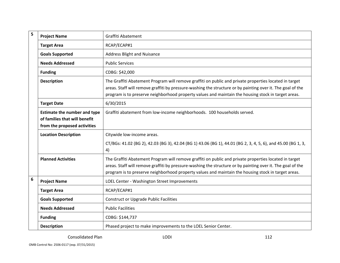| 5 | <b>Project Name</b>                                                                                  | Graffiti Abatement                                                                                                                                                                                                                                                                                                           |
|---|------------------------------------------------------------------------------------------------------|------------------------------------------------------------------------------------------------------------------------------------------------------------------------------------------------------------------------------------------------------------------------------------------------------------------------------|
|   | <b>Target Area</b>                                                                                   | RCAP/ECAP#1                                                                                                                                                                                                                                                                                                                  |
|   | <b>Goals Supported</b>                                                                               | <b>Address Blight and Nuisance</b>                                                                                                                                                                                                                                                                                           |
|   | <b>Needs Addressed</b>                                                                               | <b>Public Services</b>                                                                                                                                                                                                                                                                                                       |
|   | <b>Funding</b>                                                                                       | CDBG: \$42,000                                                                                                                                                                                                                                                                                                               |
|   | <b>Description</b>                                                                                   | The Graffiti Abatement Program will remove graffiti on public and private properties located in target<br>areas. Staff will remove graffiti by pressure-washing the structure or by painting over it. The goal of the<br>program is to preserve neighborhood property values and maintain the housing stock in target areas. |
|   | <b>Target Date</b>                                                                                   | 6/30/2015                                                                                                                                                                                                                                                                                                                    |
|   | <b>Estimate the number and type</b><br>of families that will benefit<br>from the proposed activities | Graffiti abatement from low-income neighborhoods. 100 households served.                                                                                                                                                                                                                                                     |
|   | <b>Location Description</b>                                                                          | Citywide low-income areas.                                                                                                                                                                                                                                                                                                   |
|   |                                                                                                      | CT/BGs: 41.02 (BG 2), 42.03 (BG 3), 42.04 (BG 1) 43.06 (BG 1), 44.01 (BG 2, 3, 4, 5, 6), and 45.00 (BG 1, 3,<br>4)                                                                                                                                                                                                           |
|   | <b>Planned Activities</b>                                                                            | The Graffiti Abatement Program will remove graffiti on public and private properties located in target<br>areas. Staff will remove graffiti by pressure-washing the structure or by painting over it. The goal of the<br>program is to preserve neighborhood property values and maintain the housing stock in target areas. |
| 6 | <b>Project Name</b>                                                                                  | LOEL Center - Washington Street Improvements                                                                                                                                                                                                                                                                                 |
|   | <b>Target Area</b>                                                                                   | RCAP/ECAP#1                                                                                                                                                                                                                                                                                                                  |
|   | <b>Goals Supported</b>                                                                               | <b>Construct or Upgrade Public Facilities</b>                                                                                                                                                                                                                                                                                |
|   | <b>Needs Addressed</b>                                                                               | <b>Public Facilities</b>                                                                                                                                                                                                                                                                                                     |
|   | <b>Funding</b>                                                                                       | CDBG: \$144,737                                                                                                                                                                                                                                                                                                              |
|   | <b>Description</b>                                                                                   | Phased project to make improvements to the LOEL Senior Center.                                                                                                                                                                                                                                                               |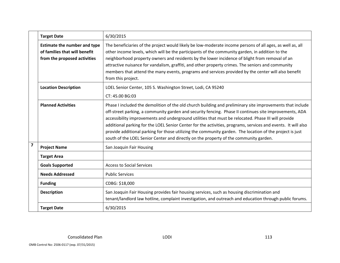|                              | <b>Target Date</b>                  | 6/30/2015                                                                                                     |
|------------------------------|-------------------------------------|---------------------------------------------------------------------------------------------------------------|
|                              | <b>Estimate the number and type</b> | The beneficiaries of the project would likely be low-moderate income persons of all ages, as well as, all     |
|                              | of families that will benefit       | other income levels, which will be the participants of the community garden, in addition to the               |
| from the proposed activities |                                     | neighborhood property owners and residents by the lower incidence of blight from removal of an                |
|                              |                                     | attractive nuisance for vandalism, graffiti, and other property crimes. The seniors and community             |
|                              |                                     | members that attend the many events, programs and services provided by the center will also benefit           |
|                              |                                     | from this project.                                                                                            |
|                              | <b>Location Description</b>         | LOEL Senior Center, 105 S. Washington Street, Lodi, CA 95240                                                  |
|                              |                                     | CT: 45.00 BG:03                                                                                               |
| <b>Planned Activities</b>    |                                     | Phase I included the demolition of the old church building and preliminary site improvements that include     |
|                              |                                     | off-street parking, a community garden and security fencing. Phase II continues site improvements, ADA        |
|                              |                                     | accessibility improvements and underground utilities that must be relocated. Phase III will provide           |
|                              |                                     | additional parking for the LOEL Senior Center for the activities, programs, services and events. It will also |
|                              |                                     | provide additional parking for those utilizing the community garden. The location of the project is just      |
|                              |                                     | south of the LOEL Senior Center and directly on the property of the community garden.                         |
| $\overline{\mathbf{z}}$      | <b>Project Name</b>                 | San Joaquin Fair Housing                                                                                      |
|                              | <b>Target Area</b>                  |                                                                                                               |
|                              | <b>Goals Supported</b>              | <b>Access to Social Services</b>                                                                              |
|                              | <b>Needs Addressed</b>              | <b>Public Services</b>                                                                                        |
|                              | <b>Funding</b>                      | CDBG: \$18,000                                                                                                |
|                              | <b>Description</b>                  | San Joaquin Fair Housing provides fair housing services, such as housing discrimination and                   |
|                              |                                     | tenant/landlord law hotline, complaint investigation, and outreach and education through public forums.       |
|                              | <b>Target Date</b>                  | 6/30/2015                                                                                                     |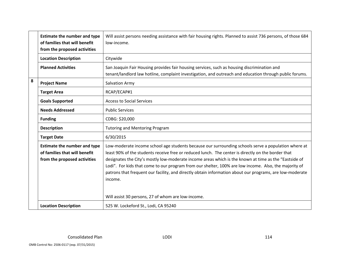|                                 | <b>Estimate the number and type</b><br>of families that will benefit<br>from the proposed activities | Will assist persons needing assistance with fair housing rights. Planned to assist 736 persons, of those 684<br>low-income.                                                                                                                                                                                                                                                                                                                                                                                                                        |
|---------------------------------|------------------------------------------------------------------------------------------------------|----------------------------------------------------------------------------------------------------------------------------------------------------------------------------------------------------------------------------------------------------------------------------------------------------------------------------------------------------------------------------------------------------------------------------------------------------------------------------------------------------------------------------------------------------|
|                                 | <b>Location Description</b>                                                                          | Citywide                                                                                                                                                                                                                                                                                                                                                                                                                                                                                                                                           |
|                                 | <b>Planned Activities</b>                                                                            | San Joaquin Fair Housing provides fair housing services, such as housing discrimination and<br>tenant/landlord law hotline, complaint investigation, and outreach and education through public forums.                                                                                                                                                                                                                                                                                                                                             |
| 8                               | <b>Project Name</b>                                                                                  | <b>Salvation Army</b>                                                                                                                                                                                                                                                                                                                                                                                                                                                                                                                              |
|                                 | <b>Target Area</b>                                                                                   | RCAP/ECAP#1                                                                                                                                                                                                                                                                                                                                                                                                                                                                                                                                        |
|                                 | <b>Goals Supported</b>                                                                               | <b>Access to Social Services</b>                                                                                                                                                                                                                                                                                                                                                                                                                                                                                                                   |
|                                 | <b>Needs Addressed</b>                                                                               | <b>Public Services</b>                                                                                                                                                                                                                                                                                                                                                                                                                                                                                                                             |
|                                 | <b>Funding</b>                                                                                       | CDBG: \$20,000                                                                                                                                                                                                                                                                                                                                                                                                                                                                                                                                     |
|                                 | <b>Description</b>                                                                                   | <b>Tutoring and Mentoring Program</b>                                                                                                                                                                                                                                                                                                                                                                                                                                                                                                              |
| 6/30/2015<br><b>Target Date</b> |                                                                                                      |                                                                                                                                                                                                                                                                                                                                                                                                                                                                                                                                                    |
|                                 | <b>Estimate the number and type</b><br>of families that will benefit<br>from the proposed activities | Low-moderate income school age students because our surrounding schools serve a population where at<br>least 90% of the students receive free or reduced lunch. The center is directly on the border that<br>designates the City's mostly low-moderate income areas which is the known at time as the "Eastside of<br>Lodi". For kids that come to our program from our shelter, 100% are low income. Also, the majority of<br>patrons that frequent our facility, and directly obtain information about our programs, are low-moderate<br>income. |
|                                 |                                                                                                      | Will assist 30 persons, 27 of whom are low-income.                                                                                                                                                                                                                                                                                                                                                                                                                                                                                                 |
|                                 | <b>Location Description</b>                                                                          | 525 W. Lockeford St., Lodi, CA 95240                                                                                                                                                                                                                                                                                                                                                                                                                                                                                                               |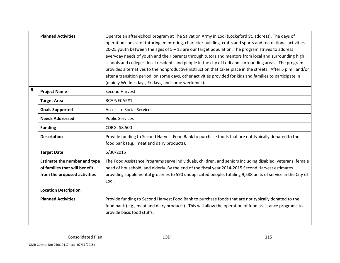|                                 | <b>Planned Activities</b>                                                                            | Operate an after-school program at The Salvation Army in Lodi (Lockeford St. address). The days of<br>operation consist of tutoring, mentoring, character building, crafts and sports and recreational activities.<br>20-25 youth between the ages of $5 - 13$ are our target population. The program strives to address<br>everyday needs of youth and their parents through tutors and mentors from local and surrounding high<br>schools and colleges, local residents and people in the city of Lodi and surrounding areas. The program<br>provides alternatives to the nonproductive instruction that takes place in the streets. After 5 p.m., and/or<br>after a transition period, on some days, other activities provided for kids and families to participate in<br>(mainly Wednesdays, Fridays, and some weekends). |
|---------------------------------|------------------------------------------------------------------------------------------------------|-------------------------------------------------------------------------------------------------------------------------------------------------------------------------------------------------------------------------------------------------------------------------------------------------------------------------------------------------------------------------------------------------------------------------------------------------------------------------------------------------------------------------------------------------------------------------------------------------------------------------------------------------------------------------------------------------------------------------------------------------------------------------------------------------------------------------------|
| $\overline{9}$                  | <b>Project Name</b>                                                                                  | Second Harvest                                                                                                                                                                                                                                                                                                                                                                                                                                                                                                                                                                                                                                                                                                                                                                                                                |
|                                 | <b>Target Area</b>                                                                                   | RCAP/ECAP#1                                                                                                                                                                                                                                                                                                                                                                                                                                                                                                                                                                                                                                                                                                                                                                                                                   |
|                                 | <b>Goals Supported</b>                                                                               | <b>Access to Social Services</b>                                                                                                                                                                                                                                                                                                                                                                                                                                                                                                                                                                                                                                                                                                                                                                                              |
|                                 | <b>Needs Addressed</b>                                                                               | <b>Public Services</b>                                                                                                                                                                                                                                                                                                                                                                                                                                                                                                                                                                                                                                                                                                                                                                                                        |
|                                 | <b>Funding</b>                                                                                       | CDBG: \$8,500                                                                                                                                                                                                                                                                                                                                                                                                                                                                                                                                                                                                                                                                                                                                                                                                                 |
|                                 | <b>Description</b>                                                                                   | Provide funding to Second Harvest Food Bank to purchase foods that are not typically donated to the<br>food bank (e.g., meat and dairy products).                                                                                                                                                                                                                                                                                                                                                                                                                                                                                                                                                                                                                                                                             |
| 6/30/2015<br><b>Target Date</b> |                                                                                                      |                                                                                                                                                                                                                                                                                                                                                                                                                                                                                                                                                                                                                                                                                                                                                                                                                               |
|                                 | <b>Estimate the number and type</b><br>of families that will benefit<br>from the proposed activities | The Food Assistance Programs serve individuals, children, and seniors including disabled, veterans, female<br>head of household, and elderly. By the end of the fiscal year 2014-2015 Second Harvest estimates<br>providing supplemental groceries to 590 unduplicated people, totaling 9,588 units of service in the City of<br>Lodi.                                                                                                                                                                                                                                                                                                                                                                                                                                                                                        |
|                                 | <b>Location Description</b>                                                                          |                                                                                                                                                                                                                                                                                                                                                                                                                                                                                                                                                                                                                                                                                                                                                                                                                               |
|                                 | <b>Planned Activities</b>                                                                            | Provide funding to Second Harvest Food Bank to purchase foods that are not typically donated to the<br>food bank (e.g., meat and dairy products). This will allow the operation of food assistance programs to<br>provide basic food stuffs.                                                                                                                                                                                                                                                                                                                                                                                                                                                                                                                                                                                  |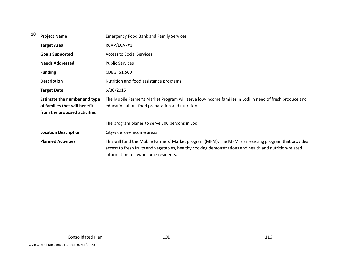| 10 | <b>Project Name</b>                                                                                  | <b>Emergency Food Bank and Family Services</b>                                                                                                                                                                                                          |
|----|------------------------------------------------------------------------------------------------------|---------------------------------------------------------------------------------------------------------------------------------------------------------------------------------------------------------------------------------------------------------|
|    | <b>Target Area</b>                                                                                   | RCAP/ECAP#1                                                                                                                                                                                                                                             |
|    | <b>Goals Supported</b>                                                                               | <b>Access to Social Services</b>                                                                                                                                                                                                                        |
|    | <b>Needs Addressed</b>                                                                               | <b>Public Services</b>                                                                                                                                                                                                                                  |
|    | <b>Funding</b>                                                                                       | CDBG: \$1,500                                                                                                                                                                                                                                           |
|    | <b>Description</b>                                                                                   | Nutrition and food assistance programs.                                                                                                                                                                                                                 |
|    | <b>Target Date</b>                                                                                   | 6/30/2015                                                                                                                                                                                                                                               |
|    | <b>Estimate the number and type</b><br>of families that will benefit<br>from the proposed activities | The Mobile Farmer's Market Program will serve low-income families in Lodi in need of fresh produce and<br>education about food preparation and nutrition.                                                                                               |
|    |                                                                                                      | The program planes to serve 300 persons in Lodi.                                                                                                                                                                                                        |
|    | <b>Location Description</b>                                                                          | Citywide low-income areas.                                                                                                                                                                                                                              |
|    | <b>Planned Activities</b>                                                                            | This will fund the Mobile Farmers' Market program (MFM). The MFM is an existing program that provides<br>access to fresh fruits and vegetables, healthy cooking demonstrations and health and nutrition-related<br>information to low-income residents. |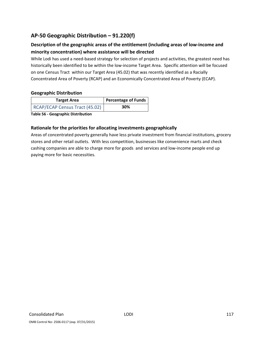## **AP‐50 Geographic Distribution – 91.220(f)**

## **Description of the geographic areas of the entitlement (including areas of low‐income and minority concentration) where assistance will be directed**

While Lodi has used a need-based strategy for selection of projects and activities, the greatest need has historically been identified to be within the low-income Target Area. Specific attention will be focused on one Census Tract within our Target Area (45.02) that was recently identified as a Racially Concentrated Area of Poverty (RCAP) and an Economically Concentrated Area of Poverty (ECAP).

#### **Geographic Distribution**

| <b>Target Area</b>             | Percentage of Funds |
|--------------------------------|---------------------|
| RCAP/ECAP Census Tract (45.02) | 30%                 |

**Table 56 ‐ Geographic Distribution** 

### **Rationale for the priorities for allocating investments geographically**

Areas of concentrated poverty generally have less private investment from financial institutions, grocery stores and other retail outlets. With less competition, businesses like convenience marts and check cashing companies are able to charge more for goods and services and low‐income people end up paying more for basic necessities.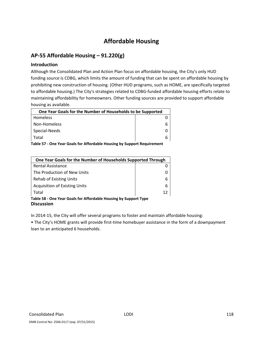# **Affordable Housing**

## **AP‐55 Affordable Housing – 91.220(g)**

#### **Introduction**

Although the Consolidated Plan and Action Plan focus on affordable housing, the City's only HUD funding source is CDBG, which limits the amount of funding that can be spent on affordable housing by prohibiting new construction of housing. (Other HUD programs, such as HOME, are specifically targeted to affordable housing.) The City's strategies related to CDBG‐funded affordable housing efforts relate to maintaining affordability for homeowners. Other funding sources are provided to support affordable housing as available.

| One Year Goals for the Number of Households to be Supported |  |
|-------------------------------------------------------------|--|
| Homeless                                                    |  |
| Non-Homeless                                                |  |
| Special-Needs                                               |  |
| Total                                                       |  |

**Table 57 ‐ One Year Goals for Affordable Housing by Support Requirement**

| One Year Goals for the Number of Households Supported Through                         |    |
|---------------------------------------------------------------------------------------|----|
| Rental Assistance                                                                     |    |
| The Production of New Units                                                           |    |
| <b>Rehab of Existing Units</b>                                                        | 6  |
| <b>Acquisition of Existing Units</b>                                                  | 6  |
| Total                                                                                 | 12 |
| Table 58 - One Year Goals for Affordable Housing by Support Type<br><b>Discussion</b> |    |

In 2014‐15, the City will offer several programs to foster and maintain affordable housing:

• The City's HOME grants will provide first-time homebuyer assistance in the form of a downpayment loan to an anticipated 6 households.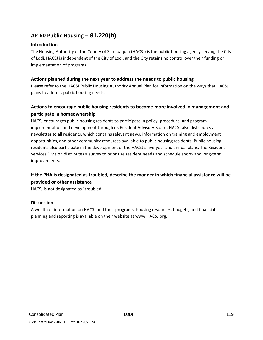## **AP‐60 Public Housing** *–* **91.220(h)**

#### **Introduction**

The Housing Authority of the County of San Joaquin (HACSJ) is the public housing agency serving the City of Lodi. HACSJ is independent of the City of Lodi, and the City retains no control over their funding or implementation of programs

#### **Actions planned during the next year to address the needs to public housing**

Please refer to the HACSJ Public Housing Authority Annual Plan for information on the ways that HACSJ plans to address public housing needs.

## **Actions to encourage public housing residents to become more involved in management and participate in homeownership**

HACSJ encourages public housing residents to participate in policy, procedure, and program implementation and development through its Resident Advisory Board. HACSJ also distributes a newsletter to all residents, which contains relevant news, information on training and employment opportunities, and other community resources available to public housing residents. Public housing residents also participate in the development of the HACSJ's five‐year and annual plans. The Resident Services Division distributes a survey to prioritize resident needs and schedule short‐ and long‐term improvements.

## **If the PHA is designated as troubled, describe the manner in which financial assistance will be provided or other assistance**

HACSJ is not designated as "troubled."

#### **Discussion**

A wealth of information on HACSJ and their programs, housing resources, budgets, and financial planning and reporting is available on their website at www.HACSJ.org.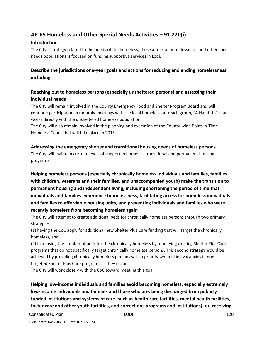## **AP‐65 Homeless and Other Special Needs Activities – 91.220(i)**

### **Introduction**

The City's strategy related to the needs of the homeless, those at risk of homelessness, and other special needs populations is focused on funding supportive services in Lodi.

## **Describe the jurisdictions one‐year goals and actions for reducing and ending homelessness including:**

## **Reaching out to homeless persons (especially unsheltered persons) and assessing their individual needs**

The City will remain involved in the County Emergency Food and Shelter Program Board and will continue participation in monthly meetings with the local homeless outreach group, "A Hand Up" that works directly with the unsheltered homeless population.

The City will also remain involved in the planning and execution of the County‐wide Point‐in‐Time Homeless Count that will take place in 2015.

### **Addressing the emergency shelter and transitional housing needs of homeless persons**

The City will maintain current levels of support in homeless transitional and permanent housing programs.

**Helping homeless persons (especially chronically homeless individuals and families, families with children, veterans and their families, and unaccompanied youth) make the transition to permanent housing and independent living, including shortening the period of time that individuals and families experience homelessness, facilitating access for homeless individuals and families to affordable housing units, and preventing individuals and families who were recently homeless from becoming homeless again**

The City will attempt to create additional beds for chronically homeless persons through two primary strategies:

(1) having the CoC apply for additional new Shelter Plus Care funding that will target the chronically homeless, and

(2) increasing the number of beds for the chronically homeless by modifying existing Shelter Plus Care programs that do not specifically target chronically homeless persons. This second strategy would be achieved by providing chronically homeless persons with a priority when filling vacancies in non‐ targeted Shelter Plus Care programs as they occur.

The City will work closely with the CoC toward meeting this goal.

**Helping low‐income individuals and families avoid becoming homeless, especially extremely low‐income individuals and families and those who are: being discharged from publicly funded institutions and systems of care (such as health care facilities, mental health facilities, foster care and other youth facilities, and corrections programs and institutions); or, receiving**

Consolidated Plan LODI 120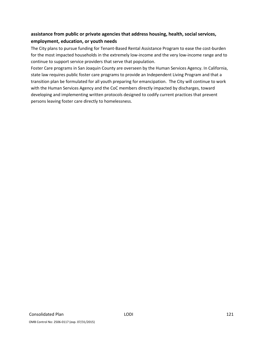## **assistance from public or private agencies that address housing, health, social services, employment, education, or youth needs**

The City plans to pursue funding for Tenant‐Based Rental Assistance Program to ease the cost‐burden for the most impacted households in the extremely low-income and the very low-income range and to continue to support service providers that serve that population.

Foster Care programs in San Joaquin County are overseen by the Human Services Agency. In California, state law requires public foster care programs to provide an Independent Living Program and that a transition plan be formulated for all youth preparing for emancipation. The City will continue to work with the Human Services Agency and the CoC members directly impacted by discharges, toward developing and implementing written protocols designed to codify current practices that prevent persons leaving foster care directly to homelessness.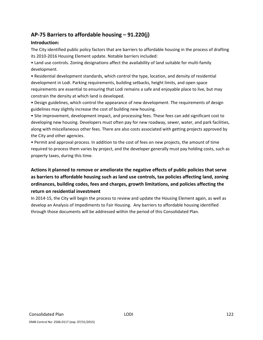## **AP‐75 Barriers to affordable housing – 91.220(j)**

### **Introduction:**

The City identified public policy factors that are barriers to affordable housing in the process of drafting its 2010‐2016 Housing Element update. Notable barriers included:

• Land use controls. Zoning designations affect the availability of land suitable for multi‐family development.

• Residential development standards, which control the type, location, and density of residential development in Lodi. Parking requirements, building setbacks, height limits, and open space requirements are essential to ensuring that Lodi remains a safe and enjoyable place to live, but may constrain the density at which land is developed.

• Design guidelines, which control the appearance of new development. The requirements of design guidelines may slightly increase the cost of building new housing.

• Site improvement, development impact, and processing fees. These fees can add significant cost to developing new housing. Developers must often pay for new roadway, sewer, water, and park facilities, along with miscellaneous other fees. There are also costs associated with getting projects approved by the City and other agencies.

• Permit and approval process. In addition to the cost of fees on new projects, the amount of time required to process them varies by project, and the developer generally must pay holding costs, such as property taxes, during this time.

## **Actions it planned to remove or ameliorate the negative effects of public policies that serve as barriers to affordable housing such as land use controls, tax policies affecting land, zoning ordinances, building codes, fees and charges, growth limitations, and policies affecting the return on residential investment**

In 2014-15, the City will begin the process to review and update the Housing Element again, as well as develop an Analysis of Impediments to Fair Housing. Any barriers to affordable housing identified through those documents will be addressed within the period of this Consolidated Plan.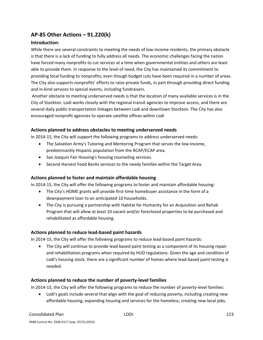## **AP‐85 Other Actions – 91.220(k)**

## **Introduction:**

While there are several constraints to meeting the needs of low-income residents, the primary obstacle is that there is a lack of funding to fully address all needs. The economic challenges facing the nation have forced many nonprofits to cut services at a time when governmental entities and others are least able to provide them. In response to the level of need, the City has maintained its commitment to providing local funding to nonprofits; even though budget cuts have been required in a number of areas. The City also supports nonprofits' efforts to raise private funds, in part through providing direct funding and in‐kind services to special events, including fundraisers.

Another obstacle to meeting underserved needs is that the location of many available services is in the City of Stockton. Lodi works closely with the regional transit agencies to improve access, and there are several daily public transportation linkages between Lodi and downtown Stockton. The City has also encouraged nonprofit agencies to operate satellite offices within Lodi

### **Actions planned to address obstacles to meeting underserved needs**

In 2014‐15, the City will support the following programs to address underserved needs:

- The Salvation Army's Tutoring and Mentoring Program that serves the low-income, predominantly Hispanic population from the RCAP/ECAP area.
- San Joaquin Fair Housing's housing counseling services.
- Second Harvest Food Banks services to the needy families within the Target Area.

### **Actions planned to foster and maintain affordable housing**

In 2014‐15, the City will offer the following programs to foster and maintain affordable housing:

- The City's HOME grants will provide first-time homebuyer assistance in the form of a downpayment loan to an anticipated 10 households.
- The City is pursuing a partnership with Habitat for Humanity for an Acquisition and Rehab Program that will allow at least 10 vacant and/or foreclosed properties to be purchased and rehabilitated as affordable housing.

### **Actions planned to reduce lead‐based paint hazards**

In 2014-15, the City will offer the following programs to reduce lead-based paint hazards:

● The City will continue to provide lead-based paint testing as a component of its housing repair and rehabilitation programs when required by HUD regulations. Given the age and condition of Lodi's housing stock, there are a significant number of homes where lead‐based paint testing is needed.

### **Actions planned to reduce the number of poverty‐level families**

In 2014-15, the City will offer the following programs to reduce the number of poverty-level families:

 Lodi's goals include several that align with the goal of reducing poverty, including creating new affordable housing, expanding housing and services for the homeless, creating new local jobs,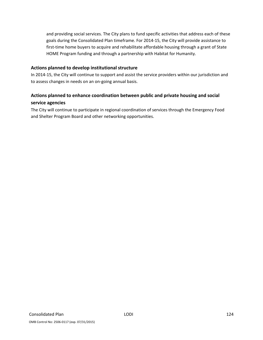and providing social services. The City plans to fund specific activities that address each of these goals during the Consolidated Plan timeframe. For 2014‐15, the City will provide assistance to first-time home buyers to acquire and rehabilitate affordable housing through a grant of State HOME Program funding and through a partnership with Habitat for Humanity.

#### **Actions planned to develop institutional structure**

In 2014‐15, the City will continue to support and assist the service providers within our jurisdiction and to assess changes in needs on an on‐going annual basis.

## **Actions planned to enhance coordination between public and private housing and social service agencies**

The City will continue to participate in regional coordination of services through the Emergency Food and Shelter Program Board and other networking opportunities.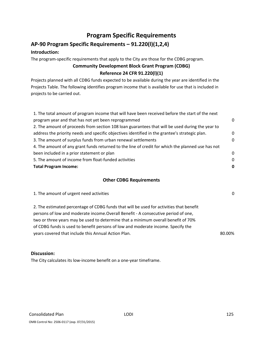## **Program Specific Requirements**

# **AP‐90 Program Specific Requirements – 91.220(l)(1,2,4)**

## **Introduction:**

The program‐specific requirements that apply to the City are those for the CDBG program.

## **Community Development Block Grant Program (CDBG) Reference 24 CFR 91.220(l)(1)**

Projects planned with all CDBG funds expected to be available during the year are identified in the Projects Table. The following identifies program income that is available for use that is included in projects to be carried out.

| 1. The total amount of program income that will have been received before the start of the next   |          |
|---------------------------------------------------------------------------------------------------|----------|
| program year and that has not yet been reprogrammed                                               | 0        |
| 2. The amount of proceeds from section 108 loan guarantees that will be used during the year to   |          |
| address the priority needs and specific objectives identified in the grantee's strategic plan.    | $\Omega$ |
| 3. The amount of surplus funds from urban renewal settlements                                     | $\Omega$ |
| 4. The amount of any grant funds returned to the line of credit for which the planned use has not |          |
| been included in a prior statement or plan                                                        | $\Omega$ |
| 5. The amount of income from float-funded activities                                              | $\Omega$ |
| <b>Total Program Income:</b>                                                                      | 0        |
|                                                                                                   |          |

### **Other CDBG Requirements**

| 1. The amount of urgent need activities                                                                                                                                                                                                                                                                                                                | 0      |
|--------------------------------------------------------------------------------------------------------------------------------------------------------------------------------------------------------------------------------------------------------------------------------------------------------------------------------------------------------|--------|
| 2. The estimated percentage of CDBG funds that will be used for activities that benefit<br>persons of low and moderate income. Overall Benefit - A consecutive period of one,<br>two or three years may be used to determine that a minimum overall benefit of 70%<br>of CDBG funds is used to benefit persons of low and moderate income. Specify the |        |
| years covered that include this Annual Action Plan.                                                                                                                                                                                                                                                                                                    | 80.00% |

#### **Discussion:**

The City calculates its low‐income benefit on a one‐year timeframe.